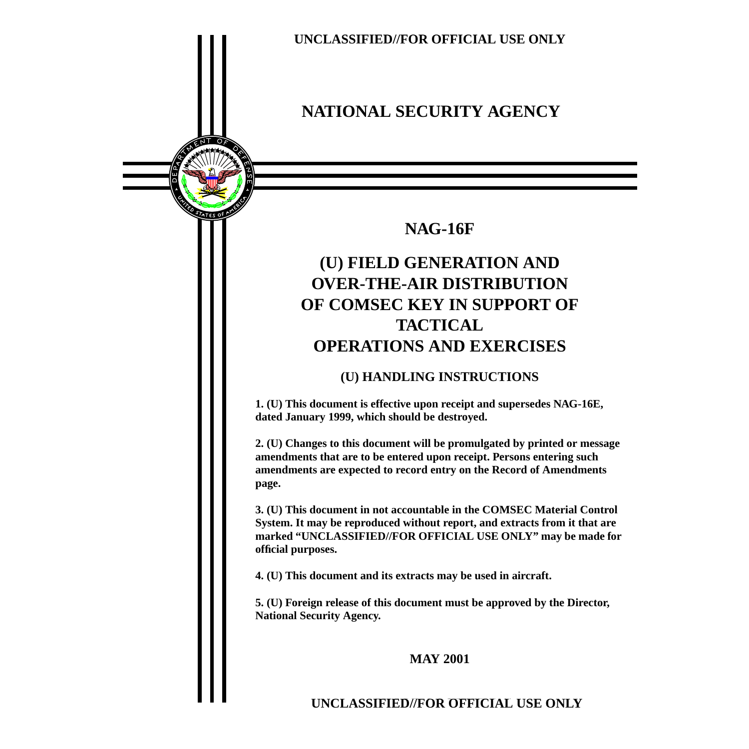**UNCLASSIFIED//FOR OFFICIAL USE ONLY**

# **NATIONAL SECURITY AGENCY**

# **NAG-16F**

STATES O

# **(U) FIELD GENERATION AND OVER-THE-AIR DISTRIBUTION OF COMSEC KEY IN SUPPORT OF TACTICAL OPERATIONS AND EXERCISES**

# **(U) HANDLING INSTRUCTIONS**

**1. (U) This document is effective upon receipt and supersedes NAG-16E, dated January 1999, which should be destroyed.**

**2. (U) Changes to this document will be promulgated by printed or message amendments that are to be entered upon receipt. Persons entering such amendments are expected to record entry on the Record of Amendments page.**

**3. (U) This document in not accountable in the COMSEC Material Control System. It may be reproduced without report, and extracts from it that are marked "UNCLASSIFIED//FOR OFFICIAL USE ONLY" may be made for official purposes.**

**4. (U) This document and its extracts may be used in aircraft.**

**5. (U) Foreign release of this document must be approved by the Director, National Security Agency.**

# **MAY 2001**

# **UNCLASSIFIED// UNCLASSIFIED//FOR OFFICIAL USE ONLY**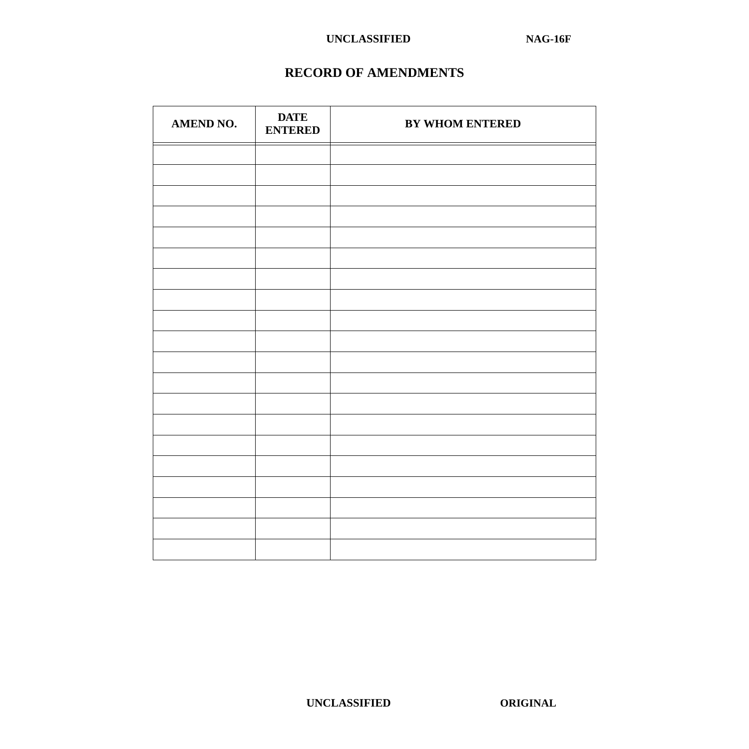# **RECORD OF AMENDMENTS**

| AMEND NO. | <b>DATE</b><br><b>ENTERED</b> | BY WHOM ENTERED |
|-----------|-------------------------------|-----------------|
|           |                               |                 |
|           |                               |                 |
|           |                               |                 |
|           |                               |                 |
|           |                               |                 |
|           |                               |                 |
|           |                               |                 |
|           |                               |                 |
|           |                               |                 |
|           |                               |                 |
|           |                               |                 |
|           |                               |                 |
|           |                               |                 |
|           |                               |                 |
|           |                               |                 |
|           |                               |                 |
|           |                               |                 |
|           |                               |                 |
|           |                               |                 |
|           |                               |                 |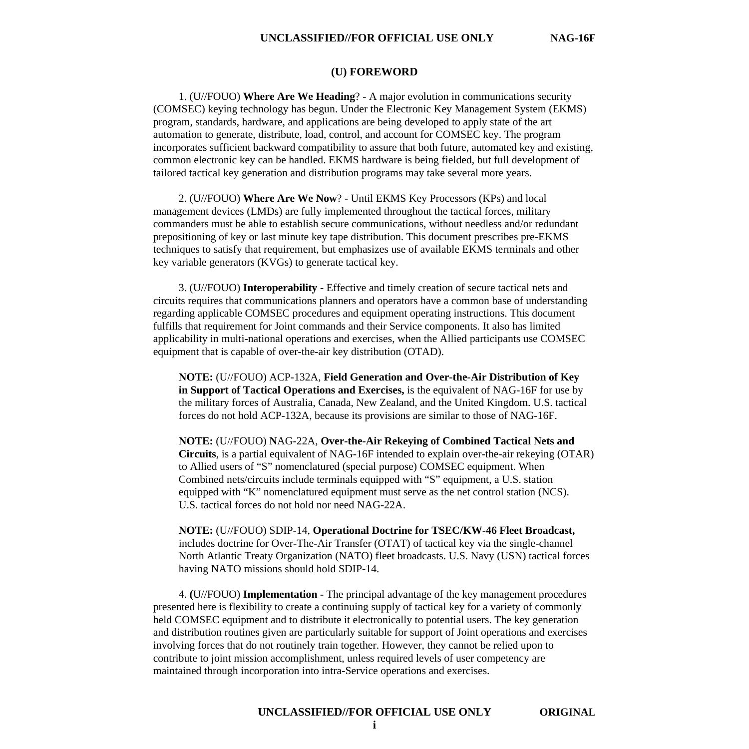### **(U) FOREWORD**

1. (U//FOUO) **Where Are We Heading**? - A major evolution in communications security (COMSEC) keying technology has begun. Under the Electronic Key Management System (EKMS) program, standards, hardware, and applications are being developed to apply state of the art automation to generate, distribute, load, control, and account for COMSEC key. The program incorporates sufficient backward compatibility to assure that both future, automated key and existing, common electronic key can be handled. EKMS hardware is being fielded, but full development of tailored tactical key generation and distribution programs may take several more years.

2. (U//FOUO) **Where Are We Now**? - Until EKMS Key Processors (KPs) and local management devices (LMDs) are fully implemented throughout the tactical forces, military commanders must be able to establish secure communications, without needless and/or redundant prepositioning of key or last minute key tape distribution. This document prescribes pre-EKMS techniques to satisfy that requirement, but emphasizes use of available EKMS terminals and other key variable generators (KVGs) to generate tactical key.

3. (U//FOUO) **Interoperability** - Effective and timely creation of secure tactical nets and circuits requires that communications planners and operators have a common base of understanding regarding applicable COMSEC procedures and equipment operating instructions. This document fulfills that requirement for Joint commands and their Service components. It also has limited applicability in multi-national operations and exercises, when the Allied participants use COMSEC equipment that is capable of over-the-air key distribution (OTAD).

**NOTE:** (U//FOUO) ACP-132A, **Field Generation and Over-the-Air Distribution of Key in Support of Tactical Operations and Exercises,** is the equivalent of NAG-16F for use by the military forces of Australia, Canada, New Zealand, and the United Kingdom. U.S. tactical forces do not hold ACP-132A, because its provisions are similar to those of NAG-16F.

**NOTE:** (U//FOUO) **N**AG-22A, **Over-the-Air Rekeying of Combined Tactical Nets and Circuits**, is a partial equivalent of NAG-16F intended to explain over-the-air rekeying (OTAR) to Allied users of "S" nomenclatured (special purpose) COMSEC equipment. When Combined nets/circuits include terminals equipped with "S" equipment, a U.S. station equipped with "K" nomenclatured equipment must serve as the net control station (NCS). U.S. tactical forces do not hold nor need NAG-22A.

**NOTE:** (U//FOUO) SDIP-14, **Operational Doctrine for TSEC/KW-46 Fleet Broadcast,** includes doctrine for Over-The-Air Transfer (OTAT) of tactical key via the single-channel North Atlantic Treaty Organization (NATO) fleet broadcasts. U.S. Navy (USN) tactical forces having NATO missions should hold SDIP-14.

4. **(**U//FOUO) **Implementation -** The principal advantage of the key management procedures presented here is flexibility to create a continuing supply of tactical key for a variety of commonly held COMSEC equipment and to distribute it electronically to potential users. The key generation and distribution routines given are particularly suitable for support of Joint operations and exercises involving forces that do not routinely train together. However, they cannot be relied upon to contribute to joint mission accomplishment, unless required levels of user competency are maintained through incorporation into intra-Service operations and exercises.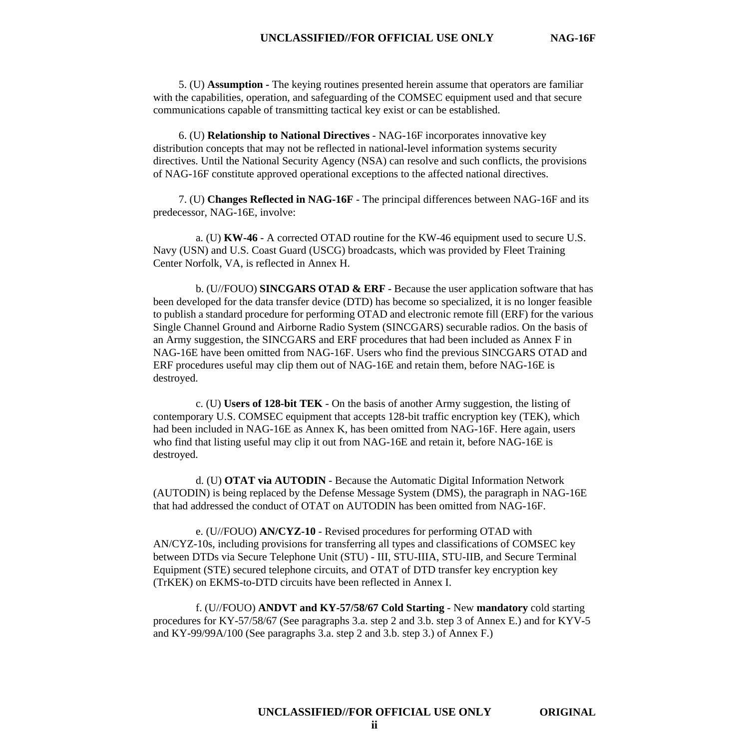5. (U) **Assumption -** The keying routines presented herein assume that operators are familiar with the capabilities, operation, and safeguarding of the COMSEC equipment used and that secure communications capable of transmitting tactical key exist or can be established.

6. (U) **Relationship to National Directives** - NAG-16F incorporates innovative key distribution concepts that may not be reflected in national-level information systems security directives. Until the National Security Agency (NSA) can resolve and such conflicts, the provisions of NAG-16F constitute approved operational exceptions to the affected national directives.

7. (U) **Changes Reflected in NAG-16F** - The principal differences between NAG-16F and its predecessor, NAG-16E, involve:

a. (U) **KW-46** - A corrected OTAD routine for the KW-46 equipment used to secure U.S. Navy (USN) and U.S. Coast Guard (USCG) broadcasts, which was provided by Fleet Training Center Norfolk, VA, is reflected in Annex H.

b. (U//FOUO) **SINCGARS OTAD & ERF** - Because the user application software that has been developed for the data transfer device (DTD) has become so specialized, it is no longer feasible to publish a standard procedure for performing OTAD and electronic remote fill (ERF) for the various Single Channel Ground and Airborne Radio System (SINCGARS) securable radios. On the basis of an Army suggestion, the SINCGARS and ERF procedures that had been included as Annex F in NAG-16E have been omitted from NAG-16F. Users who find the previous SINCGARS OTAD and ERF procedures useful may clip them out of NAG-16E and retain them, before NAG-16E is destroyed.

c. (U) **Users of 128-bit TEK** - On the basis of another Army suggestion, the listing of contemporary U.S. COMSEC equipment that accepts 128-bit traffic encryption key (TEK), which had been included in NAG-16E as Annex K, has been omitted from NAG-16F. Here again, users who find that listing useful may clip it out from NAG-16E and retain it, before NAG-16E is destroyed.

d. (U) **OTAT via AUTODIN** - Because the Automatic Digital Information Network (AUTODIN) is being replaced by the Defense Message System (DMS), the paragraph in NAG-16E that had addressed the conduct of OTAT on AUTODIN has been omitted from NAG-16F.

e. (U//FOUO) **AN/CYZ-10** - Revised procedures for performing OTAD with AN/CYZ-10s, including provisions for transferring all types and classifications of COMSEC key between DTDs via Secure Telephone Unit (STU) - III, STU-IIIA, STU-IIB, and Secure Terminal Equipment (STE) secured telephone circuits, and OTAT of DTD transfer key encryption key (TrKEK) on EKMS-to-DTD circuits have been reflected in Annex I.

f. (U//FOUO) **ANDVT and KY-57/58/67 Cold Starting** - New **mandatory** cold starting procedures for KY-57/58/67 (See paragraphs 3.a. step 2 and 3.b. step 3 of Annex E.) and for KYV-5 and KY-99/99A/100 (See paragraphs 3.a. step 2 and 3.b. step 3.) of Annex F.)

**ii**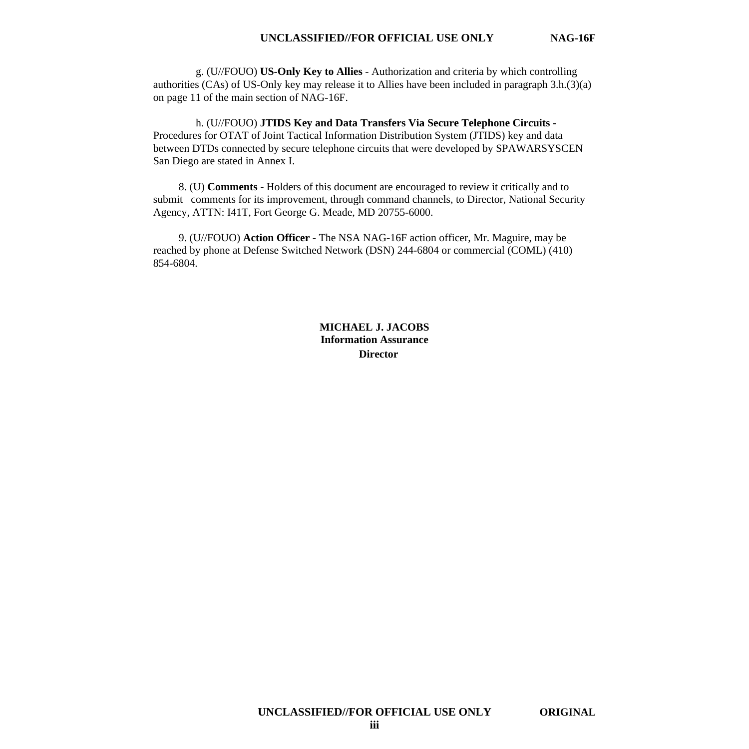g. (U//FOUO) **US-Only Key to Allies** - Authorization and criteria by which controlling authorities (CAs) of US-Only key may release it to Allies have been included in paragraph 3.h.(3)(a) on page 11 of the main section of NAG-16F.

h. (U//FOUO) **JTIDS Key and Data Transfers Via Secure Telephone Circuits -** Procedures for OTAT of Joint Tactical Information Distribution System (JTIDS) key and data between DTDs connected by secure telephone circuits that were developed by SPAWARSYSCEN San Diego are stated in Annex I.

8. (U) **Comments** - Holders of this document are encouraged to review it critically and to submit comments for its improvement, through command channels, to Director, National Security Agency, ATTN: I41T, Fort George G. Meade, MD 20755-6000.

9. (U//FOUO) **Action Officer** - The NSA NAG-16F action officer, Mr. Maguire, may be reached by phone at Defense Switched Network (DSN) 244-6804 or commercial (COML) (410) 854-6804.

> **MICHAEL J. JACOBS Information Assurance Director**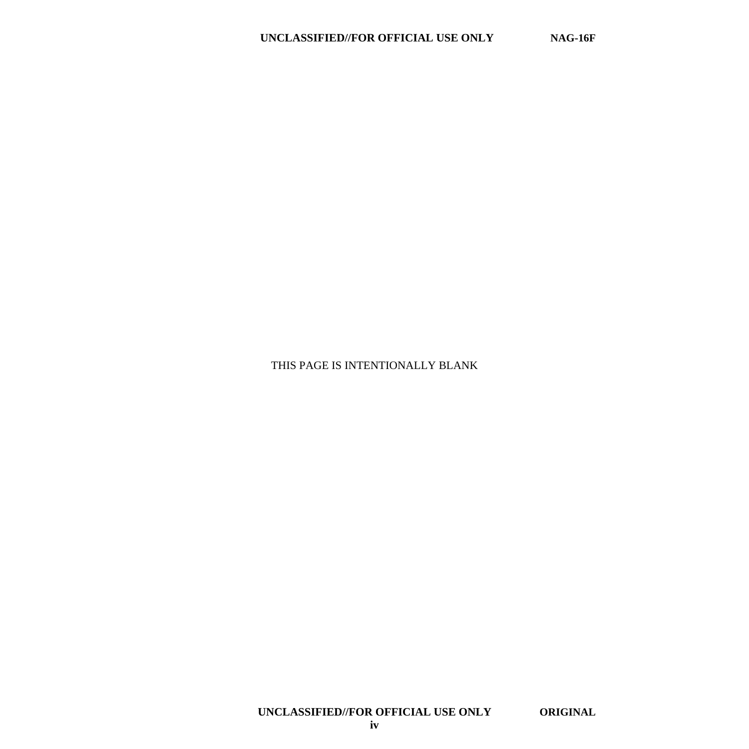## THIS PAGE IS INTENTIONALLY BLANK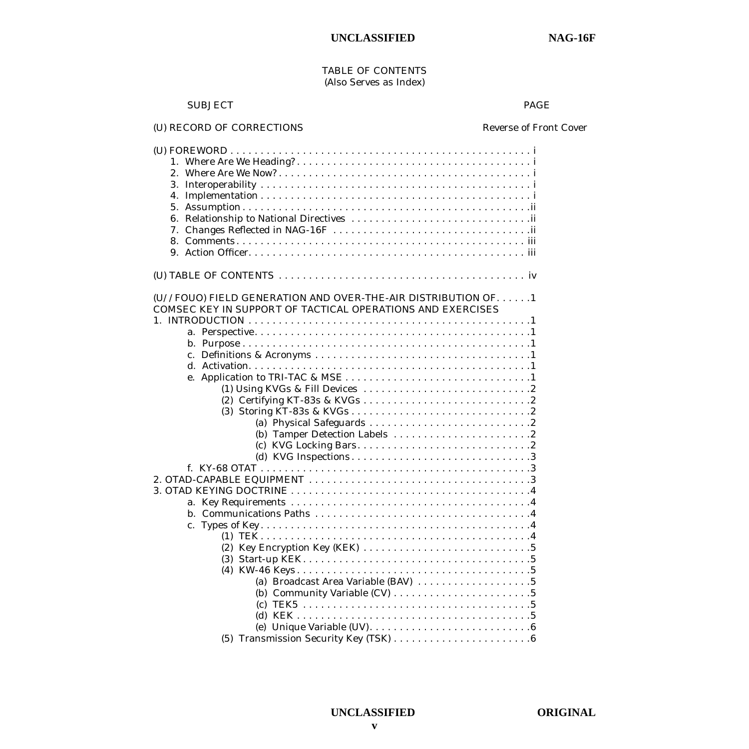#### TABLE OF CONTENTS (Also Serves as Index)

| <b>SUBJECT</b>                                                                                                                                  | <b>PAGE</b>                   |
|-------------------------------------------------------------------------------------------------------------------------------------------------|-------------------------------|
| (U) RECORD OF CORRECTIONS                                                                                                                       | <b>Reverse of Front Cover</b> |
| 7.                                                                                                                                              |                               |
| (U) TABLE OF CONTENTS $\dots \dots \dots \dots \dots \dots \dots \dots \dots \dots \dots \dots \dots \dots \dots$                               |                               |
| (U//FOUO) FIELD GENERATION AND OVER-THE-AIR DISTRIBUTION OF. 1<br>COMSEC KEY IN SUPPORT OF TACTICAL OPERATIONS AND EXERCISES<br>1. INTRODUCTION |                               |
| (3)                                                                                                                                             |                               |
| (5)                                                                                                                                             |                               |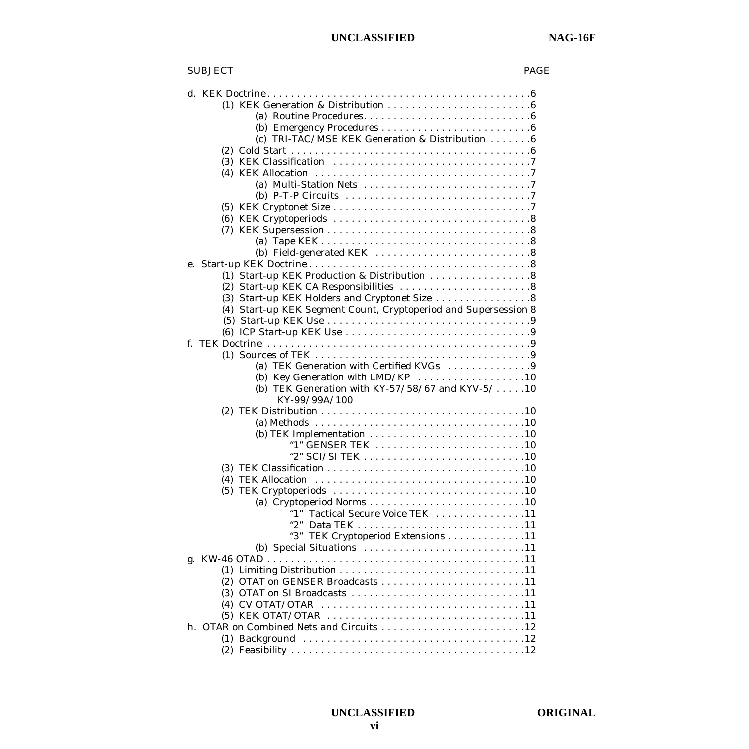### SUBJECT PAGE

| (c) TRI-TAC/MSE KEK Generation & Distribution 6                                                    |  |
|----------------------------------------------------------------------------------------------------|--|
|                                                                                                    |  |
|                                                                                                    |  |
|                                                                                                    |  |
|                                                                                                    |  |
| (b) P-T-P Circuits $\ldots \ldots \ldots \ldots \ldots \ldots \ldots \ldots \ldots \ldots \ldots$  |  |
|                                                                                                    |  |
|                                                                                                    |  |
|                                                                                                    |  |
|                                                                                                    |  |
|                                                                                                    |  |
|                                                                                                    |  |
| (1) Start-up KEK Production & Distribution 8                                                       |  |
|                                                                                                    |  |
| Start-up KEK Holders and Cryptonet Size 8<br>(3)                                                   |  |
| Start-up KEK Segment Count, Cryptoperiod and Supersession 8<br>(4)                                 |  |
|                                                                                                    |  |
|                                                                                                    |  |
|                                                                                                    |  |
|                                                                                                    |  |
| (a) TEK Generation with Certified KVGs 9                                                           |  |
| (b) Key Generation with LMD/KP 10                                                                  |  |
| (b) TEK Generation with KY-57/58/67 and KYV-5/ $\dots$ . 10                                        |  |
| KY-99/99A/100                                                                                      |  |
|                                                                                                    |  |
|                                                                                                    |  |
| (b) TEK Implementation $\ldots \ldots \ldots \ldots \ldots \ldots \ldots \ldots \ldots 10$         |  |
| "1" GENSER TEK 10                                                                                  |  |
|                                                                                                    |  |
|                                                                                                    |  |
|                                                                                                    |  |
|                                                                                                    |  |
|                                                                                                    |  |
| "1" Tactical Secure Voice TEK 11                                                                   |  |
|                                                                                                    |  |
| "3" TEK Cryptoperiod Extensions 11                                                                 |  |
| (b) Special Situations $\ldots \ldots \ldots \ldots \ldots \ldots \ldots \ldots \ldots 11$         |  |
|                                                                                                    |  |
|                                                                                                    |  |
|                                                                                                    |  |
|                                                                                                    |  |
| (4) CV OTAT/OTAR $\ldots \ldots \ldots \ldots \ldots \ldots \ldots \ldots \ldots \ldots \ldots 11$ |  |
|                                                                                                    |  |
|                                                                                                    |  |
|                                                                                                    |  |
|                                                                                                    |  |
|                                                                                                    |  |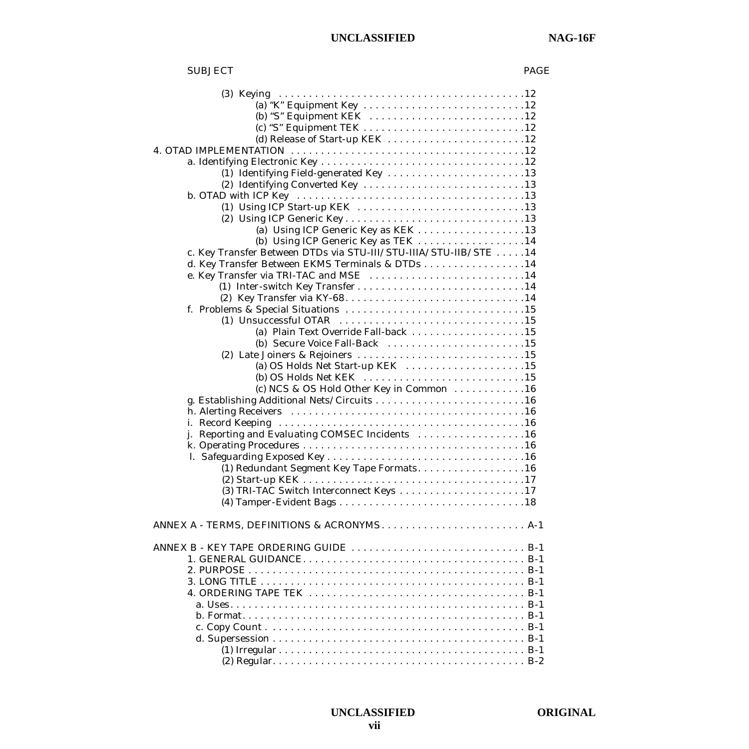| <b>SUBJECT</b>                                                   | <b>PAGE</b> |
|------------------------------------------------------------------|-------------|
|                                                                  |             |
|                                                                  |             |
|                                                                  |             |
|                                                                  |             |
|                                                                  |             |
| <b>4. OTAD IMPLEMENTATION</b>                                    |             |
|                                                                  |             |
|                                                                  |             |
|                                                                  |             |
|                                                                  |             |
|                                                                  |             |
|                                                                  |             |
|                                                                  |             |
| (b) Using ICP Generic Key as TEK 14                              |             |
| c. Key Transfer Between DTDs via STU-III/STU-IIIA/STU-IIB/STE 14 |             |
| d. Key Transfer Between EKMS Terminals & DTDs 14                 |             |
| e. Key Transfer via TRI-TAC and MSE 14                           |             |
|                                                                  |             |
|                                                                  |             |
|                                                                  |             |
|                                                                  |             |
|                                                                  |             |
|                                                                  |             |
|                                                                  |             |
| (a) OS Holds Net Start-up KEK 15                                 |             |
|                                                                  |             |
| (c) NCS & OS Hold Other Key in Common 16                         |             |
|                                                                  |             |
|                                                                  |             |
|                                                                  |             |
| j. Reporting and Evaluating COMSEC Incidents 16                  |             |
|                                                                  |             |
|                                                                  |             |
| (1) Redundant Segment Key Tape Formats. 16                       |             |
|                                                                  |             |
|                                                                  |             |
|                                                                  |             |
|                                                                  |             |
| ANNEX B - KEY TAPE ORDERING GUIDE B-1                            |             |
|                                                                  |             |
|                                                                  |             |
|                                                                  |             |
|                                                                  |             |
|                                                                  |             |
|                                                                  |             |
|                                                                  |             |
|                                                                  |             |
|                                                                  |             |
|                                                                  |             |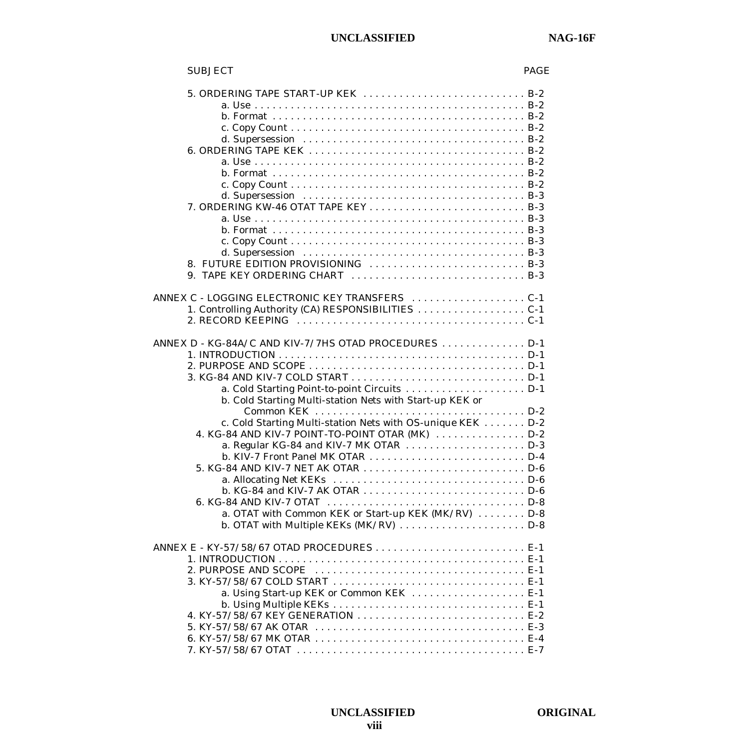| <b>SUBJECT</b>                                             | <b>PAGE</b> |
|------------------------------------------------------------|-------------|
|                                                            |             |
|                                                            |             |
|                                                            |             |
|                                                            |             |
|                                                            |             |
|                                                            |             |
|                                                            |             |
|                                                            |             |
|                                                            |             |
|                                                            |             |
|                                                            |             |
|                                                            |             |
|                                                            |             |
|                                                            |             |
|                                                            |             |
| 8. FUTURE EDITION PROVISIONING  B-3                        |             |
| 9. TAPE KEY ORDERING CHART B-3                             |             |
| ANNEX C - LOGGING ELECTRONIC KEY TRANSFERS C-1             |             |
| 1. Controlling Authority (CA) RESPONSIBILITIES             |             |
|                                                            |             |
|                                                            |             |
| ANNEX D - KG-84A/C AND KIV-7/7HS OTAD PROCEDURES D-1       |             |
|                                                            |             |
|                                                            |             |
|                                                            |             |
|                                                            |             |
| b. Cold Starting Multi-station Nets with Start-up KEK or   |             |
|                                                            |             |
| c. Cold Starting Multi-station Nets with OS-unique KEK D-2 |             |
| 4. KG-84 AND KIV-7 POINT-TO-POINT OTAR (MK) D-2            |             |
| a. Regular KG-84 and KIV-7 MK OTAR  D-3                    |             |
| b. KIV-7 Front Panel MK OTAR D-4                           |             |
|                                                            |             |
|                                                            |             |
|                                                            |             |
|                                                            |             |
| a. OTAT with Common KEK or Start-up KEK (MK/RV) D-8        |             |
|                                                            |             |
|                                                            |             |
|                                                            |             |
|                                                            |             |
|                                                            |             |
|                                                            |             |
|                                                            |             |
|                                                            |             |
|                                                            |             |
|                                                            |             |
|                                                            |             |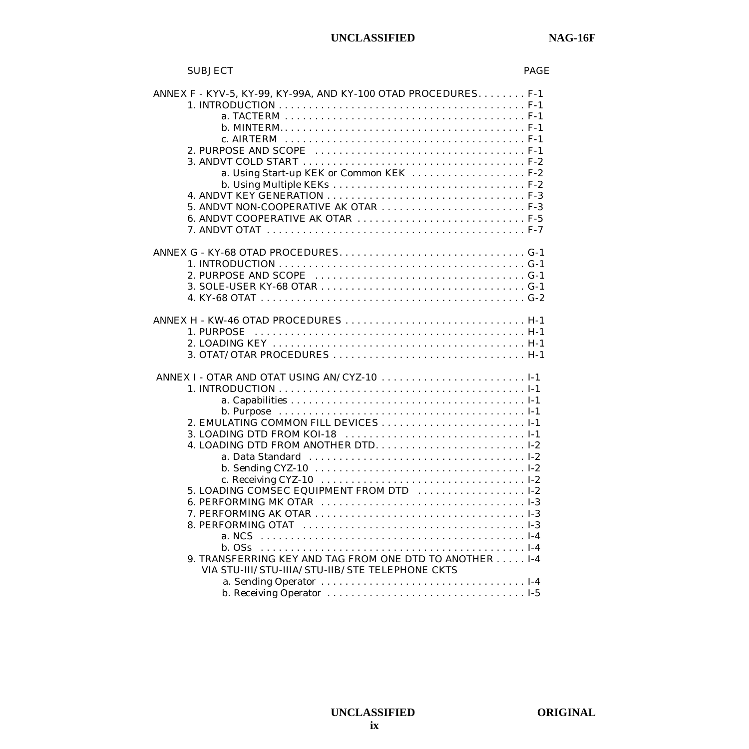| <b>SUBJECT</b>                                                  | <b>PAGE</b> |
|-----------------------------------------------------------------|-------------|
| ANNEX F - KYV-5, KY-99, KY-99A, AND KY-100 OTAD PROCEDURES. F-1 |             |
|                                                                 |             |
|                                                                 |             |
|                                                                 |             |
|                                                                 |             |
|                                                                 |             |
|                                                                 |             |
|                                                                 |             |
|                                                                 |             |
|                                                                 |             |
|                                                                 |             |
| 6. ANDVT COOPERATIVE AK OTAR  F-5                               |             |
|                                                                 |             |
|                                                                 |             |
|                                                                 |             |
|                                                                 |             |
|                                                                 |             |
|                                                                 |             |
|                                                                 |             |
|                                                                 |             |
|                                                                 |             |
|                                                                 |             |
|                                                                 |             |
|                                                                 |             |
| ANNEX I - OTAR AND OTAT USING AN/CYZ-10                         |             |
|                                                                 |             |
|                                                                 |             |
|                                                                 |             |
|                                                                 |             |
|                                                                 |             |
|                                                                 |             |
|                                                                 |             |
|                                                                 |             |
|                                                                 |             |
| 5. LOADING COMSEC EQUIPMENT FROM DTD  I-2                       |             |
|                                                                 |             |
|                                                                 |             |
|                                                                 |             |
|                                                                 |             |
|                                                                 |             |
| 9. TRANSFERRING KEY AND TAG FROM ONE DTD TO ANOTHER I-4         |             |
| VIA STU-III/STU-IIIA/STU-IIB/STE TELEPHONE CKTS                 |             |
|                                                                 |             |
|                                                                 |             |
|                                                                 |             |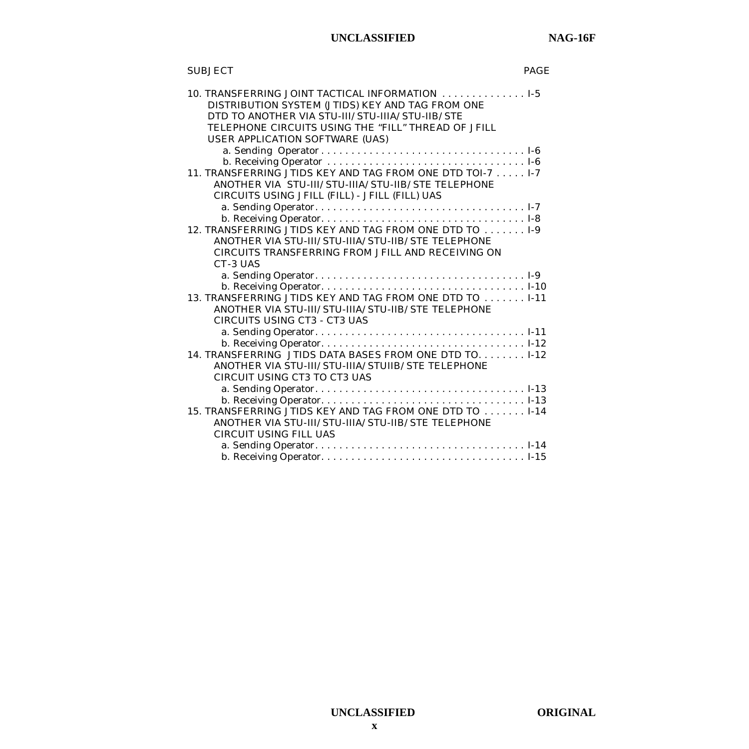#### SUBJECT PAGE 10. TRANSFERRING JOINT TACTICAL INFORMATION . . . . . . . . . . . . . . I-5 DISTRIBUTION SYSTEM (JTIDS) KEY AND TAG FROM ONE DTD TO ANOTHER VIA STU-III/STU-IIIA/STU-IIB/STE TELEPHONE CIRCUITS USING THE "FILL" THREAD OF JFILL USER APPLICATION SOFTWARE (UAS) a. Sending Operator . . . . . . . . . . . . . . . . . . . . . . . . . . . . . . . . . . I-6 b. Receiving Operator . . . . . . . . . . . . . . . . . . . . . . . . . . . . . . . . . I-6 11. TRANSFERRING JTIDS KEY AND TAG FROM ONE DTD TOI-7 . . . . . I-7 ANOTHER VIA STU-III/STU-IIIA/STU-IIB/STE TELEPHONE CIRCUITS USING JFILL (FILL) - JFILL (FILL) UAS a. Sending Operator. . . . . . . . . . . . . . . . . . . . . . . . . . . . . . . . . . . I-7 b. Receiving Operator. . . . . . . . . . . . . . . . . . . . . . . . . . . . . . . . . . I-8 12. TRANSFERRING JTIDS KEY AND TAG FROM ONE DTD TO . . . . . . . I-9 ANOTHER VIA STU-III/STU-IIIA/STU-IIB/STE TELEPHONE CIRCUITS TRANSFERRING FROM JFILL AND RECEIVING ON CT-3 UAS a. Sending Operator. . . . . . . . . . . . . . . . . . . . . . . . . . . . . . . . . . . I-9 b. Receiving Operator. . . . . . . . . . . . . . . . . . . . . . . . . . . . . . . . . . I-10 13. TRANSFERRING JTIDS KEY AND TAG FROM ONE DTD TO . . . . . . . I-11 ANOTHER VIA STU-III/STU-IIIA/STU-IIB/STE TELEPHONE CIRCUITS USING CT3 - CT3 UAS a. Sending Operator. . . . . . . . . . . . . . . . . . . . . . . . . . . . . . . . . . . I-11 b. Receiving Operator. . . . . . . . . . . . . . . . . . . . . . . . . . . . . . . . . . I-12 14. TRANSFERRING JTIDS DATA BASES FROM ONE DTD TO. . . . . . . . I-12 ANOTHER VIA STU-III/STU-IIIA/STUIIB/STE TELEPHONE CIRCUIT USING CT3 TO CT3 UAS a. Sending Operator. . . . . . . . . . . . . . . . . . . . . . . . . . . . . . . . . . . I-13 b. Receiving Operator. . . . . . . . . . . . . . . . . . . . . . . . . . . . . . . . . . I-13 15. TRANSFERRING JTIDS KEY AND TAG FROM ONE DTD TO . . . . . . . I-14 ANOTHER VIA STU-III/STU-IIIA/STU-IIB/STE TELEPHONE CIRCUIT USING FILL UAS a. Sending Operator. . . . . . . . . . . . . . . . . . . . . . . . . . . . . . . . . . . I-14 b. Receiving Operator. . . . . . . . . . . . . . . . . . . . . . . . . . . . . . . . . . I-15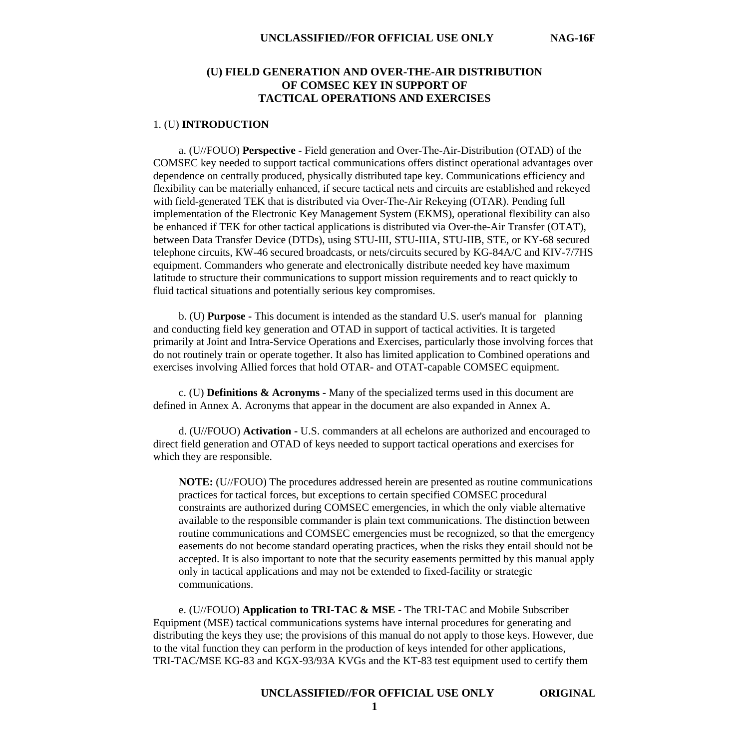#### **UNCLASSIFIED//FOR OFFICIAL USE ONLY NAG-16F**

### **(U) FIELD GENERATION AND OVER-THE-AIR DISTRIBUTION OF COMSEC KEY IN SUPPORT OF TACTICAL OPERATIONS AND EXERCISES**

#### 1. (U) **INTRODUCTION**

a. (U//FOUO) **Perspective -** Field generation and Over-The-Air-Distribution (OTAD) of the COMSEC key needed to support tactical communications offers distinct operational advantages over dependence on centrally produced, physically distributed tape key. Communications efficiency and flexibility can be materially enhanced, if secure tactical nets and circuits are established and rekeyed with field-generated TEK that is distributed via Over-The-Air Rekeying (OTAR). Pending full implementation of the Electronic Key Management System (EKMS), operational flexibility can also be enhanced if TEK for other tactical applications is distributed via Over-the-Air Transfer (OTAT), between Data Transfer Device (DTDs), using STU-III, STU-IIIA, STU-IIB, STE, or KY-68 secured telephone circuits, KW-46 secured broadcasts, or nets/circuits secured by KG-84A/C and KIV-7/7HS equipment. Commanders who generate and electronically distribute needed key have maximum latitude to structure their communications to support mission requirements and to react quickly to fluid tactical situations and potentially serious key compromises.

b. (U) **Purpose -** This document is intended as the standard U.S. user's manual for planning and conducting field key generation and OTAD in support of tactical activities. It is targeted primarily at Joint and Intra-Service Operations and Exercises, particularly those involving forces that do not routinely train or operate together. It also has limited application to Combined operations and exercises involving Allied forces that hold OTAR- and OTAT-capable COMSEC equipment.

c. (U) **Definitions & Acronyms -** Many of the specialized terms used in this document are defined in Annex A. Acronyms that appear in the document are also expanded in Annex A.

d. (U//FOUO) **Activation -** U.S. commanders at all echelons are authorized and encouraged to direct field generation and OTAD of keys needed to support tactical operations and exercises for which they are responsible.

**NOTE:** (U//FOUO) The procedures addressed herein are presented as routine communications practices for tactical forces, but exceptions to certain specified COMSEC procedural constraints are authorized during COMSEC emergencies, in which the only viable alternative available to the responsible commander is plain text communications. The distinction between routine communications and COMSEC emergencies must be recognized, so that the emergency easements do not become standard operating practices, when the risks they entail should not be accepted. It is also important to note that the security easements permitted by this manual apply only in tactical applications and may not be extended to fixed-facility or strategic communications.

e. (U//FOUO) **Application to TRI-TAC & MSE -** The TRI-TAC and Mobile Subscriber Equipment (MSE) tactical communications systems have internal procedures for generating and distributing the keys they use; the provisions of this manual do not apply to those keys. However, due to the vital function they can perform in the production of keys intended for other applications, TRI-TAC/MSE KG-83 and KGX-93/93A KVGs and the KT-83 test equipment used to certify them

#### **UNCLASSIFIED//FOR OFFICIAL USE ONLY ORIGINAL**

**1**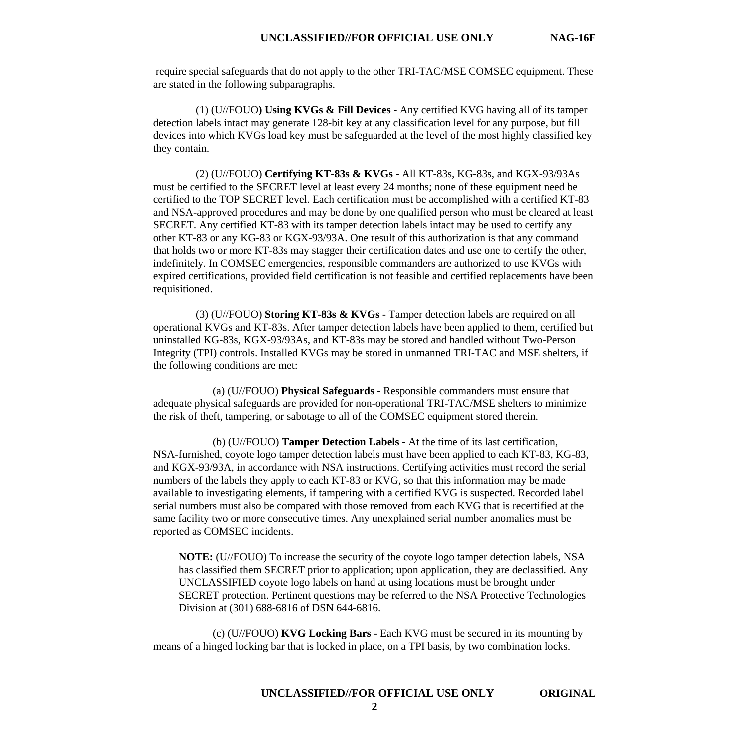require special safeguards that do not apply to the other TRI-TAC/MSE COMSEC equipment. These are stated in the following subparagraphs.

(1) (U//FOUO**) Using KVGs & Fill Devices -** Any certified KVG having all of its tamper detection labels intact may generate 128-bit key at any classification level for any purpose, but fill devices into which KVGs load key must be safeguarded at the level of the most highly classified key they contain.

(2) (U//FOUO) **Certifying KT-83s & KVGs -** All KT-83s, KG-83s, and KGX-93/93As must be certified to the SECRET level at least every 24 months; none of these equipment need be certified to the TOP SECRET level. Each certification must be accomplished with a certified KT-83 and NSA-approved procedures and may be done by one qualified person who must be cleared at least SECRET. Any certified KT-83 with its tamper detection labels intact may be used to certify any other KT-83 or any KG-83 or KGX-93/93A. One result of this authorization is that any command that holds two or more KT-83s may stagger their certification dates and use one to certify the other, indefinitely. In COMSEC emergencies, responsible commanders are authorized to use KVGs with expired certifications, provided field certification is not feasible and certified replacements have been requisitioned.

(3) (U//FOUO) **Storing KT-83s & KVGs -** Tamper detection labels are required on all operational KVGs and KT-83s. After tamper detection labels have been applied to them, certified but uninstalled KG-83s, KGX-93/93As, and KT-83s may be stored and handled without Two-Person Integrity (TPI) controls. Installed KVGs may be stored in unmanned TRI-TAC and MSE shelters, if the following conditions are met:

(a) (U//FOUO) **Physical Safeguards -** Responsible commanders must ensure that adequate physical safeguards are provided for non-operational TRI-TAC/MSE shelters to minimize the risk of theft, tampering, or sabotage to all of the COMSEC equipment stored therein.

(b) (U//FOUO) **Tamper Detection Labels -** At the time of its last certification, NSA-furnished, coyote logo tamper detection labels must have been applied to each KT-83, KG-83, and KGX-93/93A, in accordance with NSA instructions. Certifying activities must record the serial numbers of the labels they apply to each KT-83 or KVG, so that this information may be made available to investigating elements, if tampering with a certified KVG is suspected. Recorded label serial numbers must also be compared with those removed from each KVG that is recertified at the same facility two or more consecutive times. Any unexplained serial number anomalies must be reported as COMSEC incidents.

**NOTE:** (U//FOUO) To increase the security of the coyote logo tamper detection labels, NSA has classified them SECRET prior to application; upon application, they are declassified. Any UNCLASSIFIED coyote logo labels on hand at using locations must be brought under SECRET protection. Pertinent questions may be referred to the NSA Protective Technologies Division at (301) 688-6816 of DSN 644-6816.

(c) (U//FOUO) **KVG Locking Bars -** Each KVG must be secured in its mounting by means of a hinged locking bar that is locked in place, on a TPI basis, by two combination locks.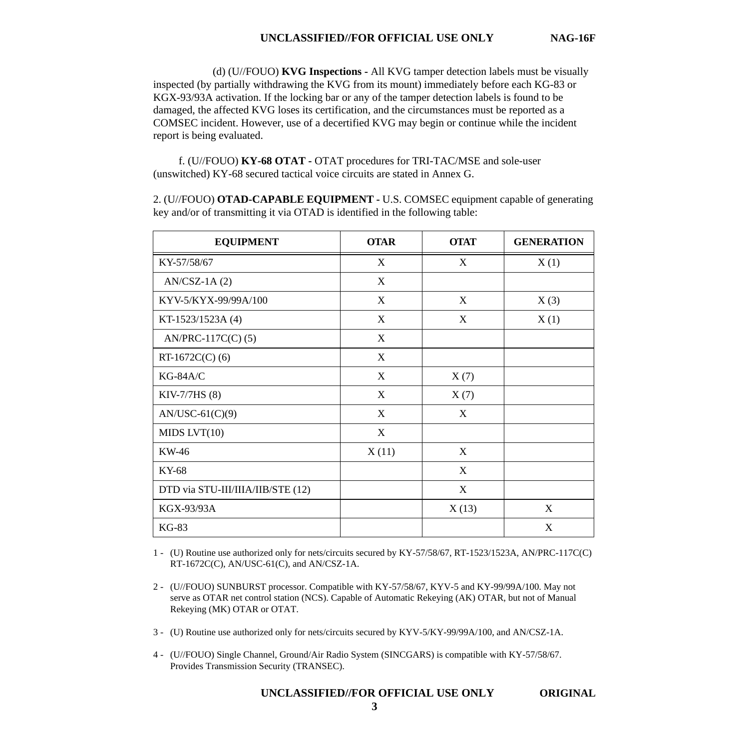(d) (U//FOUO) **KVG Inspections -** All KVG tamper detection labels must be visually inspected (by partially withdrawing the KVG from its mount) immediately before each KG-83 or KGX-93/93A activation. If the locking bar or any of the tamper detection labels is found to be damaged, the affected KVG loses its certification, and the circumstances must be reported as a COMSEC incident. However, use of a decertified KVG may begin or continue while the incident report is being evaluated.

f. (U//FOUO) **KY-68 OTAT -** OTAT procedures for TRI-TAC/MSE and sole-user (unswitched) KY-68 secured tactical voice circuits are stated in Annex G.

2. (U//FOUO) **OTAD-CAPABLE EQUIPMENT -** U.S. COMSEC equipment capable of generating key and/or of transmitting it via OTAD is identified in the following table:

| <b>EQUIPMENT</b>                  | <b>OTAR</b> | <b>OTAT</b> | <b>GENERATION</b> |
|-----------------------------------|-------------|-------------|-------------------|
| KY-57/58/67                       | X           | X           | X(1)              |
| $AN/CSZ-1A(2)$                    | X           |             |                   |
| KYV-5/KYX-99/99A/100              | X           | X           | X(3)              |
| KT-1523/1523A (4)                 | X           | X           | X(1)              |
| $AN/PRC-117C(C)$ (5)              | X           |             |                   |
| $RT-1672C(C)$ (6)                 | X           |             |                   |
| KG-84A/C                          | X           | X(7)        |                   |
| KIV-7/7HS (8)                     | X           | X(7)        |                   |
| $AN/USC-61(C)(9)$                 | X           | X           |                   |
| MIDS LVT $(10)$                   | X           |             |                   |
| <b>KW-46</b>                      | X(11)       | X           |                   |
| KY-68                             |             | X           |                   |
| DTD via STU-III/IIIA/IIB/STE (12) |             | X           |                   |
| KGX-93/93A                        |             | X(13)       | X                 |
| <b>KG-83</b>                      |             |             | X                 |

1 - (U) Routine use authorized only for nets/circuits secured by KY-57/58/67, RT-1523/1523A, AN/PRC-117C(C)  $RT-1672C(C)$ , AN/USC-61(C), and AN/CSZ-1A.

- 2 (U//FOUO) SUNBURST processor. Compatible with KY-57/58/67, KYV-5 and KY-99/99A/100. May not serve as OTAR net control station (NCS). Capable of Automatic Rekeying (AK) OTAR, but not of Manual Rekeying (MK) OTAR or OTAT.
- 3 (U) Routine use authorized only for nets/circuits secured by KYV-5/KY-99/99A/100, and AN/CSZ-1A.
- 4 (U//FOUO) Single Channel, Ground/Air Radio System (SINCGARS) is compatible with KY-57/58/67. Provides Transmission Security (TRANSEC).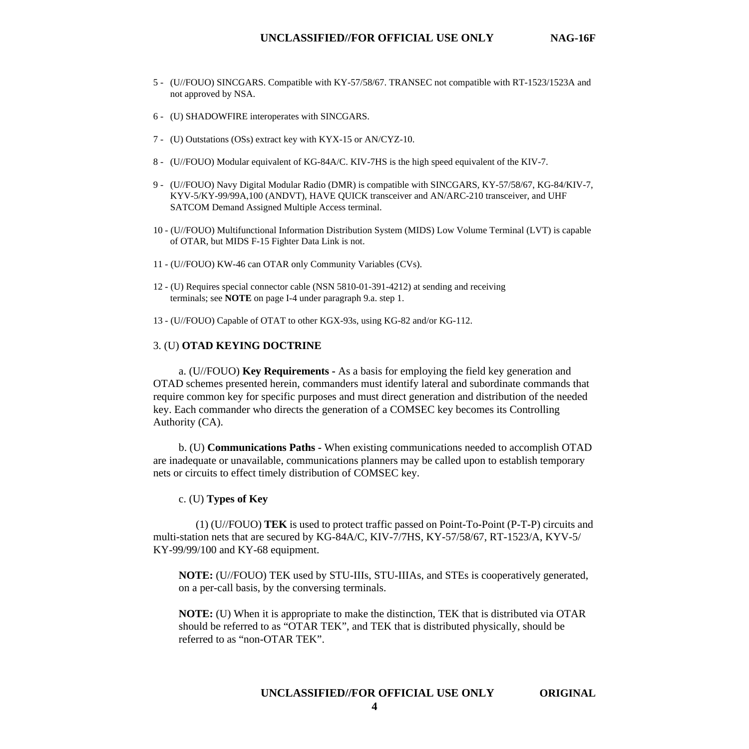- 5 (U//FOUO) SINCGARS. Compatible with KY-57/58/67. TRANSEC not compatible with RT-1523/1523A and not approved by NSA.
- 6 (U) SHADOWFIRE interoperates with SINCGARS.
- 7 (U) Outstations (OSs) extract key with KYX-15 or AN/CYZ-10.
- 8 (U//FOUO) Modular equivalent of KG-84A/C. KIV-7HS is the high speed equivalent of the KIV-7.
- 9 (U//FOUO) Navy Digital Modular Radio (DMR) is compatible with SINCGARS, KY-57/58/67, KG-84/KIV-7, KYV-5/KY-99/99A,100 (ANDVT), HAVE QUICK transceiver and AN/ARC-210 transceiver, and UHF SATCOM Demand Assigned Multiple Access terminal.
- 10 (U//FOUO) Multifunctional Information Distribution System (MIDS) Low Volume Terminal (LVT) is capable of OTAR, but MIDS F-15 Fighter Data Link is not.
- 11 (U//FOUO) KW-46 can OTAR only Community Variables (CVs).
- 12 (U) Requires special connector cable (NSN 5810-01-391-4212) at sending and receiving terminals; see **NOTE** on page I-4 under paragraph 9.a. step 1.
- 13 (U//FOUO) Capable of OTAT to other KGX-93s, using KG-82 and/or KG-112.

#### 3. (U) **OTAD KEYING DOCTRINE**

a. (U//FOUO) **Key Requirements -** As a basis for employing the field key generation and OTAD schemes presented herein, commanders must identify lateral and subordinate commands that require common key for specific purposes and must direct generation and distribution of the needed key. Each commander who directs the generation of a COMSEC key becomes its Controlling Authority (CA).

b. (U) **Communications Paths -** When existing communications needed to accomplish OTAD are inadequate or unavailable, communications planners may be called upon to establish temporary nets or circuits to effect timely distribution of COMSEC key.

#### c. (U) **Types of Key**

(1) (U//FOUO) **TEK** is used to protect traffic passed on Point-To-Point (P-T-P) circuits and multi-station nets that are secured by KG-84A/C, KIV-7/7HS, KY-57/58/67, RT-1523/A, KYV-5/ KY-99/99/100 and KY-68 equipment.

**NOTE:** (U//FOUO) TEK used by STU-IIIs, STU-IIIAs, and STEs is cooperatively generated, on a per-call basis, by the conversing terminals.

**NOTE:** (U) When it is appropriate to make the distinction, TEK that is distributed via OTAR should be referred to as "OTAR TEK", and TEK that is distributed physically, should be referred to as "non-OTAR TEK".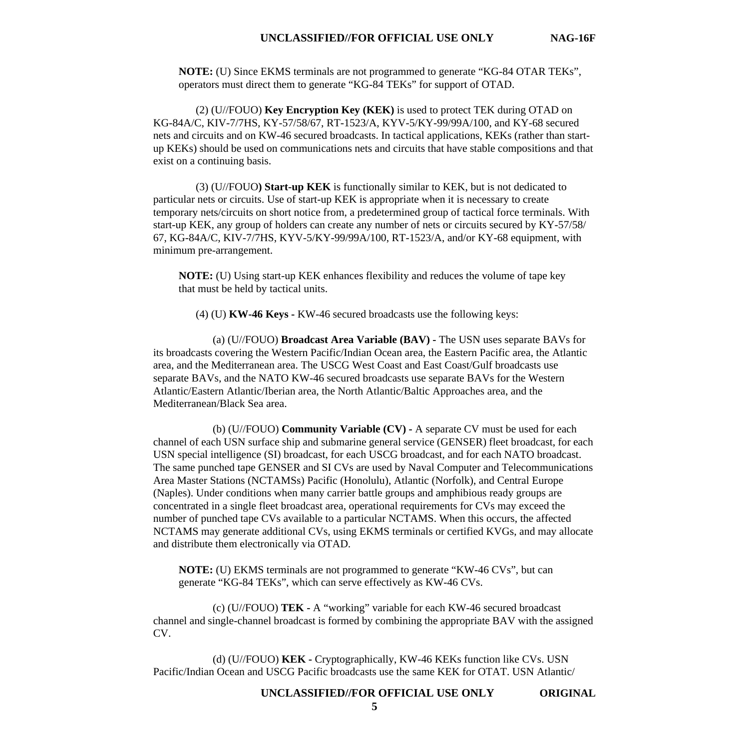**NOTE:** (U) Since EKMS terminals are not programmed to generate "KG-84 OTAR TEKs", operators must direct them to generate "KG-84 TEKs" for support of OTAD.

(2) (U//FOUO) **Key Encryption Key (KEK)** is used to protect TEK during OTAD on KG-84A/C, KIV-7/7HS, KY-57/58/67, RT-1523/A, KYV-5/KY-99/99A/100, and KY-68 secured nets and circuits and on KW-46 secured broadcasts. In tactical applications, KEKs (rather than startup KEKs) should be used on communications nets and circuits that have stable compositions and that exist on a continuing basis.

(3) (U//FOUO**) Start-up KEK** is functionally similar to KEK, but is not dedicated to particular nets or circuits. Use of start-up KEK is appropriate when it is necessary to create temporary nets/circuits on short notice from, a predetermined group of tactical force terminals. With start-up KEK, any group of holders can create any number of nets or circuits secured by KY-57/58/ 67, KG-84A/C, KIV-7/7HS, KYV-5/KY-99/99A/100, RT-1523/A, and/or KY-68 equipment, with minimum pre-arrangement.

**NOTE:** (U) Using start-up KEK enhances flexibility and reduces the volume of tape key that must be held by tactical units.

(4) (U) **KW-46 Keys -** KW-46 secured broadcasts use the following keys:

(a) (U//FOUO) **Broadcast Area Variable (BAV) -** The USN uses separate BAVs for its broadcasts covering the Western Pacific/Indian Ocean area, the Eastern Pacific area, the Atlantic area, and the Mediterranean area. The USCG West Coast and East Coast/Gulf broadcasts use separate BAVs, and the NATO KW-46 secured broadcasts use separate BAVs for the Western Atlantic/Eastern Atlantic/Iberian area, the North Atlantic/Baltic Approaches area, and the Mediterranean/Black Sea area.

(b) (U//FOUO) **Community Variable (CV) -** A separate CV must be used for each channel of each USN surface ship and submarine general service (GENSER) fleet broadcast, for each USN special intelligence (SI) broadcast, for each USCG broadcast, and for each NATO broadcast. The same punched tape GENSER and SI CVs are used by Naval Computer and Telecommunications Area Master Stations (NCTAMSs) Pacific (Honolulu), Atlantic (Norfolk), and Central Europe (Naples). Under conditions when many carrier battle groups and amphibious ready groups are concentrated in a single fleet broadcast area, operational requirements for CVs may exceed the number of punched tape CVs available to a particular NCTAMS. When this occurs, the affected NCTAMS may generate additional CVs, using EKMS terminals or certified KVGs, and may allocate and distribute them electronically via OTAD.

**NOTE:** (U) EKMS terminals are not programmed to generate "KW-46 CVs", but can generate "KG-84 TEKs", which can serve effectively as KW-46 CVs.

(c) (U//FOUO) **TEK -** A "working" variable for each KW-46 secured broadcast channel and single-channel broadcast is formed by combining the appropriate BAV with the assigned CV.

(d) (U//FOUO) **KEK -** Cryptographically, KW-46 KEKs function like CVs. USN Pacific/Indian Ocean and USCG Pacific broadcasts use the same KEK for OTAT. USN Atlantic/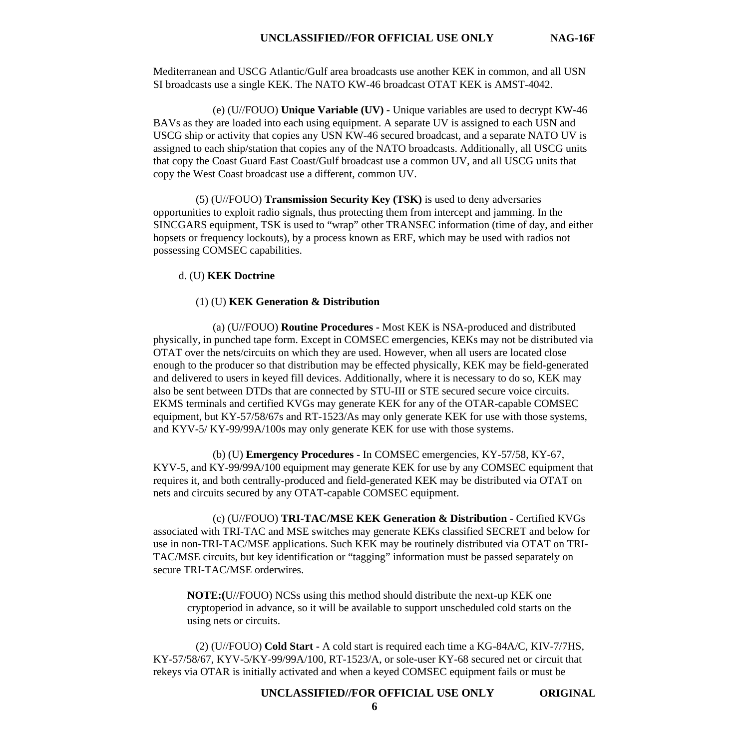Mediterranean and USCG Atlantic/Gulf area broadcasts use another KEK in common, and all USN SI broadcasts use a single KEK. The NATO KW-46 broadcast OTAT KEK is AMST-4042.

(e) (U//FOUO) **Unique Variable (UV) -** Unique variables are used to decrypt KW-46 BAVs as they are loaded into each using equipment. A separate UV is assigned to each USN and USCG ship or activity that copies any USN KW-46 secured broadcast, and a separate NATO UV is assigned to each ship/station that copies any of the NATO broadcasts. Additionally, all USCG units that copy the Coast Guard East Coast/Gulf broadcast use a common UV, and all USCG units that copy the West Coast broadcast use a different, common UV.

(5) (U//FOUO) **Transmission Security Key (TSK)** is used to deny adversaries opportunities to exploit radio signals, thus protecting them from intercept and jamming. In the SINCGARS equipment, TSK is used to "wrap" other TRANSEC information (time of day, and either hopsets or frequency lockouts), by a process known as ERF, which may be used with radios not possessing COMSEC capabilities.

#### d. (U) **KEK Doctrine**

#### (1) (U) **KEK Generation & Distribution**

(a) (U//FOUO) **Routine Procedures -** Most KEK is NSA-produced and distributed physically, in punched tape form. Except in COMSEC emergencies, KEKs may not be distributed via OTAT over the nets/circuits on which they are used. However, when all users are located close enough to the producer so that distribution may be effected physically, KEK may be field-generated and delivered to users in keyed fill devices. Additionally, where it is necessary to do so, KEK may also be sent between DTDs that are connected by STU-III or STE secured secure voice circuits. EKMS terminals and certified KVGs may generate KEK for any of the OTAR-capable COMSEC equipment, but KY-57/58/67s and RT-1523/As may only generate KEK for use with those systems, and KYV-5/ KY-99/99A/100s may only generate KEK for use with those systems.

(b) (U) **Emergency Procedures -** In COMSEC emergencies, KY-57/58, KY-67, KYV-5, and KY-99/99A/100 equipment may generate KEK for use by any COMSEC equipment that requires it, and both centrally-produced and field-generated KEK may be distributed via OTAT on nets and circuits secured by any OTAT-capable COMSEC equipment.

(c) (U//FOUO) **TRI-TAC/MSE KEK Generation & Distribution -** Certified KVGs associated with TRI-TAC and MSE switches may generate KEKs classified SECRET and below for use in non-TRI-TAC/MSE applications. Such KEK may be routinely distributed via OTAT on TRI-TAC/MSE circuits, but key identification or "tagging" information must be passed separately on secure TRI-TAC/MSE orderwires.

**NOTE:(**U//FOUO) NCSs using this method should distribute the next-up KEK one cryptoperiod in advance, so it will be available to support unscheduled cold starts on the using nets or circuits.

(2) (U//FOUO) **Cold Start -** A cold start is required each time a KG-84A/C, KIV-7/7HS, KY-57/58/67, KYV-5/KY-99/99A/100, RT-1523/A, or sole-user KY-68 secured net or circuit that rekeys via OTAR is initially activated and when a keyed COMSEC equipment fails or must be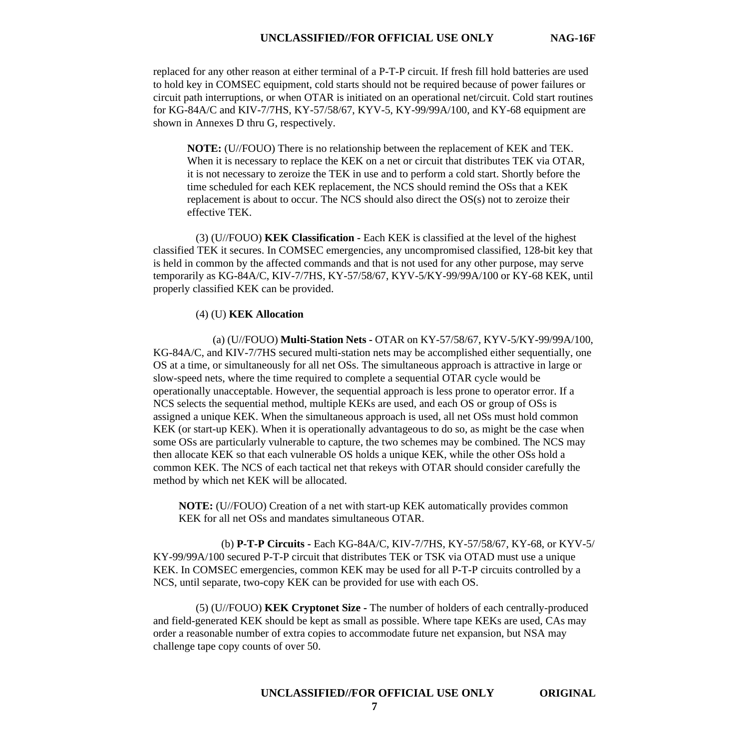replaced for any other reason at either terminal of a P-T-P circuit. If fresh fill hold batteries are used to hold key in COMSEC equipment, cold starts should not be required because of power failures or circuit path interruptions, or when OTAR is initiated on an operational net/circuit. Cold start routines for KG-84A/C and KIV-7/7HS, KY-57/58/67, KYV-5, KY-99/99A/100, and KY-68 equipment are shown in Annexes D thru G, respectively.

**NOTE:** (U//FOUO) There is no relationship between the replacement of KEK and TEK. When it is necessary to replace the KEK on a net or circuit that distributes TEK via OTAR, it is not necessary to zeroize the TEK in use and to perform a cold start. Shortly before the time scheduled for each KEK replacement, the NCS should remind the OSs that a KEK replacement is about to occur. The NCS should also direct the OS(s) not to zeroize their effective TEK.

(3) (U//FOUO) **KEK Classification -** Each KEK is classified at the level of the highest classified TEK it secures. In COMSEC emergencies, any uncompromised classified, 128-bit key that is held in common by the affected commands and that is not used for any other purpose, may serve temporarily as KG-84A/C, KIV-7/7HS, KY-57/58/67, KYV-5/KY-99/99A/100 or KY-68 KEK, until properly classified KEK can be provided.

#### (4) (U) **KEK Allocation**

(a) (U//FOUO) **Multi-Station Nets -** OTAR on KY-57/58/67, KYV-5/KY-99/99A/100, KG-84A/C, and KIV-7/7HS secured multi-station nets may be accomplished either sequentially, one OS at a time, or simultaneously for all net OSs. The simultaneous approach is attractive in large or slow-speed nets, where the time required to complete a sequential OTAR cycle would be operationally unacceptable. However, the sequential approach is less prone to operator error. If a NCS selects the sequential method, multiple KEKs are used, and each OS or group of OSs is assigned a unique KEK. When the simultaneous approach is used, all net OSs must hold common KEK (or start-up KEK). When it is operationally advantageous to do so, as might be the case when some OSs are particularly vulnerable to capture, the two schemes may be combined. The NCS may then allocate KEK so that each vulnerable OS holds a unique KEK, while the other OSs hold a common KEK. The NCS of each tactical net that rekeys with OTAR should consider carefully the method by which net KEK will be allocated.

**NOTE:** (U//FOUO) Creation of a net with start-up KEK automatically provides common KEK for all net OSs and mandates simultaneous OTAR.

(b) **P-T-P Circuits -** Each KG-84A/C, KIV-7/7HS, KY-57/58/67, KY-68, or KYV-5/ KY-99/99A/100 secured P-T-P circuit that distributes TEK or TSK via OTAD must use a unique KEK. In COMSEC emergencies, common KEK may be used for all P-T-P circuits controlled by a NCS, until separate, two-copy KEK can be provided for use with each OS.

(5) (U//FOUO) **KEK Cryptonet Size -** The number of holders of each centrally-produced and field-generated KEK should be kept as small as possible. Where tape KEKs are used, CAs may order a reasonable number of extra copies to accommodate future net expansion, but NSA may challenge tape copy counts of over 50.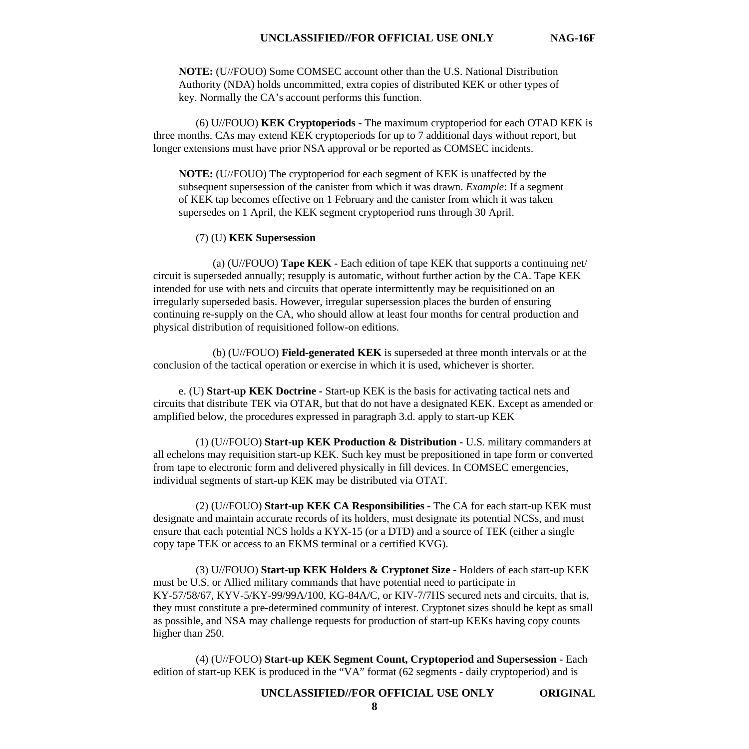**NOTE:** (U//FOUO) Some COMSEC account other than the U.S. National Distribution Authority (NDA) holds uncommitted, extra copies of distributed KEK or other types of key. Normally the CA's account performs this function.

(6) U//FOUO) **KEK Cryptoperiods -** The maximum cryptoperiod for each OTAD KEK is three months. CAs may extend KEK cryptoperiods for up to 7 additional days without report, but longer extensions must have prior NSA approval or be reported as COMSEC incidents.

**NOTE:** (U//FOUO) The cryptoperiod for each segment of KEK is unaffected by the subsequent supersession of the canister from which it was drawn. *Example*: If a segment of KEK tap becomes effective on 1 February and the canister from which it was taken supersedes on 1 April, the KEK segment cryptoperiod runs through 30 April.

#### (7) (U) **KEK Supersession**

(a) (U//FOUO) **Tape KEK -** Each edition of tape KEK that supports a continuing net/ circuit is superseded annually; resupply is automatic, without further action by the CA. Tape KEK intended for use with nets and circuits that operate intermittently may be requisitioned on an irregularly superseded basis. However, irregular supersession places the burden of ensuring continuing re-supply on the CA, who should allow at least four months for central production and physical distribution of requisitioned follow-on editions.

(b) (U//FOUO) **Field-generated KEK** is superseded at three month intervals or at the conclusion of the tactical operation or exercise in which it is used, whichever is shorter.

e. (U) **Start-up KEK Doctrine -** Start-up KEK is the basis for activating tactical nets and circuits that distribute TEK via OTAR, but that do not have a designated KEK. Except as amended or amplified below, the procedures expressed in paragraph 3.d. apply to start-up KEK

(1) (U//FOUO) **Start-up KEK Production & Distribution -** U.S. military commanders at all echelons may requisition start-up KEK. Such key must be prepositioned in tape form or converted from tape to electronic form and delivered physically in fill devices. In COMSEC emergencies, individual segments of start-up KEK may be distributed via OTAT.

(2) (U//FOUO) **Start-up KEK CA Responsibilities -** The CA for each start-up KEK must designate and maintain accurate records of its holders, must designate its potential NCSs, and must ensure that each potential NCS holds a KYX-15 (or a DTD) and a source of TEK (either a single copy tape TEK or access to an EKMS terminal or a certified KVG).

(3) U//FOUO) **Start-up KEK Holders & Cryptonet Size -** Holders of each start-up KEK must be U.S. or Allied military commands that have potential need to participate in KY-57/58/67, KYV-5/KY-99/99A/100, KG-84A/C, or KIV-7/7HS secured nets and circuits, that is, they must constitute a pre-determined community of interest. Cryptonet sizes should be kept as small as possible, and NSA may challenge requests for production of start-up KEKs having copy counts higher than 250.

(4) (U//FOUO) **Start-up KEK Segment Count, Cryptoperiod and Supersession -** Each edition of start-up KEK is produced in the "VA" format (62 segments - daily cryptoperiod) and is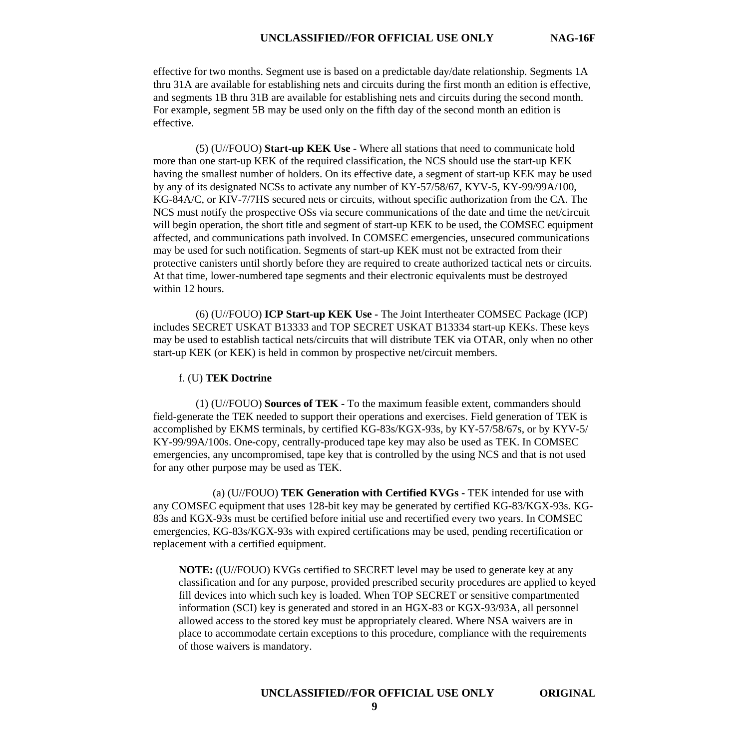effective for two months. Segment use is based on a predictable day/date relationship. Segments 1A thru 31A are available for establishing nets and circuits during the first month an edition is effective, and segments 1B thru 31B are available for establishing nets and circuits during the second month. For example, segment 5B may be used only on the fifth day of the second month an edition is effective.

(5) (U//FOUO) **Start-up KEK Use -** Where all stations that need to communicate hold more than one start-up KEK of the required classification, the NCS should use the start-up KEK having the smallest number of holders. On its effective date, a segment of start-up KEK may be used by any of its designated NCSs to activate any number of KY-57/58/67, KYV-5, KY-99/99A/100, KG-84A/C, or KIV-7/7HS secured nets or circuits, without specific authorization from the CA. The NCS must notify the prospective OSs via secure communications of the date and time the net/circuit will begin operation, the short title and segment of start-up KEK to be used, the COMSEC equipment affected, and communications path involved. In COMSEC emergencies, unsecured communications may be used for such notification. Segments of start-up KEK must not be extracted from their protective canisters until shortly before they are required to create authorized tactical nets or circuits. At that time, lower-numbered tape segments and their electronic equivalents must be destroyed within 12 hours.

(6) (U//FOUO) **ICP Start-up KEK Use -** The Joint Intertheater COMSEC Package (ICP) includes SECRET USKAT B13333 and TOP SECRET USKAT B13334 start-up KEKs. These keys may be used to establish tactical nets/circuits that will distribute TEK via OTAR, only when no other start-up KEK (or KEK) is held in common by prospective net/circuit members.

#### f. (U) **TEK Doctrine**

(1) (U//FOUO) **Sources of TEK -** To the maximum feasible extent, commanders should field-generate the TEK needed to support their operations and exercises. Field generation of TEK is accomplished by EKMS terminals, by certified KG-83s/KGX-93s, by KY-57/58/67s, or by KYV-5/ KY-99/99A/100s. One-copy, centrally-produced tape key may also be used as TEK. In COMSEC emergencies, any uncompromised, tape key that is controlled by the using NCS and that is not used for any other purpose may be used as TEK.

(a) (U//FOUO) **TEK Generation with Certified KVGs -** TEK intended for use with any COMSEC equipment that uses 128-bit key may be generated by certified KG-83/KGX-93s. KG-83s and KGX-93s must be certified before initial use and recertified every two years. In COMSEC emergencies, KG-83s/KGX-93s with expired certifications may be used, pending recertification or replacement with a certified equipment.

**NOTE:** ((U//FOUO) KVGs certified to SECRET level may be used to generate key at any classification and for any purpose, provided prescribed security procedures are applied to keyed fill devices into which such key is loaded. When TOP SECRET or sensitive compartmented information (SCI) key is generated and stored in an HGX-83 or KGX-93/93A, all personnel allowed access to the stored key must be appropriately cleared. Where NSA waivers are in place to accommodate certain exceptions to this procedure, compliance with the requirements of those waivers is mandatory.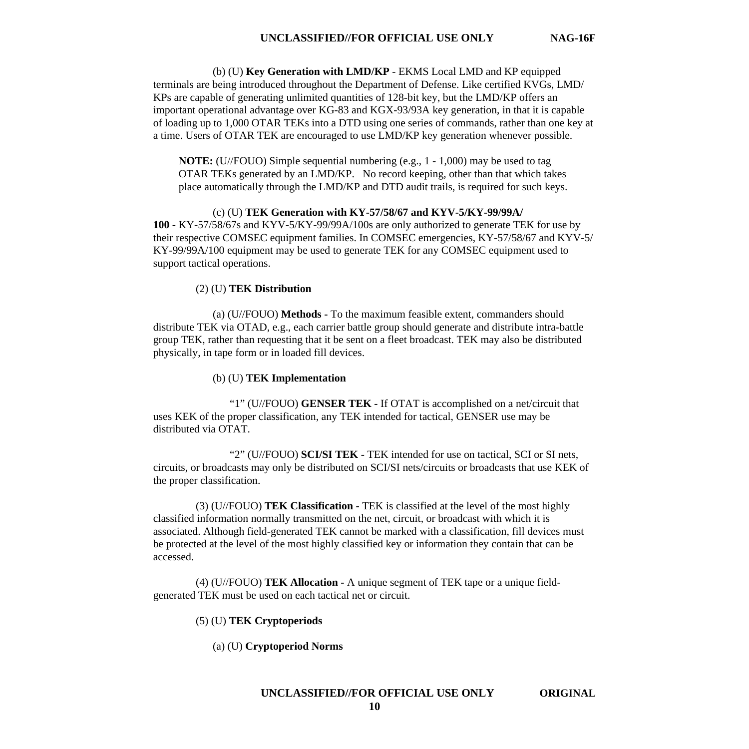(b) (U) **Key Generation with LMD/KP** - EKMS Local LMD and KP equipped terminals are being introduced throughout the Department of Defense. Like certified KVGs, LMD/ KPs are capable of generating unlimited quantities of 128-bit key, but the LMD/KP offers an important operational advantage over KG-83 and KGX-93/93A key generation, in that it is capable of loading up to 1,000 OTAR TEKs into a DTD using one series of commands, rather than one key at a time. Users of OTAR TEK are encouraged to use LMD/KP key generation whenever possible.

**NOTE:** (U//FOUO) Simple sequential numbering (e.g., 1 - 1,000) may be used to tag OTAR TEKs generated by an LMD/KP. No record keeping, other than that which takes place automatically through the LMD/KP and DTD audit trails, is required for such keys.

#### (c) (U) **TEK Generation with KY-57/58/67 and KYV-5/KY-99/99A/**

**100 -** KY-57/58/67s and KYV-5/KY-99/99A/100s are only authorized to generate TEK for use by their respective COMSEC equipment families. In COMSEC emergencies, KY-57/58/67 and KYV-5/ KY-99/99A/100 equipment may be used to generate TEK for any COMSEC equipment used to support tactical operations.

#### (2) (U) **TEK Distribution**

(a) (U//FOUO) **Methods -** To the maximum feasible extent, commanders should distribute TEK via OTAD, e.g., each carrier battle group should generate and distribute intra-battle group TEK, rather than requesting that it be sent on a fleet broadcast. TEK may also be distributed physically, in tape form or in loaded fill devices.

#### (b) (U) **TEK Implementation**

"1" (U//FOUO) **GENSER TEK -** If OTAT is accomplished on a net/circuit that uses KEK of the proper classification, any TEK intended for tactical, GENSER use may be distributed via OTAT.

"2" (U//FOUO) **SCI/SI TEK -** TEK intended for use on tactical, SCI or SI nets, circuits, or broadcasts may only be distributed on SCI/SI nets/circuits or broadcasts that use KEK of the proper classification.

(3) (U//FOUO) **TEK Classification -** TEK is classified at the level of the most highly classified information normally transmitted on the net, circuit, or broadcast with which it is associated. Although field-generated TEK cannot be marked with a classification, fill devices must be protected at the level of the most highly classified key or information they contain that can be accessed.

(4) (U//FOUO) **TEK Allocation -** A unique segment of TEK tape or a unique fieldgenerated TEK must be used on each tactical net or circuit.

### (5) (U) **TEK Cryptoperiods**

### (a) (U) **Cryptoperiod Norms**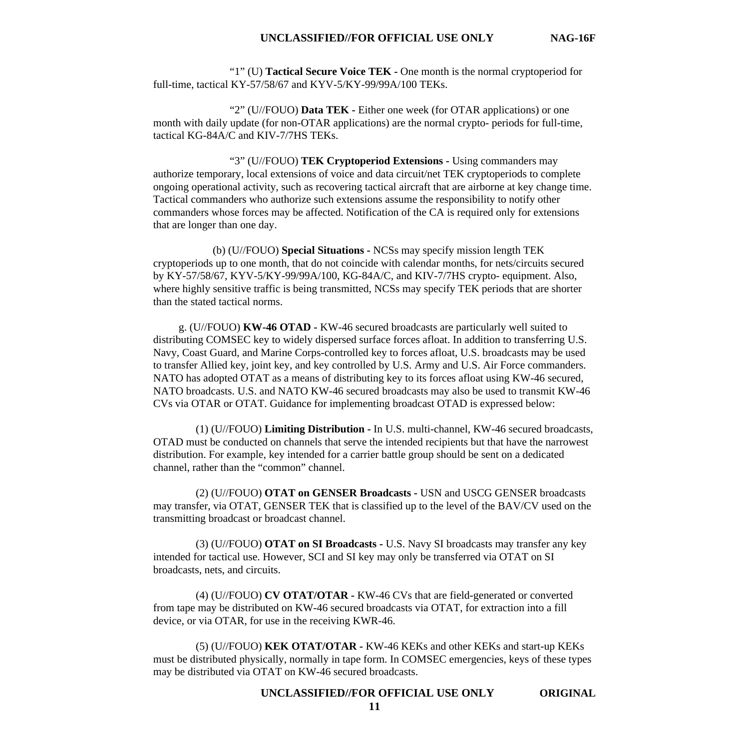#### **UNCLASSIFIED//FOR OFFICIAL USE ONLY NAG-16F**

"1" (U) **Tactical Secure Voice TEK -** One month is the normal cryptoperiod for full-time, tactical KY-57/58/67 and KYV-5/KY-99/99A/100 TEKs.

"2" (U//FOUO) **Data TEK -** Either one week (for OTAR applications) or one month with daily update (for non-OTAR applications) are the normal crypto- periods for full-time, tactical KG-84A/C and KIV-7/7HS TEKs.

"3" (U//FOUO) **TEK Cryptoperiod Extensions -** Using commanders may authorize temporary, local extensions of voice and data circuit/net TEK cryptoperiods to complete ongoing operational activity, such as recovering tactical aircraft that are airborne at key change time. Tactical commanders who authorize such extensions assume the responsibility to notify other commanders whose forces may be affected. Notification of the CA is required only for extensions that are longer than one day.

(b) (U//FOUO) **Special Situations -** NCSs may specify mission length TEK cryptoperiods up to one month, that do not coincide with calendar months, for nets/circuits secured by KY-57/58/67, KYV-5/KY-99/99A/100, KG-84A/C, and KIV-7/7HS crypto- equipment. Also, where highly sensitive traffic is being transmitted, NCSs may specify TEK periods that are shorter than the stated tactical norms.

g. (U//FOUO) **KW-46 OTAD -** KW-46 secured broadcasts are particularly well suited to distributing COMSEC key to widely dispersed surface forces afloat. In addition to transferring U.S. Navy, Coast Guard, and Marine Corps-controlled key to forces afloat, U.S. broadcasts may be used to transfer Allied key, joint key, and key controlled by U.S. Army and U.S. Air Force commanders. NATO has adopted OTAT as a means of distributing key to its forces afloat using KW-46 secured, NATO broadcasts. U.S. and NATO KW-46 secured broadcasts may also be used to transmit KW-46 CVs via OTAR or OTAT. Guidance for implementing broadcast OTAD is expressed below:

(1) (U//FOUO) **Limiting Distribution -** In U.S. multi-channel, KW-46 secured broadcasts, OTAD must be conducted on channels that serve the intended recipients but that have the narrowest distribution. For example, key intended for a carrier battle group should be sent on a dedicated channel, rather than the "common" channel.

(2) (U//FOUO) **OTAT on GENSER Broadcasts -** USN and USCG GENSER broadcasts may transfer, via OTAT, GENSER TEK that is classified up to the level of the BAV/CV used on the transmitting broadcast or broadcast channel.

(3) (U//FOUO) **OTAT on SI Broadcasts -** U.S. Navy SI broadcasts may transfer any key intended for tactical use. However, SCI and SI key may only be transferred via OTAT on SI broadcasts, nets, and circuits.

(4) (U//FOUO) **CV OTAT/OTAR -** KW-46 CVs that are field-generated or converted from tape may be distributed on KW-46 secured broadcasts via OTAT, for extraction into a fill device, or via OTAR, for use in the receiving KWR-46.

(5) (U//FOUO) **KEK OTAT/OTAR -** KW-46 KEKs and other KEKs and start-up KEKs must be distributed physically, normally in tape form. In COMSEC emergencies, keys of these types may be distributed via OTAT on KW-46 secured broadcasts.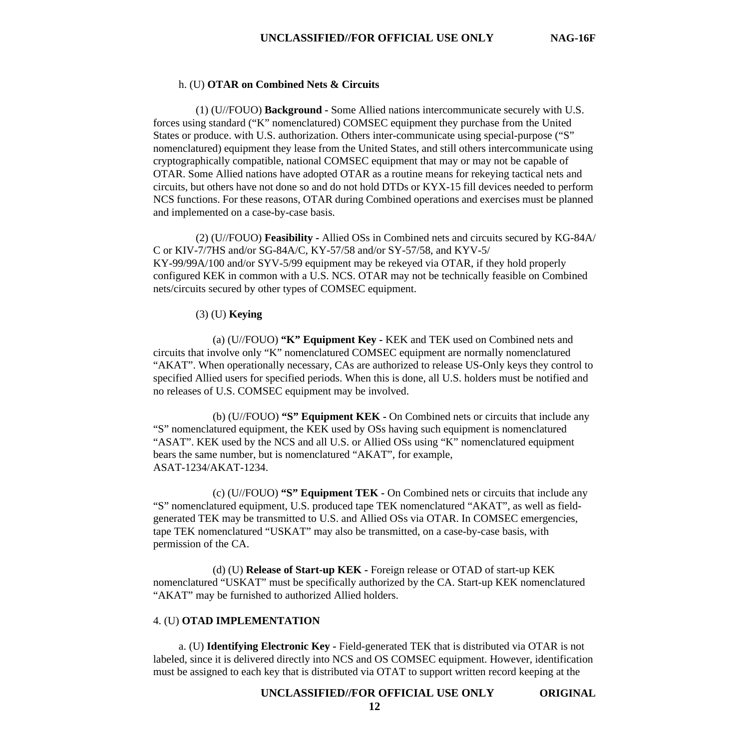#### h. (U) **OTAR on Combined Nets & Circuits**

(1) (U//FOUO) **Background -** Some Allied nations intercommunicate securely with U.S. forces using standard ("K" nomenclatured) COMSEC equipment they purchase from the United States or produce. with U.S. authorization. Others inter-communicate using special-purpose ("S" nomenclatured) equipment they lease from the United States, and still others intercommunicate using cryptographically compatible, national COMSEC equipment that may or may not be capable of OTAR. Some Allied nations have adopted OTAR as a routine means for rekeying tactical nets and circuits, but others have not done so and do not hold DTDs or KYX-15 fill devices needed to perform NCS functions. For these reasons, OTAR during Combined operations and exercises must be planned and implemented on a case-by-case basis.

(2) (U//FOUO) **Feasibility -** Allied OSs in Combined nets and circuits secured by KG-84A/ C or KIV-7/7HS and/or SG-84A/C, KY-57/58 and/or SY-57/58, and KYV-5/ KY-99/99A/100 and/or SYV-5/99 equipment may be rekeyed via OTAR, if they hold properly configured KEK in common with a U.S. NCS. OTAR may not be technically feasible on Combined nets/circuits secured by other types of COMSEC equipment.

#### (3) (U) **Keying**

(a) (U//FOUO) **"K" Equipment Key -** KEK and TEK used on Combined nets and circuits that involve only "K" nomenclatured COMSEC equipment are normally nomenclatured "AKAT". When operationally necessary, CAs are authorized to release US-Only keys they control to specified Allied users for specified periods. When this is done, all U.S. holders must be notified and no releases of U.S. COMSEC equipment may be involved.

(b) (U//FOUO) **"S" Equipment KEK -** On Combined nets or circuits that include any "S" nomenclatured equipment, the KEK used by OSs having such equipment is nomenclatured "ASAT". KEK used by the NCS and all U.S. or Allied OSs using "K" nomenclatured equipment bears the same number, but is nomenclatured "AKAT", for example, ASAT-1234/AKAT-1234.

(c) (U//FOUO) **"S" Equipment TEK -** On Combined nets or circuits that include any "S" nomenclatured equipment, U.S. produced tape TEK nomenclatured "AKAT", as well as fieldgenerated TEK may be transmitted to U.S. and Allied OSs via OTAR. In COMSEC emergencies, tape TEK nomenclatured "USKAT" may also be transmitted, on a case-by-case basis, with permission of the CA.

(d) (U) **Release of Start-up KEK -** Foreign release or OTAD of start-up KEK nomenclatured "USKAT" must be specifically authorized by the CA. Start-up KEK nomenclatured "AKAT" may be furnished to authorized Allied holders.

### 4. (U) **OTAD IMPLEMENTATION**

a. (U) **Identifying Electronic Key -** Field-generated TEK that is distributed via OTAR is not labeled, since it is delivered directly into NCS and OS COMSEC equipment. However, identification must be assigned to each key that is distributed via OTAT to support written record keeping at the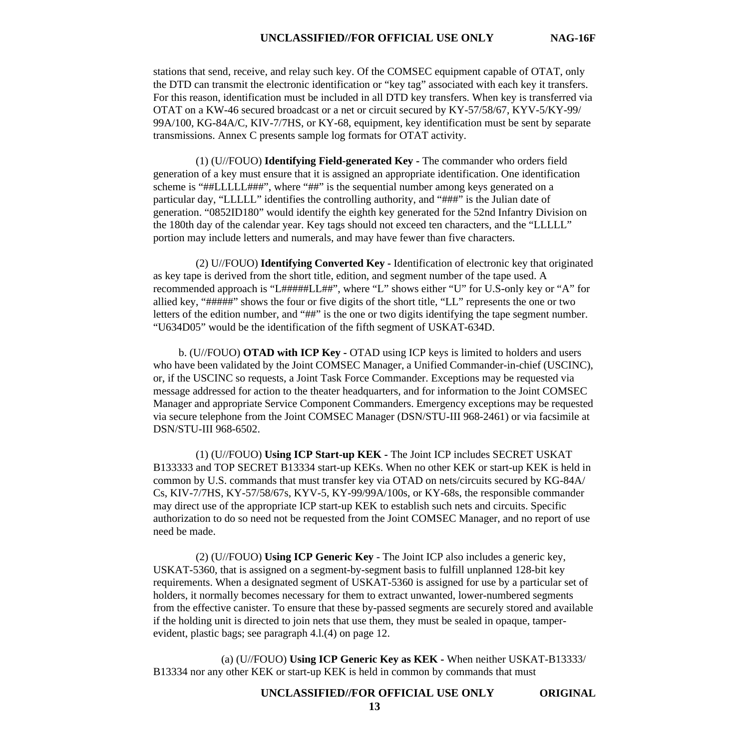stations that send, receive, and relay such key. Of the COMSEC equipment capable of OTAT, only the DTD can transmit the electronic identification or "key tag" associated with each key it transfers. For this reason, identification must be included in all DTD key transfers. When key is transferred via OTAT on a KW-46 secured broadcast or a net or circuit secured by KY-57/58/67, KYV-5/KY-99/ 99A/100, KG-84A/C, KIV-7/7HS, or KY-68, equipment, key identification must be sent by separate transmissions. Annex C presents sample log formats for OTAT activity.

(1) (U//FOUO) **Identifying Field-generated Key -** The commander who orders field generation of a key must ensure that it is assigned an appropriate identification. One identification scheme is "##LLLLL###", where "##" is the sequential number among keys generated on a particular day, "LLLLL" identifies the controlling authority, and "###" is the Julian date of generation. "0852ID180" would identify the eighth key generated for the 52nd Infantry Division on the 180th day of the calendar year. Key tags should not exceed ten characters, and the "LLLLL" portion may include letters and numerals, and may have fewer than five characters.

(2) U//FOUO) **Identifying Converted Key -** Identification of electronic key that originated as key tape is derived from the short title, edition, and segment number of the tape used. A recommended approach is "L#####LL##", where "L" shows either "U" for U.S-only key or "A" for allied key, "#####" shows the four or five digits of the short title, "LL" represents the one or two letters of the edition number, and "##" is the one or two digits identifying the tape segment number. "U634D05" would be the identification of the fifth segment of USKAT-634D.

b. (U//FOUO) **OTAD with ICP Key -** OTAD using ICP keys is limited to holders and users who have been validated by the Joint COMSEC Manager, a Unified Commander-in-chief (USCINC), or, if the USCINC so requests, a Joint Task Force Commander. Exceptions may be requested via message addressed for action to the theater headquarters, and for information to the Joint COMSEC Manager and appropriate Service Component Commanders. Emergency exceptions may be requested via secure telephone from the Joint COMSEC Manager (DSN/STU-III 968-2461) or via facsimile at DSN/STU-III 968-6502.

(1) (U//FOUO) **Using ICP Start-up KEK -** The Joint ICP includes SECRET USKAT B133333 and TOP SECRET B13334 start-up KEKs. When no other KEK or start-up KEK is held in common by U.S. commands that must transfer key via OTAD on nets/circuits secured by KG-84A/ Cs, KIV-7/7HS, KY-57/58/67s, KYV-5, KY-99/99A/100s, or KY-68s, the responsible commander may direct use of the appropriate ICP start-up KEK to establish such nets and circuits. Specific authorization to do so need not be requested from the Joint COMSEC Manager, and no report of use need be made.

(2) (U//FOUO) **Using ICP Generic Key** - The Joint ICP also includes a generic key, USKAT-5360, that is assigned on a segment-by-segment basis to fulfill unplanned 128-bit key requirements. When a designated segment of USKAT-5360 is assigned for use by a particular set of holders, it normally becomes necessary for them to extract unwanted, lower-numbered segments from the effective canister. To ensure that these by-passed segments are securely stored and available if the holding unit is directed to join nets that use them, they must be sealed in opaque, tamperevident, plastic bags; see paragraph 4.l.(4) on page 12.

(a) (U//FOUO) **Using ICP Generic Key as KEK -** When neither USKAT-B13333/ B13334 nor any other KEK or start-up KEK is held in common by commands that must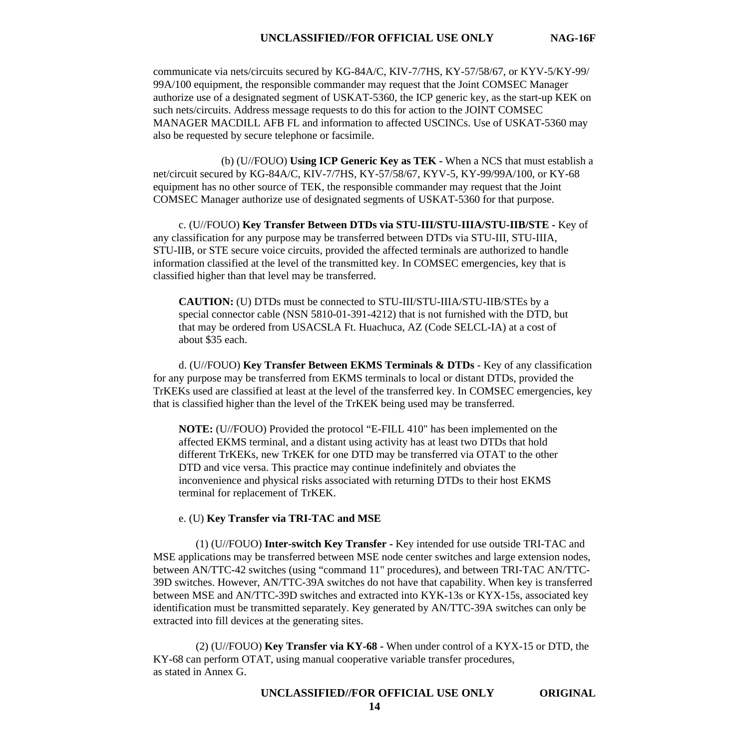communicate via nets/circuits secured by KG-84A/C, KIV-7/7HS, KY-57/58/67, or KYV-5/KY-99/ 99A/100 equipment, the responsible commander may request that the Joint COMSEC Manager authorize use of a designated segment of USKAT-5360, the ICP generic key, as the start-up KEK on such nets/circuits. Address message requests to do this for action to the JOINT COMSEC MANAGER MACDILL AFB FL and information to affected USCINCs. Use of USKAT-5360 may also be requested by secure telephone or facsimile.

(b) (U//FOUO) **Using ICP Generic Key as TEK -** When a NCS that must establish a net/circuit secured by KG-84A/C, KIV-7/7HS, KY-57/58/67, KYV-5, KY-99/99A/100, or KY-68 equipment has no other source of TEK, the responsible commander may request that the Joint COMSEC Manager authorize use of designated segments of USKAT-5360 for that purpose.

c. (U//FOUO) **Key Transfer Between DTDs via STU-III/STU-IIIA/STU-IIB/STE -** Key of any classification for any purpose may be transferred between DTDs via STU-III, STU-IIIA, STU-IIB, or STE secure voice circuits, provided the affected terminals are authorized to handle information classified at the level of the transmitted key. In COMSEC emergencies, key that is classified higher than that level may be transferred.

**CAUTION:** (U) DTDs must be connected to STU-III/STU-IIIA/STU-IIB/STEs by a special connector cable (NSN 5810-01-391-4212) that is not furnished with the DTD, but that may be ordered from USACSLA Ft. Huachuca, AZ (Code SELCL-IA) at a cost of about \$35 each.

d. (U//FOUO) **Key Transfer Between EKMS Terminals & DTDs** - Key of any classification for any purpose may be transferred from EKMS terminals to local or distant DTDs, provided the TrKEKs used are classified at least at the level of the transferred key. In COMSEC emergencies, key that is classified higher than the level of the TrKEK being used may be transferred.

**NOTE:** (U//FOUO) Provided the protocol "E-FILL 410" has been implemented on the affected EKMS terminal, and a distant using activity has at least two DTDs that hold different TrKEKs, new TrKEK for one DTD may be transferred via OTAT to the other DTD and vice versa. This practice may continue indefinitely and obviates the inconvenience and physical risks associated with returning DTDs to their host EKMS terminal for replacement of TrKEK.

#### e. (U) **Key Transfer via TRI-TAC and MSE**

(1) (U//FOUO) **Inter-switch Key Transfer -** Key intended for use outside TRI-TAC and MSE applications may be transferred between MSE node center switches and large extension nodes, between AN/TTC-42 switches (using "command 11" procedures), and between TRI-TAC AN/TTC-39D switches. However, AN/TTC-39A switches do not have that capability. When key is transferred between MSE and AN/TTC-39D switches and extracted into KYK-13s or KYX-15s, associated key identification must be transmitted separately. Key generated by AN/TTC-39A switches can only be extracted into fill devices at the generating sites.

(2) (U//FOUO) **Key Transfer via KY-68 -** When under control of a KYX-15 or DTD, the KY-68 can perform OTAT, using manual cooperative variable transfer procedures, as stated in Annex G.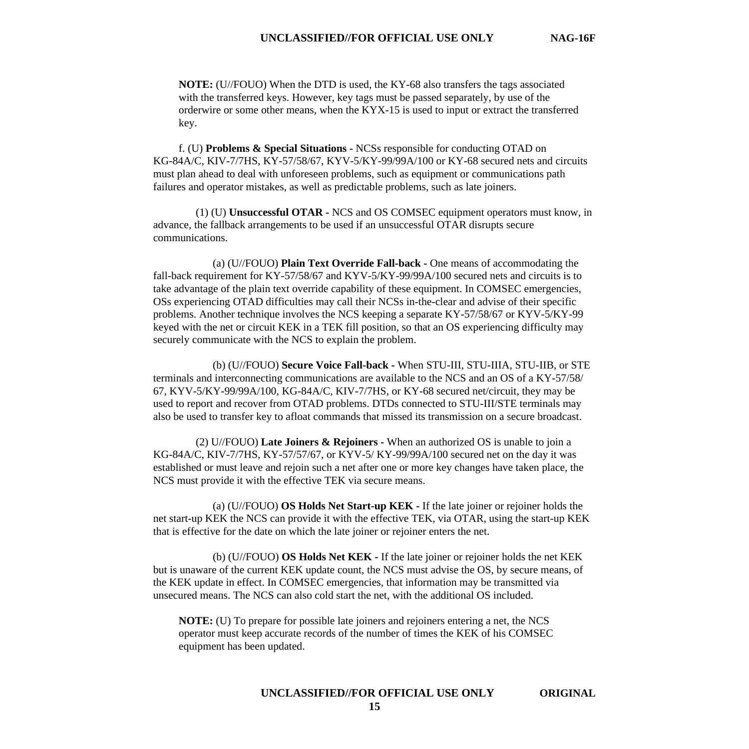**NOTE:** (U//FOUO) When the DTD is used, the KY-68 also transfers the tags associated with the transferred keys. However, key tags must be passed separately, by use of the orderwire or some other means, when the KYX-15 is used to input or extract the transferred key.

f. (U) **Problems & Special Situations -** NCSs responsible for conducting OTAD on KG-84A/C, KIV-7/7HS, KY-57/58/67, KYV-5/KY-99/99A/100 or KY-68 secured nets and circuits must plan ahead to deal with unforeseen problems, such as equipment or communications path failures and operator mistakes, as well as predictable problems, such as late joiners.

(1) (U) **Unsuccessful OTAR -** NCS and OS COMSEC equipment operators must know, in advance, the fallback arrangements to be used if an unsuccessful OTAR disrupts secure communications.

(a) (U//FOUO) **Plain Text Override Fall-back -** One means of accommodating the fall-back requirement for KY-57/58/67 and KYV-5/KY-99/99A/100 secured nets and circuits is to take advantage of the plain text override capability of these equipment. In COMSEC emergencies, OSs experiencing OTAD difficulties may call their NCSs in-the-clear and advise of their specific problems. Another technique involves the NCS keeping a separate KY-57/58/67 or KYV-5/KY-99 keyed with the net or circuit KEK in a TEK fill position, so that an OS experiencing difficulty may securely communicate with the NCS to explain the problem.

(b) (U//FOUO) **Secure Voice Fall-back -** When STU-III, STU-IIIA, STU-IIB, or STE terminals and interconnecting communications are available to the NCS and an OS of a KY-57/58/ 67, KYV-5/KY-99/99A/100, KG-84A/C, KIV-7/7HS, or KY-68 secured net/circuit, they may be used to report and recover from OTAD problems. DTDs connected to STU-III/STE terminals may also be used to transfer key to afloat commands that missed its transmission on a secure broadcast.

(2) U//FOUO) **Late Joiners & Rejoiners -** When an authorized OS is unable to join a KG-84A/C, KIV-7/7HS, KY-57/57/67, or KYV-5/ KY-99/99A/100 secured net on the day it was established or must leave and rejoin such a net after one or more key changes have taken place, the NCS must provide it with the effective TEK via secure means.

(a) (U//FOUO) **OS Holds Net Start-up KEK -** If the late joiner or rejoiner holds the net start-up KEK the NCS can provide it with the effective TEK, via OTAR, using the start-up KEK that is effective for the date on which the late joiner or rejoiner enters the net.

(b) (U//FOUO) **OS Holds Net KEK -** If the late joiner or rejoiner holds the net KEK but is unaware of the current KEK update count, the NCS must advise the OS, by secure means, of the KEK update in effect. In COMSEC emergencies, that information may be transmitted via unsecured means. The NCS can also cold start the net, with the additional OS included.

**NOTE:** (U) To prepare for possible late joiners and rejoiners entering a net, the NCS operator must keep accurate records of the number of times the KEK of his COMSEC equipment has been updated.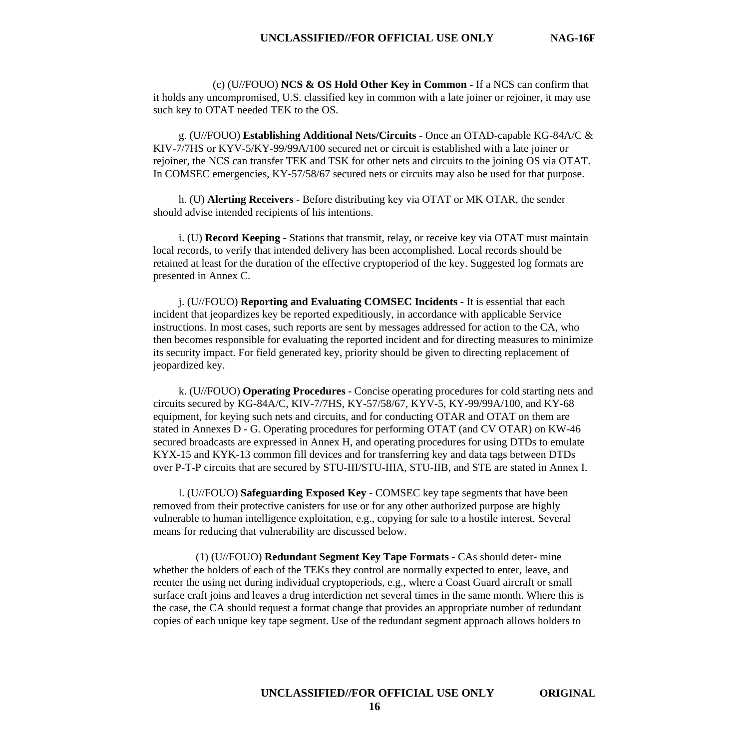(c) (U//FOUO) **NCS & OS Hold Other Key in Common -** If a NCS can confirm that it holds any uncompromised, U.S. classified key in common with a late joiner or rejoiner, it may use such key to OTAT needed TEK to the OS.

g. (U//FOUO) **Establishing Additional Nets/Circuits -** Once an OTAD-capable KG-84A/C & KIV-7/7HS or KYV-5/KY-99/99A/100 secured net or circuit is established with a late joiner or rejoiner, the NCS can transfer TEK and TSK for other nets and circuits to the joining OS via OTAT. In COMSEC emergencies, KY-57/58/67 secured nets or circuits may also be used for that purpose.

h. (U) **Alerting Receivers -** Before distributing key via OTAT or MK OTAR, the sender should advise intended recipients of his intentions.

i. (U) **Record Keeping -** Stations that transmit, relay, or receive key via OTAT must maintain local records, to verify that intended delivery has been accomplished. Local records should be retained at least for the duration of the effective cryptoperiod of the key. Suggested log formats are presented in Annex C.

j. (U//FOUO) **Reporting and Evaluating COMSEC Incidents -** It is essential that each incident that jeopardizes key be reported expeditiously, in accordance with applicable Service instructions. In most cases, such reports are sent by messages addressed for action to the CA, who then becomes responsible for evaluating the reported incident and for directing measures to minimize its security impact. For field generated key, priority should be given to directing replacement of jeopardized key.

k. (U//FOUO) **Operating Procedures -** Concise operating procedures for cold starting nets and circuits secured by KG-84A/C, KIV-7/7HS, KY-57/58/67, KYV-5, KY-99/99A/100, and KY-68 equipment, for keying such nets and circuits, and for conducting OTAR and OTAT on them are stated in Annexes D - G. Operating procedures for performing OTAT (and CV OTAR) on KW-46 secured broadcasts are expressed in Annex H, and operating procedures for using DTDs to emulate KYX-15 and KYK-13 common fill devices and for transferring key and data tags between DTDs over P-T-P circuits that are secured by STU-III/STU-IIIA, STU-IIB, and STE are stated in Annex I.

l. (U//FOUO) **Safeguarding Exposed Key** - COMSEC key tape segments that have been removed from their protective canisters for use or for any other authorized purpose are highly vulnerable to human intelligence exploitation, e.g., copying for sale to a hostile interest. Several means for reducing that vulnerability are discussed below.

(1) (U//FOUO) **Redundant Segment Key Tape Formats** - CAs should deter- mine whether the holders of each of the TEKs they control are normally expected to enter, leave, and reenter the using net during individual cryptoperiods, e.g., where a Coast Guard aircraft or small surface craft joins and leaves a drug interdiction net several times in the same month. Where this is the case, the CA should request a format change that provides an appropriate number of redundant copies of each unique key tape segment. Use of the redundant segment approach allows holders to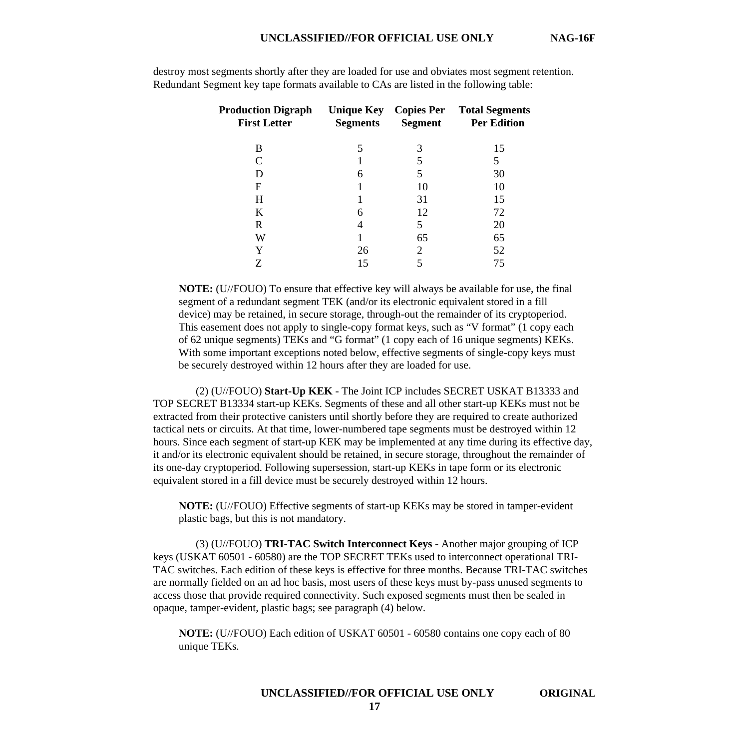#### **UNCLASSIFIED//FOR OFFICIAL USE ONLY NAG-16F**

| <b>Production Digraph</b><br><b>First Letter</b> | <b>Unique Key</b><br><b>Segments</b> | <b>Segment</b> | <b>Copies Per</b> Total Segments<br><b>Per Edition</b> |
|--------------------------------------------------|--------------------------------------|----------------|--------------------------------------------------------|
| B                                                | 5                                    | 3              | 15                                                     |
|                                                  |                                      | 5              | 5                                                      |
| D                                                | 6                                    | 5              | 30                                                     |
| F                                                |                                      | 10             | 10                                                     |
| H                                                |                                      | 31             | 15                                                     |
| K                                                | 6                                    | 12             | 72                                                     |
| R                                                |                                      | 5              | 20                                                     |
| W                                                |                                      | 65             | 65                                                     |
| Y                                                | 26                                   | 2              | 52                                                     |
| Ζ                                                | 15                                   | 5              | 75                                                     |
|                                                  |                                      |                |                                                        |

destroy most segments shortly after they are loaded for use and obviates most segment retention. Redundant Segment key tape formats available to CAs are listed in the following table:

**NOTE:** (U//FOUO) To ensure that effective key will always be available for use, the final segment of a redundant segment TEK (and/or its electronic equivalent stored in a fill device) may be retained, in secure storage, through-out the remainder of its cryptoperiod. This easement does not apply to single-copy format keys, such as "V format" (1 copy each of 62 unique segments) TEKs and "G format" (1 copy each of 16 unique segments) KEKs. With some important exceptions noted below, effective segments of single-copy keys must be securely destroyed within 12 hours after they are loaded for use.

(2) (U//FOUO) **Start-Up KEK** - The Joint ICP includes SECRET USKAT B13333 and TOP SECRET B13334 start-up KEKs. Segments of these and all other start-up KEKs must not be extracted from their protective canisters until shortly before they are required to create authorized tactical nets or circuits. At that time, lower-numbered tape segments must be destroyed within 12 hours. Since each segment of start-up KEK may be implemented at any time during its effective day, it and/or its electronic equivalent should be retained, in secure storage, throughout the remainder of its one-day cryptoperiod. Following supersession, start-up KEKs in tape form or its electronic equivalent stored in a fill device must be securely destroyed within 12 hours.

**NOTE:** (U//FOUO) Effective segments of start-up KEKs may be stored in tamper-evident plastic bags, but this is not mandatory.

(3) (U//FOUO) **TRI-TAC Switch Interconnect Keys** - Another major grouping of ICP keys (USKAT 60501 - 60580) are the TOP SECRET TEKs used to interconnect operational TRI-TAC switches. Each edition of these keys is effective for three months. Because TRI-TAC switches are normally fielded on an ad hoc basis, most users of these keys must by-pass unused segments to access those that provide required connectivity. Such exposed segments must then be sealed in opaque, tamper-evident, plastic bags; see paragraph (4) below.

**NOTE:** (U//FOUO) Each edition of USKAT 60501 - 60580 contains one copy each of 80 unique TEKs.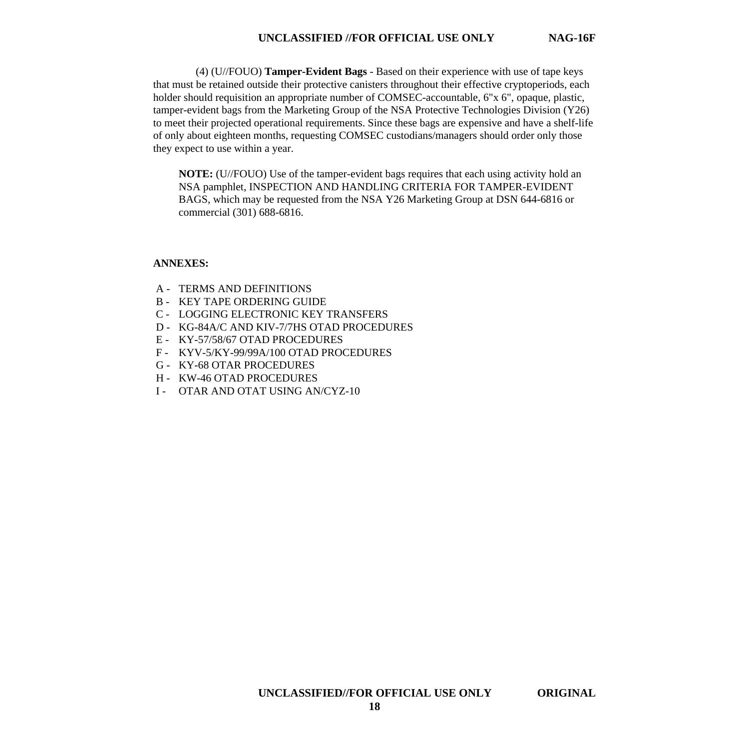### **UNCLASSIFIED //FOR OFFICIAL USE ONLY NAG-16F**

(4) (U//FOUO) **Tamper-Evident Bags** - Based on their experience with use of tape keys that must be retained outside their protective canisters throughout their effective cryptoperiods, each holder should requisition an appropriate number of COMSEC-accountable, 6"x 6", opaque, plastic, tamper-evident bags from the Marketing Group of the NSA Protective Technologies Division (Y26) to meet their projected operational requirements. Since these bags are expensive and have a shelf-life of only about eighteen months, requesting COMSEC custodians/managers should order only those they expect to use within a year.

**NOTE:** (U//FOUO) Use of the tamper-evident bags requires that each using activity hold an NSA pamphlet, INSPECTION AND HANDLING CRITERIA FOR TAMPER-EVIDENT BAGS, which may be requested from the NSA Y26 Marketing Group at DSN 644-6816 or commercial (301) 688-6816.

#### **ANNEXES:**

- A TERMS AND DEFINITIONS
- B KEY TAPE ORDERING GUIDE
- C LOGGING ELECTRONIC KEY TRANSFERS
- D KG-84A/C AND KIV-7/7HS OTAD PROCEDURES
- E KY-57/58/67 OTAD PROCEDURES
- F KYV-5/KY-99/99A/100 OTAD PROCEDURES
- G KY-68 OTAR PROCEDURES
- H KW-46 OTAD PROCEDURES
- I OTAR AND OTAT USING AN/CYZ-10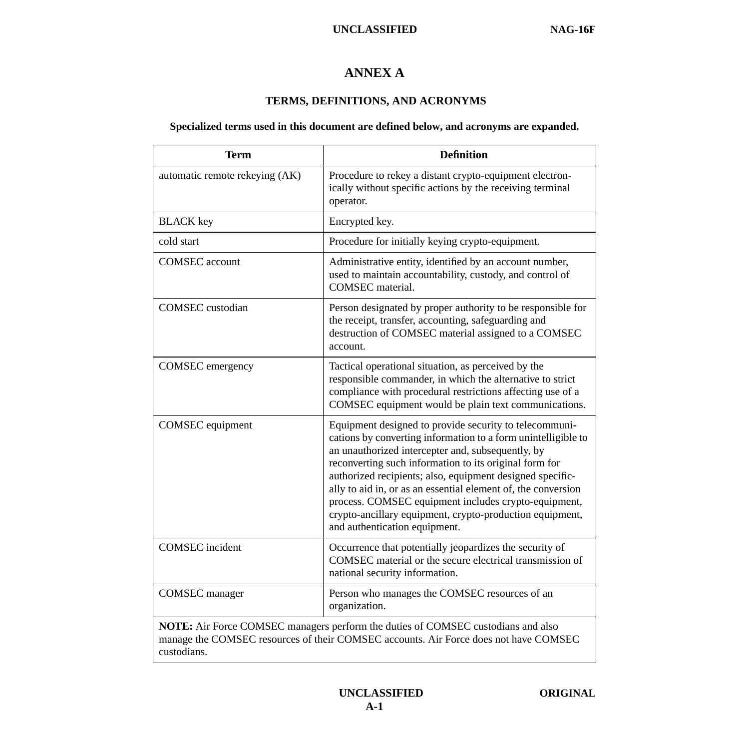# **ANNEX A**

# **TERMS, DEFINITIONS, AND ACRONYMS**

# **Specialized terms used in this document are defined below, and acronyms are expanded.**

| <b>Term</b>                    | <b>Definition</b>                                                                                                                                                                                                                                                                                                                                                                                                                                                                                                         |
|--------------------------------|---------------------------------------------------------------------------------------------------------------------------------------------------------------------------------------------------------------------------------------------------------------------------------------------------------------------------------------------------------------------------------------------------------------------------------------------------------------------------------------------------------------------------|
| automatic remote rekeying (AK) | Procedure to rekey a distant crypto-equipment electron-<br>ically without specific actions by the receiving terminal<br>operator.                                                                                                                                                                                                                                                                                                                                                                                         |
| <b>BLACK</b> key               | Encrypted key.                                                                                                                                                                                                                                                                                                                                                                                                                                                                                                            |
| cold start                     | Procedure for initially keying crypto-equipment.                                                                                                                                                                                                                                                                                                                                                                                                                                                                          |
| <b>COMSEC</b> account          | Administrative entity, identified by an account number,<br>used to maintain accountability, custody, and control of<br>COMSEC material.                                                                                                                                                                                                                                                                                                                                                                                   |
| <b>COMSEC</b> custodian        | Person designated by proper authority to be responsible for<br>the receipt, transfer, accounting, safeguarding and<br>destruction of COMSEC material assigned to a COMSEC<br>account.                                                                                                                                                                                                                                                                                                                                     |
| <b>COMSEC</b> emergency        | Tactical operational situation, as perceived by the<br>responsible commander, in which the alternative to strict<br>compliance with procedural restrictions affecting use of a<br>COMSEC equipment would be plain text communications.                                                                                                                                                                                                                                                                                    |
| <b>COMSEC</b> equipment        | Equipment designed to provide security to telecommuni-<br>cations by converting information to a form unintelligible to<br>an unauthorized intercepter and, subsequently, by<br>reconverting such information to its original form for<br>authorized recipients; also, equipment designed specific-<br>ally to aid in, or as an essential element of, the conversion<br>process. COMSEC equipment includes crypto-equipment,<br>crypto-ancillary equipment, crypto-production equipment,<br>and authentication equipment. |
| <b>COMSEC</b> incident         | Occurrence that potentially jeopardizes the security of<br>COMSEC material or the secure electrical transmission of<br>national security information.                                                                                                                                                                                                                                                                                                                                                                     |
| <b>COMSEC</b> manager          | Person who manages the COMSEC resources of an<br>organization.                                                                                                                                                                                                                                                                                                                                                                                                                                                            |
| custodians.                    | <b>NOTE:</b> Air Force COMSEC managers perform the duties of COMSEC custodians and also<br>manage the COMSEC resources of their COMSEC accounts. Air Force does not have COMSEC                                                                                                                                                                                                                                                                                                                                           |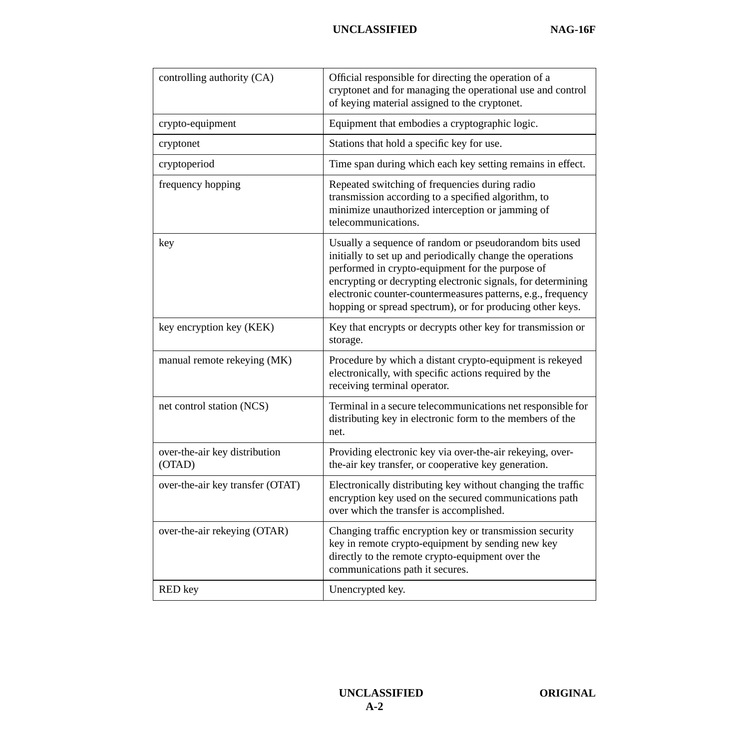| controlling authority (CA)              | Official responsible for directing the operation of a<br>cryptonet and for managing the operational use and control<br>of keying material assigned to the cryptonet.                                                                                                                                                                                                  |
|-----------------------------------------|-----------------------------------------------------------------------------------------------------------------------------------------------------------------------------------------------------------------------------------------------------------------------------------------------------------------------------------------------------------------------|
| crypto-equipment                        | Equipment that embodies a cryptographic logic.                                                                                                                                                                                                                                                                                                                        |
| cryptonet                               | Stations that hold a specific key for use.                                                                                                                                                                                                                                                                                                                            |
| cryptoperiod                            | Time span during which each key setting remains in effect.                                                                                                                                                                                                                                                                                                            |
| frequency hopping                       | Repeated switching of frequencies during radio<br>transmission according to a specified algorithm, to<br>minimize unauthorized interception or jamming of<br>telecommunications.                                                                                                                                                                                      |
| key                                     | Usually a sequence of random or pseudorandom bits used<br>initially to set up and periodically change the operations<br>performed in crypto-equipment for the purpose of<br>encrypting or decrypting electronic signals, for determining<br>electronic counter-countermeasures patterns, e.g., frequency<br>hopping or spread spectrum), or for producing other keys. |
| key encryption key (KEK)                | Key that encrypts or decrypts other key for transmission or<br>storage.                                                                                                                                                                                                                                                                                               |
| manual remote rekeying (MK)             | Procedure by which a distant crypto-equipment is rekeyed<br>electronically, with specific actions required by the<br>receiving terminal operator.                                                                                                                                                                                                                     |
| net control station (NCS)               | Terminal in a secure telecommunications net responsible for<br>distributing key in electronic form to the members of the<br>net.                                                                                                                                                                                                                                      |
| over-the-air key distribution<br>(OTAD) | Providing electronic key via over-the-air rekeying, over-<br>the-air key transfer, or cooperative key generation.                                                                                                                                                                                                                                                     |
| over-the-air key transfer (OTAT)        | Electronically distributing key without changing the traffic<br>encryption key used on the secured communications path<br>over which the transfer is accomplished.                                                                                                                                                                                                    |
| over-the-air rekeying (OTAR)            | Changing traffic encryption key or transmission security<br>key in remote crypto-equipment by sending new key<br>directly to the remote crypto-equipment over the<br>communications path it secures.                                                                                                                                                                  |
| <b>RED</b> key                          | Unencrypted key.                                                                                                                                                                                                                                                                                                                                                      |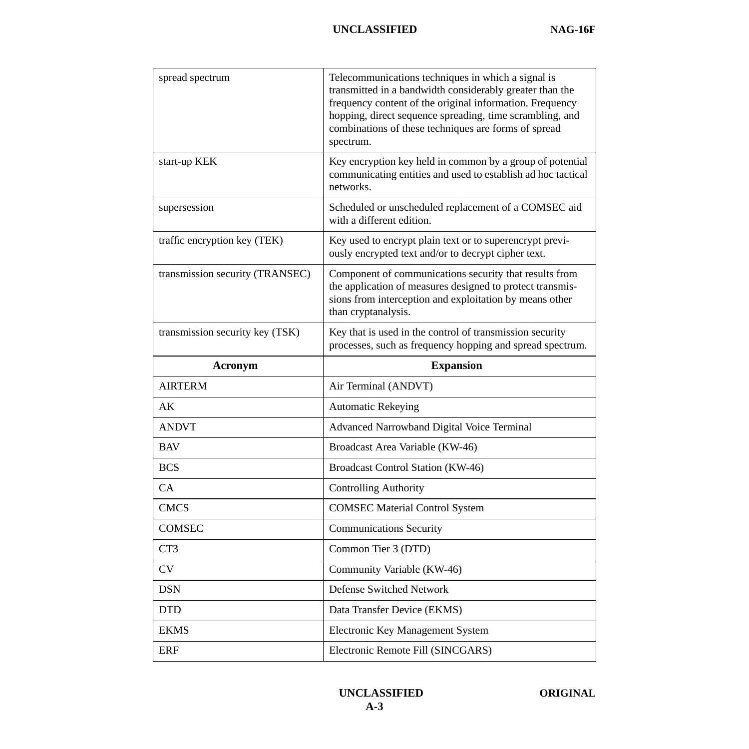| spread spectrum                 | Telecommunications techniques in which a signal is<br>transmitted in a bandwidth considerably greater than the<br>frequency content of the original information. Frequency<br>hopping, direct sequence spreading, time scrambling, and<br>combinations of these techniques are forms of spread<br>spectrum. |
|---------------------------------|-------------------------------------------------------------------------------------------------------------------------------------------------------------------------------------------------------------------------------------------------------------------------------------------------------------|
| start-up KEK                    | Key encryption key held in common by a group of potential<br>communicating entities and used to establish ad hoc tactical<br>networks.                                                                                                                                                                      |
| supersession                    | Scheduled or unscheduled replacement of a COMSEC aid<br>with a different edition.                                                                                                                                                                                                                           |
| traffic encryption key (TEK)    | Key used to encrypt plain text or to superencrypt previ-<br>ously encrypted text and/or to decrypt cipher text.                                                                                                                                                                                             |
| transmission security (TRANSEC) | Component of communications security that results from<br>the application of measures designed to protect transmis-<br>sions from interception and exploitation by means other<br>than cryptanalysis.                                                                                                       |
| transmission security key (TSK) | Key that is used in the control of transmission security<br>processes, such as frequency hopping and spread spectrum.                                                                                                                                                                                       |
|                                 |                                                                                                                                                                                                                                                                                                             |
| <b>Acronym</b>                  | <b>Expansion</b>                                                                                                                                                                                                                                                                                            |
| <b>AIRTERM</b>                  | Air Terminal (ANDVT)                                                                                                                                                                                                                                                                                        |
| AK                              | <b>Automatic Rekeying</b>                                                                                                                                                                                                                                                                                   |
| <b>ANDVT</b>                    | Advanced Narrowband Digital Voice Terminal                                                                                                                                                                                                                                                                  |
| <b>BAV</b>                      | Broadcast Area Variable (KW-46)                                                                                                                                                                                                                                                                             |
| <b>BCS</b>                      | <b>Broadcast Control Station (KW-46)</b>                                                                                                                                                                                                                                                                    |
| CA                              | <b>Controlling Authority</b>                                                                                                                                                                                                                                                                                |
| <b>CMCS</b>                     | <b>COMSEC Material Control System</b>                                                                                                                                                                                                                                                                       |
| <b>COMSEC</b>                   | <b>Communications Security</b>                                                                                                                                                                                                                                                                              |
| CT3                             | Common Tier 3 (DTD)                                                                                                                                                                                                                                                                                         |
| <b>CV</b>                       | Community Variable (KW-46)                                                                                                                                                                                                                                                                                  |
| <b>DSN</b>                      | <b>Defense Switched Network</b>                                                                                                                                                                                                                                                                             |
| <b>DTD</b>                      | Data Transfer Device (EKMS)                                                                                                                                                                                                                                                                                 |
| <b>EKMS</b>                     | Electronic Key Management System                                                                                                                                                                                                                                                                            |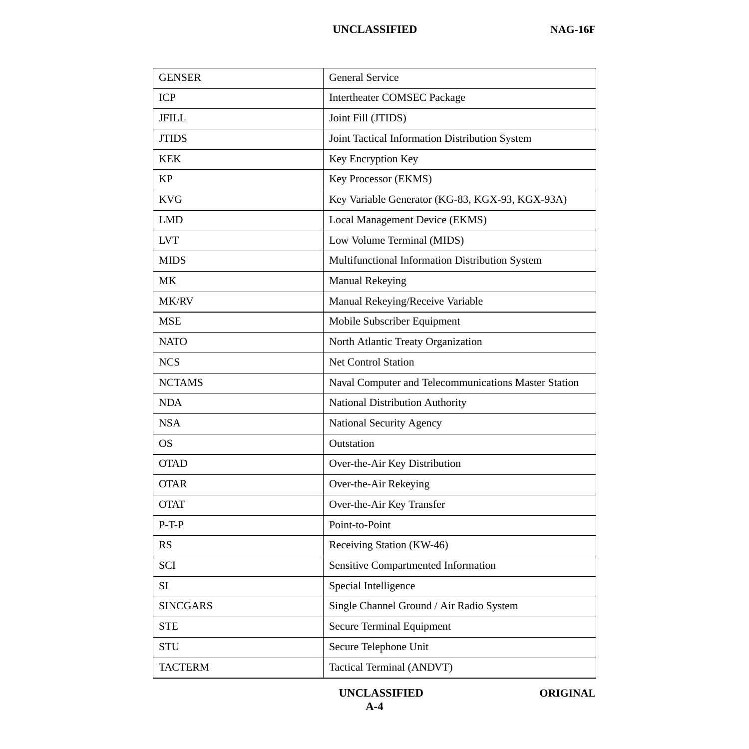| <b>GENSER</b>   | <b>General Service</b>                               |
|-----------------|------------------------------------------------------|
| <b>ICP</b>      | <b>Intertheater COMSEC Package</b>                   |
| <b>JFILL</b>    | Joint Fill (JTIDS)                                   |
| <b>JTIDS</b>    | Joint Tactical Information Distribution System       |
| <b>KEK</b>      | Key Encryption Key                                   |
| <b>KP</b>       | Key Processor (EKMS)                                 |
| <b>KVG</b>      | Key Variable Generator (KG-83, KGX-93, KGX-93A)      |
| <b>LMD</b>      | Local Management Device (EKMS)                       |
| <b>LVT</b>      | Low Volume Terminal (MIDS)                           |
| <b>MIDS</b>     | Multifunctional Information Distribution System      |
| <b>MK</b>       | <b>Manual Rekeying</b>                               |
| MK/RV           | Manual Rekeying/Receive Variable                     |
| <b>MSE</b>      | Mobile Subscriber Equipment                          |
| <b>NATO</b>     | North Atlantic Treaty Organization                   |
| <b>NCS</b>      | <b>Net Control Station</b>                           |
| <b>NCTAMS</b>   | Naval Computer and Telecommunications Master Station |
| <b>NDA</b>      | National Distribution Authority                      |
| <b>NSA</b>      | <b>National Security Agency</b>                      |
| <b>OS</b>       | Outstation                                           |
| <b>OTAD</b>     | Over-the-Air Key Distribution                        |
| <b>OTAR</b>     | Over-the-Air Rekeying                                |
| <b>OTAT</b>     | Over-the-Air Key Transfer                            |
| $P-T-P$         | Point-to-Point                                       |
| <b>RS</b>       | Receiving Station (KW-46)                            |
| <b>SCI</b>      | Sensitive Compartmented Information                  |
| SI              | Special Intelligence                                 |
| <b>SINCGARS</b> | Single Channel Ground / Air Radio System             |
| <b>STE</b>      | <b>Secure Terminal Equipment</b>                     |
| <b>STU</b>      | Secure Telephone Unit                                |
| <b>TACTERM</b>  | Tactical Terminal (ANDVT)                            |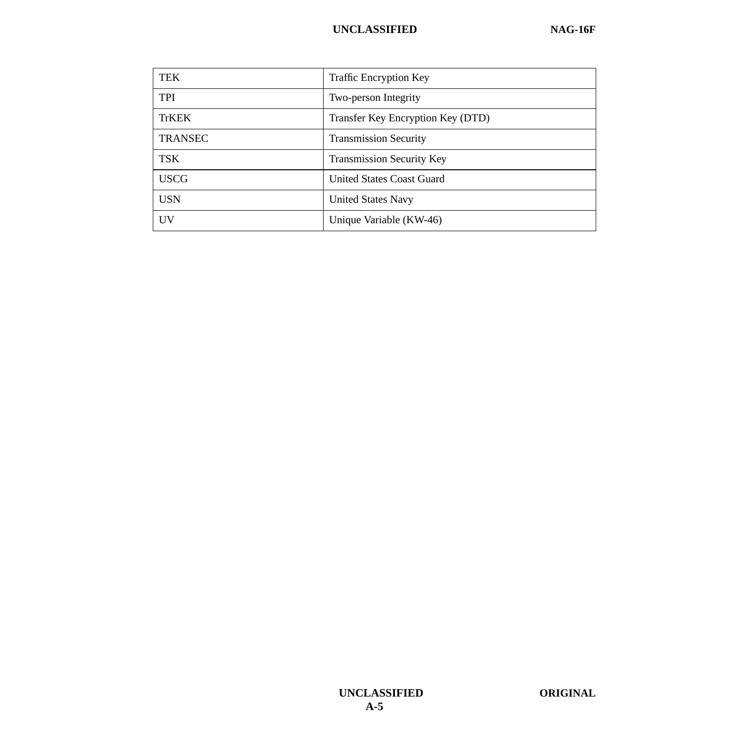| <b>TEK</b>     | <b>Traffic Encryption Key</b>     |
|----------------|-----------------------------------|
| <b>TPI</b>     | Two-person Integrity              |
| <b>TrKEK</b>   | Transfer Key Encryption Key (DTD) |
| <b>TRANSEC</b> | <b>Transmission Security</b>      |
| <b>TSK</b>     | <b>Transmission Security Key</b>  |
| <b>USCG</b>    | <b>United States Coast Guard</b>  |
| <b>USN</b>     | <b>United States Navy</b>         |
| <b>UV</b>      | Unique Variable (KW-46)           |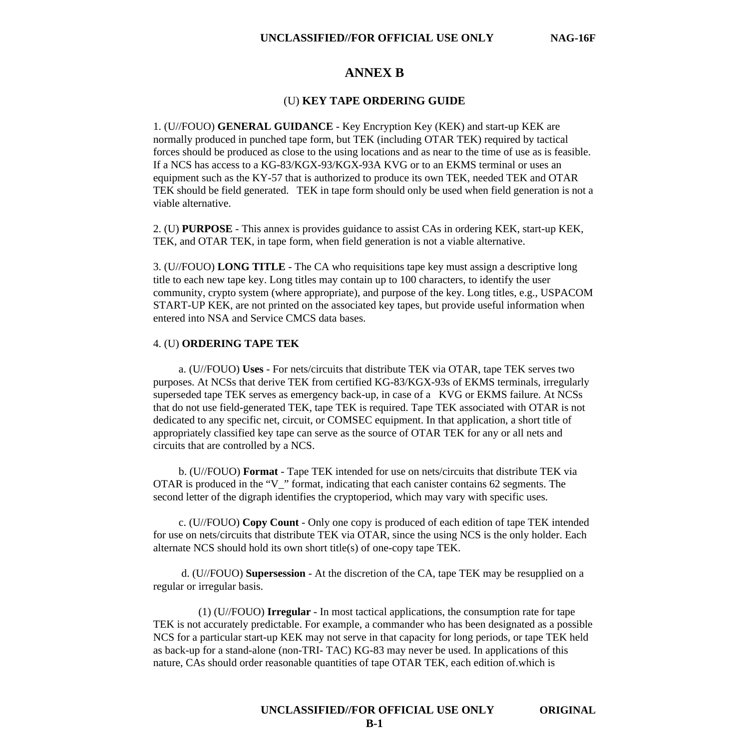#### **UNCLASSIFIED//FOR OFFICIAL USE ONLY NAG-16F**

# **ANNEX B**

#### (U) **KEY TAPE ORDERING GUIDE**

1. (U//FOUO) **GENERAL GUIDANCE** - Key Encryption Key (KEK) and start-up KEK are normally produced in punched tape form, but TEK (including OTAR TEK) required by tactical forces should be produced as close to the using locations and as near to the time of use as is feasible. If a NCS has access to a KG-83/KGX-93/KGX-93A KVG or to an EKMS terminal or uses an equipment such as the KY-57 that is authorized to produce its own TEK, needed TEK and OTAR TEK should be field generated. TEK in tape form should only be used when field generation is not a viable alternative.

2. (U) **PURPOSE** - This annex is provides guidance to assist CAs in ordering KEK, start-up KEK, TEK, and OTAR TEK, in tape form, when field generation is not a viable alternative.

3. (U//FOUO) **LONG TITLE** - The CA who requisitions tape key must assign a descriptive long title to each new tape key. Long titles may contain up to 100 characters, to identify the user community, crypto system (where appropriate), and purpose of the key. Long titles, e.g., USPACOM START-UP KEK, are not printed on the associated key tapes, but provide useful information when entered into NSA and Service CMCS data bases.

#### 4. (U) **ORDERING TAPE TEK**

a. (U//FOUO) **Uses** - For nets/circuits that distribute TEK via OTAR, tape TEK serves two purposes. At NCSs that derive TEK from certified KG-83/KGX-93s of EKMS terminals, irregularly superseded tape TEK serves as emergency back-up, in case of a KVG or EKMS failure. At NCSs that do not use field-generated TEK, tape TEK is required. Tape TEK associated with OTAR is not dedicated to any specific net, circuit, or COMSEC equipment. In that application, a short title of appropriately classified key tape can serve as the source of OTAR TEK for any or all nets and circuits that are controlled by a NCS.

b. (U//FOUO) **Format** - Tape TEK intended for use on nets/circuits that distribute TEK via OTAR is produced in the "V\_" format, indicating that each canister contains 62 segments. The second letter of the digraph identifies the cryptoperiod, which may vary with specific uses.

c. (U//FOUO) **Copy Count** - Only one copy is produced of each edition of tape TEK intended for use on nets/circuits that distribute TEK via OTAR, since the using NCS is the only holder. Each alternate NCS should hold its own short title(s) of one-copy tape TEK.

 d. (U//FOUO) **Supersession** - At the discretion of the CA, tape TEK may be resupplied on a regular or irregular basis.

 (1) (U//FOUO) **Irregular** - In most tactical applications, the consumption rate for tape TEK is not accurately predictable. For example, a commander who has been designated as a possible NCS for a particular start-up KEK may not serve in that capacity for long periods, or tape TEK held as back-up for a stand-alone (non-TRI- TAC) KG-83 may never be used. In applications of this nature, CAs should order reasonable quantities of tape OTAR TEK, each edition of.which is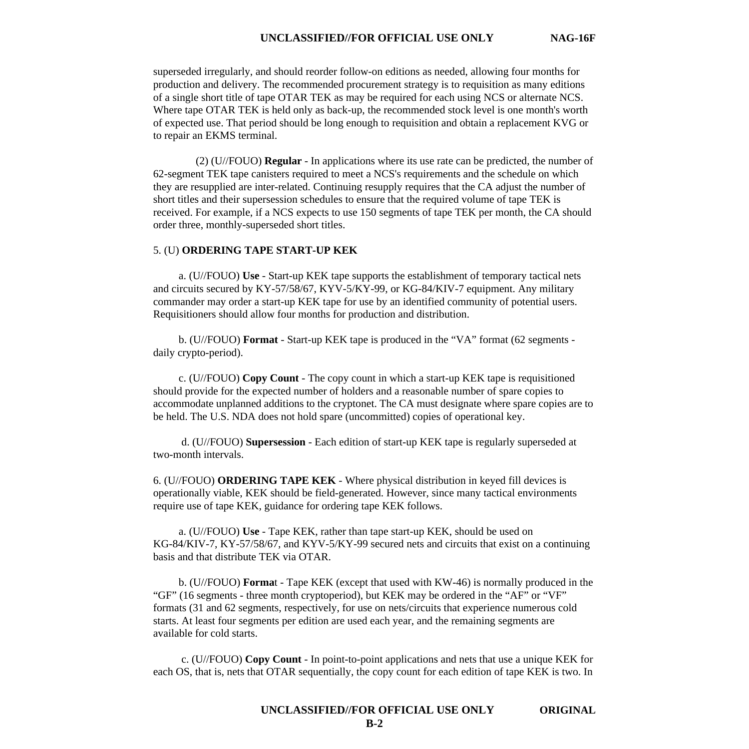superseded irregularly, and should reorder follow-on editions as needed, allowing four months for production and delivery. The recommended procurement strategy is to requisition as many editions of a single short title of tape OTAR TEK as may be required for each using NCS or alternate NCS. Where tape OTAR TEK is held only as back-up, the recommended stock level is one month's worth of expected use. That period should be long enough to requisition and obtain a replacement KVG or to repair an EKMS terminal.

(2) (U//FOUO) **Regular** - In applications where its use rate can be predicted, the number of 62-segment TEK tape canisters required to meet a NCS's requirements and the schedule on which they are resupplied are inter-related. Continuing resupply requires that the CA adjust the number of short titles and their supersession schedules to ensure that the required volume of tape TEK is received. For example, if a NCS expects to use 150 segments of tape TEK per month, the CA should order three, monthly-superseded short titles.

#### 5. (U) **ORDERING TAPE START-UP KEK**

a. (U//FOUO) **Use** - Start-up KEK tape supports the establishment of temporary tactical nets and circuits secured by KY-57/58/67, KYV-5/KY-99, or KG-84/KIV-7 equipment. Any military commander may order a start-up KEK tape for use by an identified community of potential users. Requisitioners should allow four months for production and distribution.

b. (U//FOUO) **Format** - Start-up KEK tape is produced in the "VA" format (62 segments daily crypto-period).

c. (U//FOUO) **Copy Count** - The copy count in which a start-up KEK tape is requisitioned should provide for the expected number of holders and a reasonable number of spare copies to accommodate unplanned additions to the cryptonet. The CA must designate where spare copies are to be held. The U.S. NDA does not hold spare (uncommitted) copies of operational key.

 d. (U//FOUO) **Supersession** - Each edition of start-up KEK tape is regularly superseded at two-month intervals.

6. (U//FOUO) **ORDERING TAPE KEK** - Where physical distribution in keyed fill devices is operationally viable, KEK should be field-generated. However, since many tactical environments require use of tape KEK, guidance for ordering tape KEK follows.

a. (U//FOUO) **Use** - Tape KEK, rather than tape start-up KEK, should be used on KG-84/KIV-7, KY-57/58/67, and KYV-5/KY-99 secured nets and circuits that exist on a continuing basis and that distribute TEK via OTAR.

b. (U//FOUO) **Forma**t - Tape KEK (except that used with KW-46) is normally produced in the "GF" (16 segments - three month cryptoperiod), but KEK may be ordered in the "AF" or "VF" formats (31 and 62 segments, respectively, for use on nets/circuits that experience numerous cold starts. At least four segments per edition are used each year, and the remaining segments are available for cold starts.

c. (U//FOUO) **Copy Count** - In point-to-point applications and nets that use a unique KEK for each OS, that is, nets that OTAR sequentially, the copy count for each edition of tape KEK is two. In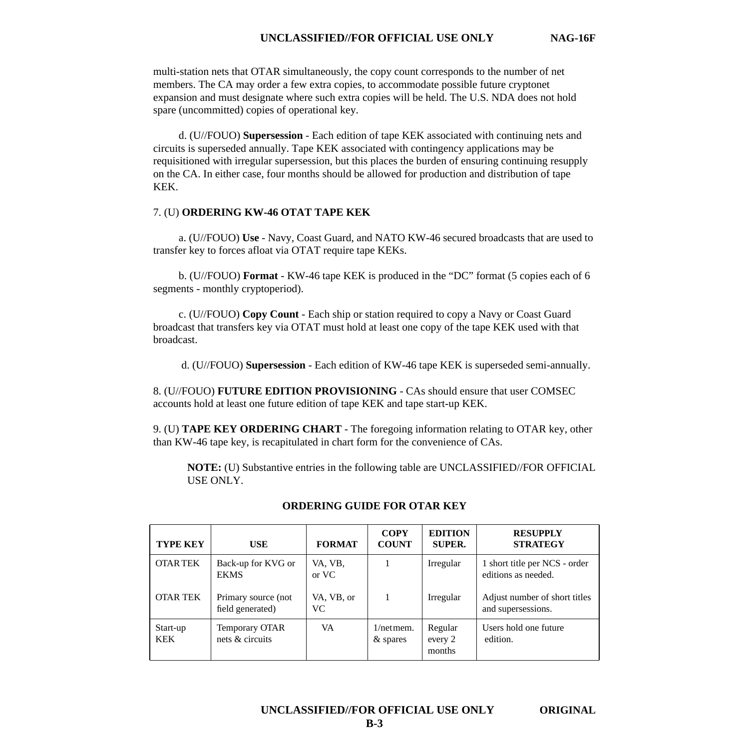multi-station nets that OTAR simultaneously, the copy count corresponds to the number of net members. The CA may order a few extra copies, to accommodate possible future cryptonet expansion and must designate where such extra copies will be held. The U.S. NDA does not hold spare (uncommitted) copies of operational key.

d. (U//FOUO) **Supersession** - Each edition of tape KEK associated with continuing nets and circuits is superseded annually. Tape KEK associated with contingency applications may be requisitioned with irregular supersession, but this places the burden of ensuring continuing resupply on the CA. In either case, four months should be allowed for production and distribution of tape KEK.

#### 7. (U) **ORDERING KW-46 OTAT TAPE KEK**

a. (U//FOUO) **Use** - Navy, Coast Guard, and NATO KW-46 secured broadcasts that are used to transfer key to forces afloat via OTAT require tape KEKs.

b. (U//FOUO) **Format** - KW-46 tape KEK is produced in the "DC" format (5 copies each of 6 segments - monthly cryptoperiod).

c. (U//FOUO) **Copy Count** - Each ship or station required to copy a Navy or Coast Guard broadcast that transfers key via OTAT must hold at least one copy of the tape KEK used with that broadcast.

d. (U//FOUO) **Supersession** - Each edition of KW-46 tape KEK is superseded semi-annually.

8. (U//FOUO) **FUTURE EDITION PROVISIONING** - CAs should ensure that user COMSEC accounts hold at least one future edition of tape KEK and tape start-up KEK.

9. (U) **TAPE KEY ORDERING CHART** - The foregoing information relating to OTAR key, other than KW-46 tape key, is recapitulated in chart form for the convenience of CAs.

**NOTE:** (U) Substantive entries in the following table are UNCLASSIFIED//FOR OFFICIAL USE ONLY.

| <b>TYPE KEY</b>        | <b>USE</b>                              | <b>FORMAT</b>     | <b>COPY</b><br><b>COUNT</b> | <b>EDITION</b><br><b>SUPER.</b> | <b>RESUPPLY</b><br><b>STRATEGY</b>                   |
|------------------------|-----------------------------------------|-------------------|-----------------------------|---------------------------------|------------------------------------------------------|
| <b>OTAR TEK</b>        | Back-up for KVG or<br><b>EKMS</b>       | VA, VB,<br>or VC  |                             | Irregular                       | 1 short title per NCS - order<br>editions as needed. |
| <b>OTAR TEK</b>        | Primary source (not<br>field generated) | VA, VB, or<br>VC. |                             | Irregular                       | Adjust number of short titles<br>and supersessions.  |
| Start-up<br><b>KEK</b> | Temporary OTAR<br>nets $\&$ circuits    | VA                | $1/$ net mem.<br>$&$ spares | Regular<br>every 2<br>months    | Users hold one future<br>edition.                    |

#### **ORDERING GUIDE FOR OTAR KEY**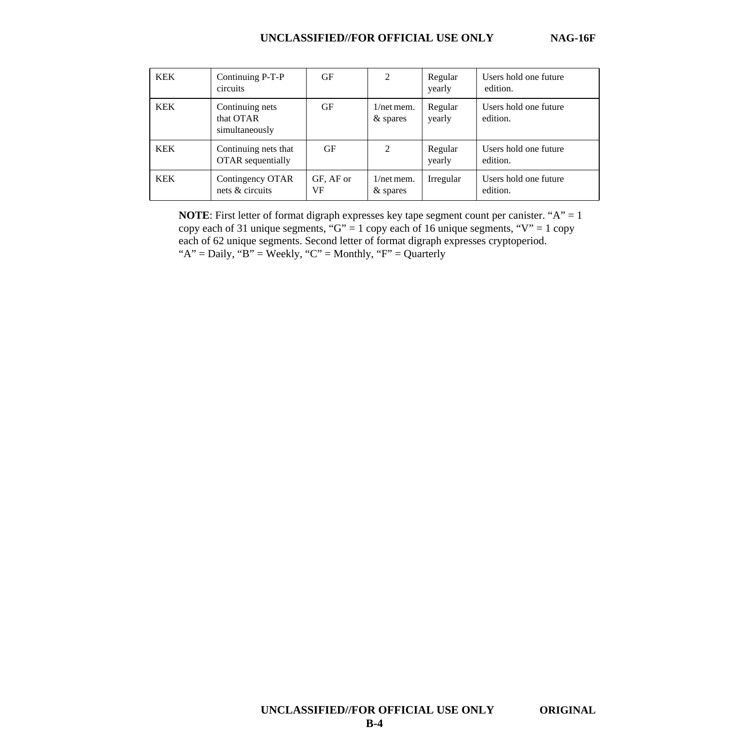| <b>KEK</b> | Continuing P-T-P<br>circuits                     | GF              | 2                           | Regular<br>yearly | Users hold one future<br>edition. |
|------------|--------------------------------------------------|-----------------|-----------------------------|-------------------|-----------------------------------|
| <b>KEK</b> | Continuing nets<br>that OTAR<br>simultaneously   | GF              | $1/net$ mem.<br>$\&$ spares | Regular<br>yearly | Users hold one future<br>edition. |
| <b>KEK</b> | Continuing nets that<br><b>OTAR</b> sequentially | GF              | 2                           | Regular<br>yearly | Users hold one future<br>edition. |
| <b>KEK</b> | Contingency OTAR<br>nets & circuits              | GF, AF or<br>VF | $1/net$ mem.<br>$\&$ spares | Irregular         | Users hold one future<br>edition. |

**NOTE:** First letter of format digraph expresses key tape segment count per canister. "A" = 1 copy each of 31 unique segments, "G" = 1 copy each of 16 unique segments, "V" = 1 copy each of 62 unique segments. Second letter of format digraph expresses cryptoperiod. "A" = Daily, "B" = Weekly, "C" = Monthly, "F" = Quarterly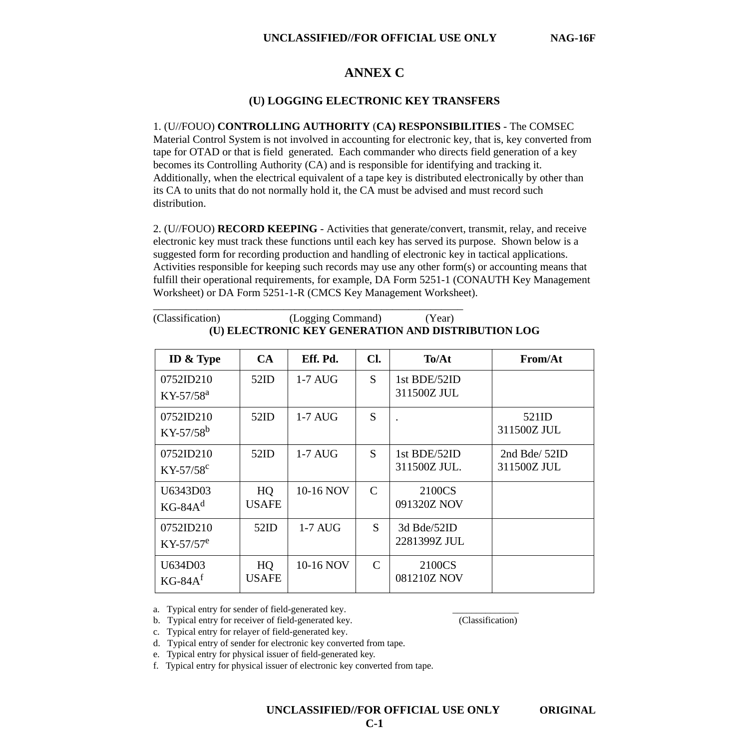# **ANNEX C**

#### **(U) LOGGING ELECTRONIC KEY TRANSFERS**

1. (U//FOUO) **CONTROLLING AUTHORITY** (**CA) RESPONSIBILITIES** - The COMSEC Material Control System is not involved in accounting for electronic key, that is, key converted from tape for OTAD or that is field generated. Each commander who directs field generation of a key becomes its Controlling Authority (CA) and is responsible for identifying and tracking it. Additionally, when the electrical equivalent of a tape key is distributed electronically by other than its CA to units that do not normally hold it, the CA must be advised and must record such distribution.

2. (U//FOUO) **RECORD KEEPING** - Activities that generate/convert, transmit, relay, and receive electronic key must track these functions until each key has served its purpose. Shown below is a suggested form for recording production and handling of electronic key in tactical applications. Activities responsible for keeping such records may use any other form(s) or accounting means that fulfill their operational requirements, for example, DA Form 5251-1 (CONAUTH Key Management Worksheet) or DA Form 5251-1-R (CMCS Key Management Worksheet).

| <b>ID &amp; Type</b>      | CA                 | Eff. Pd.  | Cl.           | To/At                        | From/At                      |
|---------------------------|--------------------|-----------|---------------|------------------------------|------------------------------|
| 0752ID210<br>$KY-57/58^a$ | 52ID               | $1-7$ AUG | S             | 1st BDE/52ID<br>311500Z JUL  |                              |
| 0752ID210<br>$KY-57/58^b$ | 52ID               | $1-7$ AUG | S             |                              | 521ID<br>311500Z JUL         |
| 0752ID210<br>$KY-57/58^c$ | 52ID               | $1-7$ AUG | S             | 1st BDE/52ID<br>311500Z JUL. | 2nd Bde/ 52ID<br>311500Z JUL |
| U6343D03<br>$KG-84Ad$     | HQ<br><b>USAFE</b> | 10-16 NOV | $\mathcal{C}$ | 2100CS<br>091320Z NOV        |                              |
| 0752ID210<br>$KY-57/57^e$ | 52ID               | $1-7$ AUG | S             | 3d Bde/52ID<br>2281399Z JUL  |                              |
| U634D03<br>$KG-84Af$      | HQ<br><b>USAFE</b> | 10-16 NOV | $\mathcal{C}$ | 2100CS<br>081210Z NOV        |                              |

(Classification) (Logging Command) (Year) **(U) ELECTRONIC KEY GENERATION AND DISTRIBUTION LOG**

\_\_\_\_\_\_\_\_\_\_\_\_\_\_\_\_\_\_\_\_\_\_\_\_\_\_\_\_\_\_\_\_\_\_\_\_\_\_\_\_\_\_\_\_\_\_\_\_\_\_\_\_\_\_\_\_\_

a. Typical entry for sender of field-generated key.

b. Typical entry for receiver of field-generated key. (Classification)

c. Typical entry for relayer of field-generated key.

d. Typical entry of sender for electronic key converted from tape.

e. Typical entry for physical issuer of field-generated key.

f. Typical entry for physical issuer of electronic key converted from tape.

**UNCLASSIFIED//FOR OFFICIAL USE ONLY ORIGINAL**

**C-1**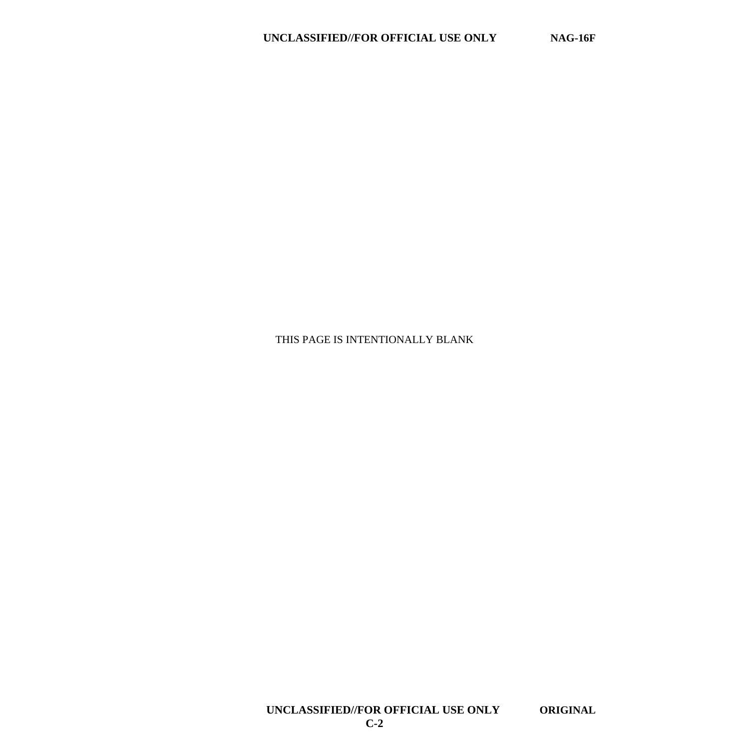### THIS PAGE IS INTENTIONALLY BLANK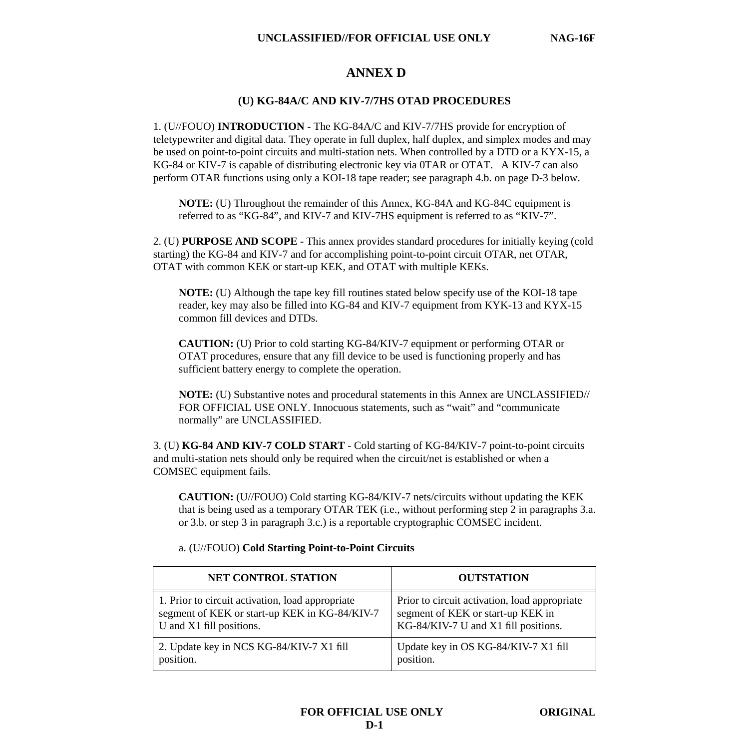# **ANNEX D**

#### **(U) KG-84A/C AND KIV-7/7HS OTAD PROCEDURES**

1. (U//FOUO) **INTRODUCTION -** The KG-84A/C and KIV-7/7HS provide for encryption of teletypewriter and digital data. They operate in full duplex, half duplex, and simplex modes and may be used on point-to-point circuits and multi-station nets. When controlled by a DTD or a KYX-15, a KG-84 or KIV-7 is capable of distributing electronic key via 0TAR or OTAT. A KIV-7 can also perform OTAR functions using only a KOI-18 tape reader; see paragraph 4.b. on page D-3 below.

**NOTE:** (U) Throughout the remainder of this Annex, KG-84A and KG-84C equipment is referred to as "KG-84", and KIV-7 and KIV-7HS equipment is referred to as "KIV-7".

2. (U) **PURPOSE AND SCOPE -** This annex provides standard procedures for initially keying (cold starting) the KG-84 and KIV-7 and for accomplishing point-to-point circuit OTAR, net OTAR, OTAT with common KEK or start-up KEK, and OTAT with multiple KEKs.

**NOTE:** (U) Although the tape key fill routines stated below specify use of the KOI-18 tape reader, key may also be filled into KG-84 and KIV-7 equipment from KYK-13 and KYX-15 common fill devices and DTDs.

**CAUTION:** (U) Prior to cold starting KG-84/KIV-7 equipment or performing OTAR or OTAT procedures, ensure that any fill device to be used is functioning properly and has sufficient battery energy to complete the operation.

**NOTE:** (U) Substantive notes and procedural statements in this Annex are UNCLASSIFIED// FOR OFFICIAL USE ONLY. Innocuous statements, such as "wait" and "communicate normally" are UNCLASSIFIED.

3. (U) **KG-84 AND KIV-7 COLD START** - Cold starting of KG-84/KIV-7 point-to-point circuits and multi-station nets should only be required when the circuit/net is established or when a COMSEC equipment fails.

**CAUTION:** (U//FOUO) Cold starting KG-84/KIV-7 nets/circuits without updating the KEK that is being used as a temporary OTAR TEK (i.e., without performing step 2 in paragraphs 3.a. or 3.b. or step 3 in paragraph 3.c.) is a reportable cryptographic COMSEC incident.

#### a. (U//FOUO) **Cold Starting Point-to-Point Circuits**

| <b>NET CONTROL STATION</b>                       | <b>OUTSTATION</b>                             |
|--------------------------------------------------|-----------------------------------------------|
| 1. Prior to circuit activation, load appropriate | Prior to circuit activation, load appropriate |
| segment of KEK or start-up KEK in KG-84/KIV-7    | segment of KEK or start-up KEK in             |
| U and $X1$ fill positions.                       | KG-84/KIV-7 U and X1 fill positions.          |
| 2. Update key in NCS KG-84/KIV-7 X1 fill         | Update key in OS KG-84/KIV-7 X1 fill          |
| position.                                        | position.                                     |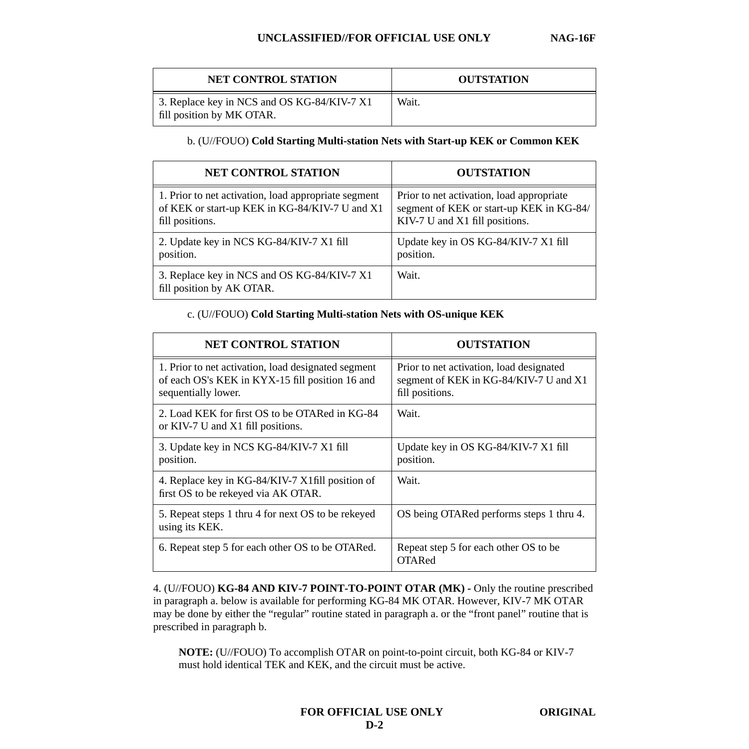| <b>NET CONTROL STATION</b>                                               | <b>OUTSTATION</b> |
|--------------------------------------------------------------------------|-------------------|
| 3. Replace key in NCS and OS KG-84/KIV-7 X1<br>fill position by MK OTAR. | Wait.             |

#### b. (U//FOUO) **Cold Starting Multi-station Nets with Start-up KEK or Common KEK**

| <b>NET CONTROL STATION</b>                                               | <b>OUTSTATION</b>                         |
|--------------------------------------------------------------------------|-------------------------------------------|
| 1. Prior to net activation, load appropriate segment                     | Prior to net activation, load appropriate |
| of KEK or start-up KEK in KG-84/KIV-7 U and X1                           | segment of KEK or start-up KEK in KG-84/  |
| fill positions.                                                          | KIV-7 U and X1 fill positions.            |
| 2. Update key in NCS KG-84/KIV-7 X1 fill                                 | Update key in OS KG-84/KIV-7 X1 fill      |
| position.                                                                | position.                                 |
| 3. Replace key in NCS and OS KG-84/KIV-7 X1<br>fill position by AK OTAR. | Wait.                                     |

#### c. (U//FOUO) **Cold Starting Multi-station Nets with OS-unique KEK**

| <b>NET CONTROL STATION</b>                                                                                                    | <b>OUTSTATION</b>                                                                                     |
|-------------------------------------------------------------------------------------------------------------------------------|-------------------------------------------------------------------------------------------------------|
| 1. Prior to net activation, load designated segment<br>of each OS's KEK in KYX-15 fill position 16 and<br>sequentially lower. | Prior to net activation, load designated<br>segment of KEK in KG-84/KIV-7 U and X1<br>fill positions. |
| 2. Load KEK for first OS to be OTARed in KG-84<br>or KIV-7 U and X1 fill positions.                                           | Wait.                                                                                                 |
| 3. Update key in NCS KG-84/KIV-7 X1 fill<br>position.                                                                         | Update key in OS KG-84/KIV-7 X1 fill<br>position.                                                     |
| 4. Replace key in KG-84/KIV-7 X1fill position of<br>first OS to be rekeyed via AK OTAR.                                       | Wait.                                                                                                 |
| 5. Repeat steps 1 thru 4 for next OS to be rekeyed<br>using its KEK.                                                          | OS being OTARed performs steps 1 thru 4.                                                              |
| 6. Repeat step 5 for each other OS to be OTARed.                                                                              | Repeat step 5 for each other OS to be<br><b>OTARed</b>                                                |

4. (U//FOUO) **KG-84 AND KIV-7 POINT-TO-POINT OTAR (MK) -** Only the routine prescribed in paragraph a. below is available for performing KG-84 MK OTAR. However, KIV-7 MK OTAR may be done by either the "regular" routine stated in paragraph a. or the "front panel" routine that is prescribed in paragraph b.

**NOTE:** (U//FOUO) To accomplish OTAR on point-to-point circuit, both KG-84 or KIV-7 must hold identical TEK and KEK, and the circuit must be active.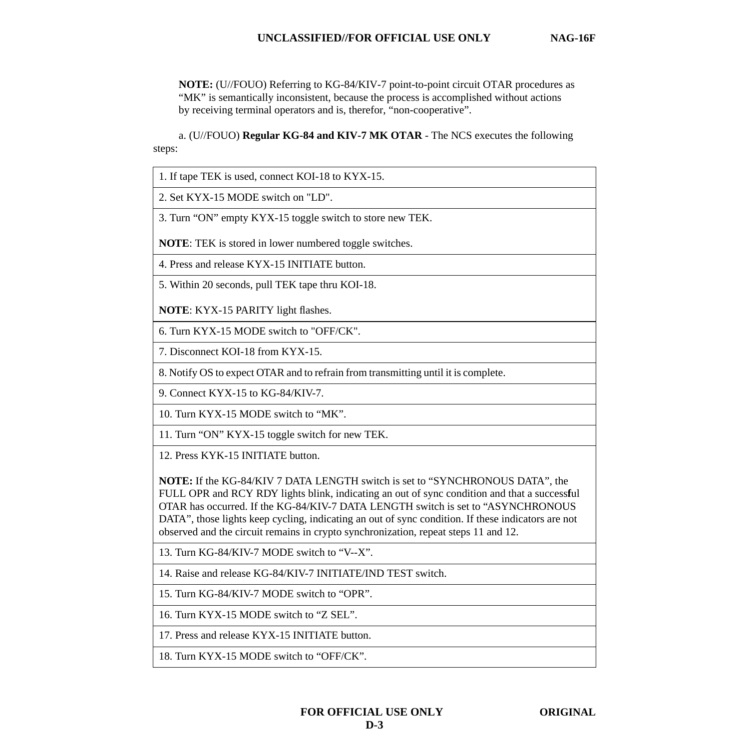**NOTE:** (U//FOUO) Referring to KG-84/KIV-7 point-to-point circuit OTAR procedures as "MK" is semantically inconsistent, because the process is accomplished without actions by receiving terminal operators and is, therefor, "non-cooperative".

a. (U//FOUO) **Regular KG-84 and KIV-7 MK OTAR** - The NCS executes the following steps:

1. If tape TEK is used, connect KOI-18 to KYX-15.

2. Set KYX-15 MODE switch on "LD".

3. Turn "ON" empty KYX-15 toggle switch to store new TEK.

**NOTE**: TEK is stored in lower numbered toggle switches.

4. Press and release KYX-15 INITIATE button.

5. Within 20 seconds, pull TEK tape thru KOI-18.

**NOTE**: KYX-15 PARITY light flashes.

6. Turn KYX-15 MODE switch to "OFF/CK".

7. Disconnect KOI-18 from KYX-15.

8. Notify OS to expect OTAR and to refrain from transmitting until it is complete.

9. Connect KYX-15 to KG-84/KIV-7.

10. Turn KYX-15 MODE switch to "MK".

11. Turn "ON" KYX-15 toggle switch for new TEK.

12. Press KYK-15 INITIATE button.

**NOTE:** If the KG-84/KIV 7 DATA LENGTH switch is set to "SYNCHRONOUS DATA", the FULL OPR and RCY RDY lights blink, indicating an out of sync condition and that a success**f**ul OTAR has occurred. If the KG-84/KIV-7 DATA LENGTH switch is set to "ASYNCHRONOUS DATA", those lights keep cycling, indicating an out of sync condition. If these indicators are not observed and the circuit remains in crypto synchronization, repeat steps 11 and 12.

13. Turn KG-84/KIV-7 MODE switch to "V--X".

14. Raise and release KG-84/KIV-7 INITIATE/IND TEST switch.

15. Turn KG-84/KIV-7 MODE switch to "OPR".

16. Turn KYX-15 MODE switch to "Z SEL".

17. Press and release KYX-15 INITIATE button.

18. Turn KYX-15 MODE switch to "OFF/CK".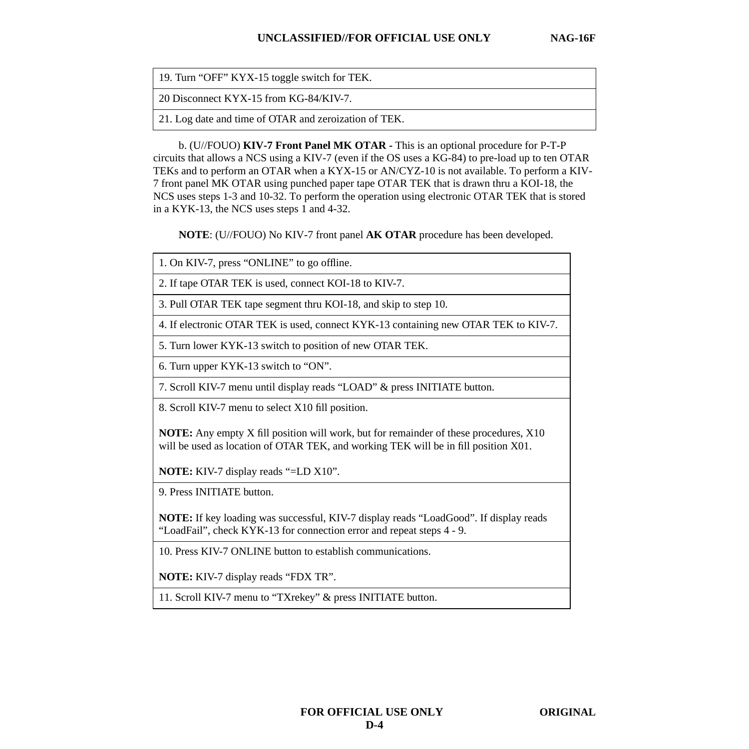19. Turn "OFF" KYX-15 toggle switch for TEK.

20 Disconnect KYX-15 from KG-84/KIV-7.

21. Log date and time of OTAR and zeroization of TEK.

b. (U//FOUO) **KIV-7 Front Panel MK OTAR -** This is an optional procedure for P-T-P circuits that allows a NCS using a KIV-7 (even if the OS uses a KG-84) to pre-load up to ten OTAR TEKs and to perform an OTAR when a KYX-15 or AN/CYZ-10 is not available. To perform a KIV-7 front panel MK OTAR using punched paper tape OTAR TEK that is drawn thru a KOI-18, the NCS uses steps 1-3 and 10-32. To perform the operation using electronic OTAR TEK that is stored in a KYK-13, the NCS uses steps 1 and 4-32.

**NOTE**: (U//FOUO) No KIV-7 front panel **AK OTAR** procedure has been developed.

1. On KIV-7, press "ONLINE" to go offline.

2. If tape OTAR TEK is used, connect KOI-18 to KIV-7.

3. Pull OTAR TEK tape segment thru KOI-18, and skip to step 10.

4. If electronic OTAR TEK is used, connect KYK-13 containing new OTAR TEK to KIV-7.

5. Turn lower KYK-13 switch to position of new OTAR TEK.

6. Turn upper KYK-13 switch to "ON".

7. Scroll KIV-7 menu until display reads "LOAD" & press INITIATE button.

8. Scroll KIV-7 menu to select X10 fill position.

**NOTE:** Any empty X fill position will work, but for remainder of these procedures, X10 will be used as location of OTAR TEK, and working TEK will be in fill position X01.

**NOTE:** KIV-7 display reads "=LD X10".

9. Press INITIATE button.

**NOTE:** If key loading was successful, KIV-7 display reads "LoadGood". If display reads "LoadFail", check KYK-13 for connection error and repeat steps 4 - 9.

10. Press KIV-7 ONLINE button to establish communications.

**NOTE:** KIV-7 display reads "FDX TR".

11. Scroll KIV-7 menu to "TXrekey" & press INITIATE button.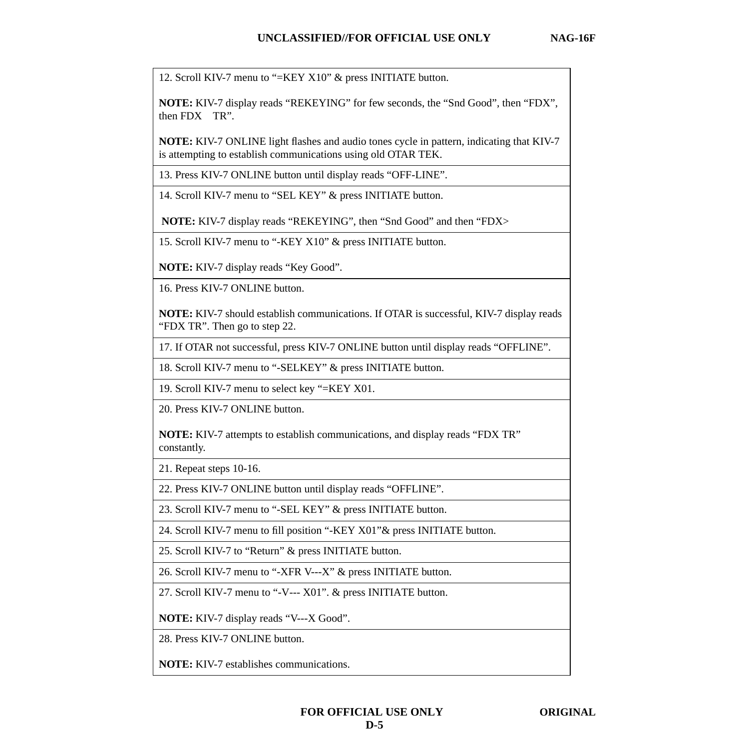12. Scroll KIV-7 menu to "=KEY X10" & press INITIATE button.

**NOTE:** KIV-7 display reads "REKEYING" for few seconds, the "Snd Good", then "FDX", then FDX TR".

**NOTE:** KIV-7 ONLINE light flashes and audio tones cycle in pattern, indicating that KIV-7 is attempting to establish communications using old OTAR TEK.

13. Press KIV-7 ONLINE button until display reads "OFF-LINE".

14. Scroll KIV-7 menu to "SEL KEY" & press INITIATE button.

**NOTE:** KIV-7 display reads "REKEYING", then "Snd Good" and then "FDX>

15. Scroll KIV-7 menu to "-KEY X10" & press INITIATE button.

**NOTE:** KIV-7 display reads "Key Good".

16. Press KIV-7 ONLINE button.

**NOTE:** KIV-7 should establish communications. If OTAR is successful, KIV-7 display reads "FDX TR". Then go to step 22.

17. If OTAR not successful, press KIV-7 ONLINE button until display reads "OFFLINE".

18. Scroll KIV-7 menu to "-SELKEY" & press INITIATE button.

19. Scroll KIV-7 menu to select key "=KEY X01.

20. Press KIV-7 ONLINE button.

**NOTE:** KIV-7 attempts to establish communications, and display reads "FDX TR" constantly.

21. Repeat steps 10-16.

22. Press KIV-7 ONLINE button until display reads "OFFLINE".

23. Scroll KIV-7 menu to "-SEL KEY" & press INITIATE button.

24. Scroll KIV-7 menu to fill position "-KEY X01"& press INITIATE button.

25. Scroll KIV-7 to "Return" & press INITIATE button.

26. Scroll KIV-7 menu to "-XFR V---X" & press INITIATE button.

27. Scroll KIV-7 menu to "-V--- X01". & press INITIATE button.

**NOTE:** KIV-7 display reads "V---X Good".

28. Press KIV-7 ONLINE button.

**NOTE:** KIV-7 establishes communications.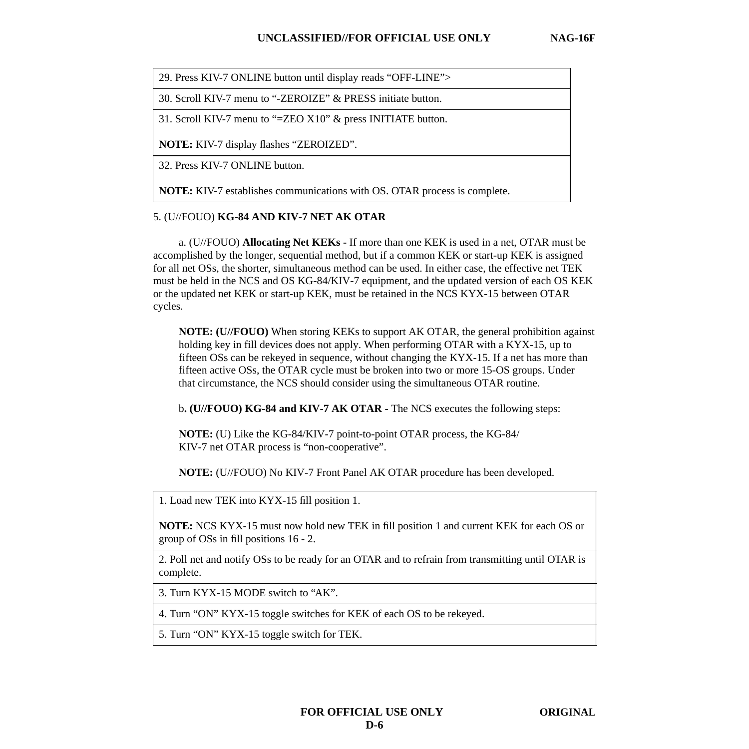29. Press KIV-7 ONLINE button until display reads "OFF-LINE">

30. Scroll KIV-7 menu to "-ZEROIZE" & PRESS initiate button.

31. Scroll KIV-7 menu to "=ZEO X10" & press INITIATE button.

**NOTE:** KIV-7 display flashes "ZEROIZED".

32. Press KIV-7 ONLINE button.

**NOTE:** KIV-7 establishes communications with OS. OTAR process is complete.

#### 5. (U//FOUO) **KG-84 AND KIV-7 NET AK OTAR**

a. (U//FOUO) **Allocating Net KEKs -** If more than one KEK is used in a net, OTAR must be accomplished by the longer, sequential method, but if a common KEK or start-up KEK is assigned for all net OSs, the shorter, simultaneous method can be used. In either case, the effective net TEK must be held in the NCS and OS KG-84/KIV-7 equipment, and the updated version of each OS KEK or the updated net KEK or start-up KEK, must be retained in the NCS KYX-15 between OTAR cycles.

**NOTE: (U//FOUO)** When storing KEKs to support AK OTAR, the general prohibition against holding key in fill devices does not apply. When performing OTAR with a KYX-15, up to fifteen OSs can be rekeyed in sequence, without changing the KYX-15. If a net has more than fifteen active OSs, the OTAR cycle must be broken into two or more 15-OS groups. Under that circumstance, the NCS should consider using the simultaneous OTAR routine.

b**. (U//FOUO) KG-84 and KIV-7 AK OTAR -** The NCS executes the following steps:

**NOTE:** (U) Like the KG-84/KIV-7 point-to-point OTAR process, the KG-84/ KIV-7 net OTAR process is "non-cooperative".

**NOTE:** (U//FOUO) No KIV-7 Front Panel AK OTAR procedure has been developed.

1. Load new TEK into KYX-15 fill position 1.

**NOTE:** NCS KYX-15 must now hold new TEK in fill position 1 and current KEK for each OS or group of OSs in fill positions 16 - 2.

2. Poll net and notify OSs to be ready for an OTAR and to refrain from transmitting until OTAR is complete.

3. Turn KYX-15 MODE switch to "AK".

4. Turn "ON" KYX-15 toggle switches for KEK of each OS to be rekeyed.

5. Turn "ON" KYX-15 toggle switch for TEK.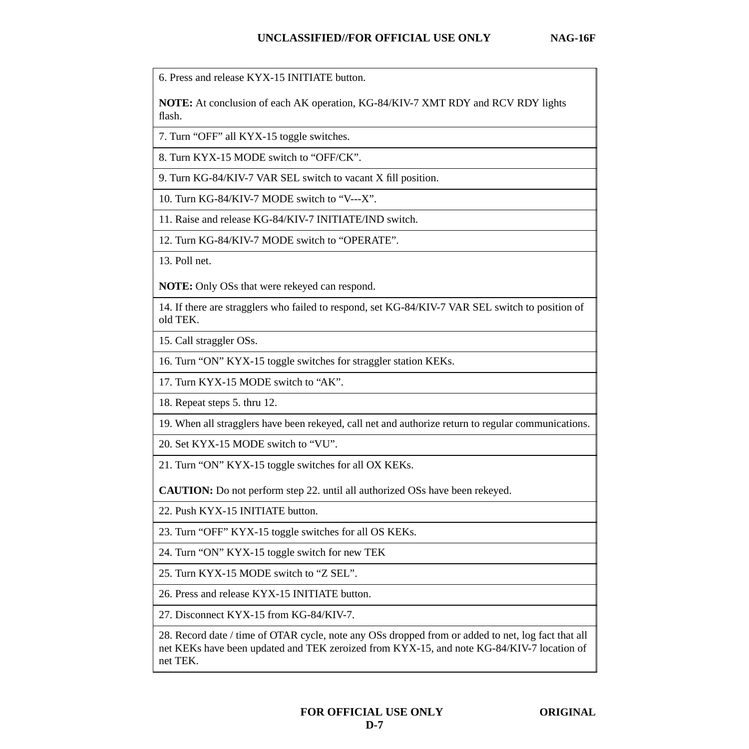6. Press and release KYX-15 INITIATE button.

**NOTE:** At conclusion of each AK operation, KG-84/KIV-7 XMT RDY and RCV RDY lights flash.

7. Turn "OFF" all KYX-15 toggle switches.

8. Turn KYX-15 MODE switch to "OFF/CK".

9. Turn KG-84/KIV-7 VAR SEL switch to vacant X fill position.

10. Turn KG-84/KIV-7 MODE switch to "V---X".

11. Raise and release KG-84/KIV-7 INITIATE/IND switch.

12. Turn KG-84/KIV-7 MODE switch to "OPERATE".

13. Poll net.

**NOTE:** Only OSs that were rekeyed can respond.

14. If there are stragglers who failed to respond, set KG-84/KIV-7 VAR SEL switch to position of old TEK.

15. Call straggler OSs.

16. Turn "ON" KYX-15 toggle switches for straggler station KEKs.

17. Turn KYX-15 MODE switch to "AK".

18. Repeat steps 5. thru 12.

19. When all stragglers have been rekeyed, call net and authorize return to regular communications.

20. Set KYX-15 MODE switch to "VU".

21. Turn "ON" KYX-15 toggle switches for all OX KEKs.

**CAUTION:** Do not perform step 22. until all authorized OSs have been rekeyed.

22. Push KYX-15 INITIATE button.

23. Turn "OFF" KYX-15 toggle switches for all OS KEKs.

24. Turn "ON" KYX-15 toggle switch for new TEK

25. Turn KYX-15 MODE switch to "Z SEL".

26. Press and release KYX-15 INITIATE button.

27. Disconnect KYX-15 from KG-84/KIV-7.

28. Record date / time of OTAR cycle, note any OSs dropped from or added to net, log fact that all net KEKs have been updated and TEK zeroized from KYX-15, and note KG-84/KIV-7 location of net TEK.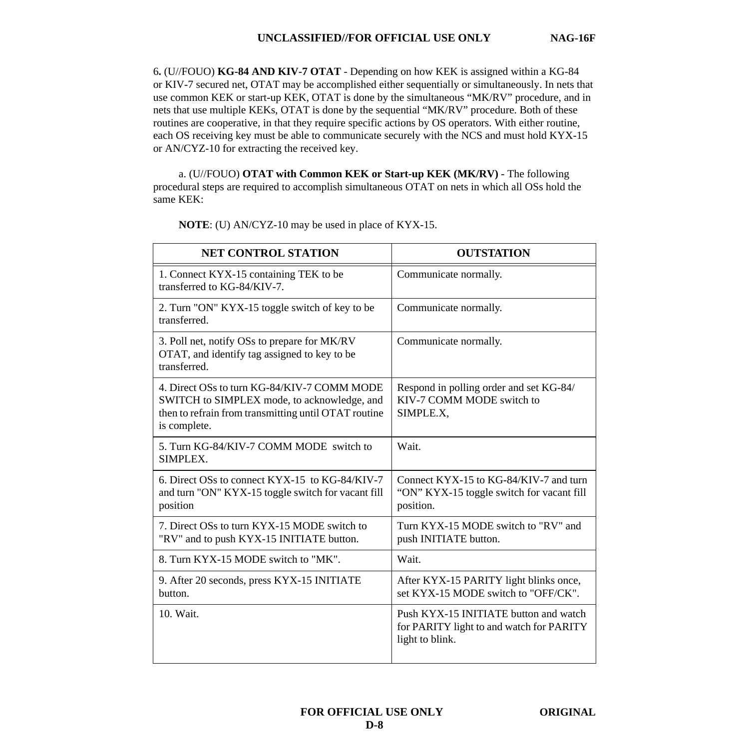6**.** (U//FOUO) **KG-84 AND KIV-7 OTAT** - Depending on how KEK is assigned within a KG-84 or KIV-7 secured net, OTAT may be accomplished either sequentially or simultaneously. In nets that use common KEK or start-up KEK, OTAT is done by the simultaneous "MK/RV" procedure, and in nets that use multiple KEKs, OTAT is done by the sequential "MK/RV" procedure. Both of these routines are cooperative, in that they require specific actions by OS operators. With either routine, each OS receiving key must be able to communicate securely with the NCS and must hold KYX-15 or AN/CYZ-10 for extracting the received key.

a. (U//FOUO) **OTAT with Common KEK or Start-up KEK (MK/RV)** - The following procedural steps are required to accomplish simultaneous OTAT on nets in which all OSs hold the same KEK:

| <b>NET CONTROL STATION</b>                                                                                                                                         | <b>OUTSTATION</b>                                                                                    |
|--------------------------------------------------------------------------------------------------------------------------------------------------------------------|------------------------------------------------------------------------------------------------------|
| 1. Connect KYX-15 containing TEK to be<br>transferred to KG-84/KIV-7.                                                                                              | Communicate normally.                                                                                |
| 2. Turn "ON" KYX-15 toggle switch of key to be<br>transferred.                                                                                                     | Communicate normally.                                                                                |
| 3. Poll net, notify OSs to prepare for MK/RV<br>OTAT, and identify tag assigned to key to be<br>transferred.                                                       | Communicate normally.                                                                                |
| 4. Direct OSs to turn KG-84/KIV-7 COMM MODE<br>SWITCH to SIMPLEX mode, to acknowledge, and<br>then to refrain from transmitting until OTAT routine<br>is complete. | Respond in polling order and set KG-84/<br>KIV-7 COMM MODE switch to<br>SIMPLE.X,                    |
| 5. Turn KG-84/KIV-7 COMM MODE switch to<br>SIMPLEX.                                                                                                                | Wait.                                                                                                |
| 6. Direct OSs to connect KYX-15 to KG-84/KIV-7<br>and turn "ON" KYX-15 toggle switch for vacant fill<br>position                                                   | Connect KYX-15 to KG-84/KIV-7 and turn<br>"ON" KYX-15 toggle switch for vacant fill<br>position.     |
| 7. Direct OSs to turn KYX-15 MODE switch to<br>"RV" and to push KYX-15 INITIATE button.                                                                            | Turn KYX-15 MODE switch to "RV" and<br>push INITIATE button.                                         |
| 8. Turn KYX-15 MODE switch to "MK".                                                                                                                                | Wait.                                                                                                |
| 9. After 20 seconds, press KYX-15 INITIATE<br>button.                                                                                                              | After KYX-15 PARITY light blinks once,<br>set KYX-15 MODE switch to "OFF/CK".                        |
| 10. Wait.                                                                                                                                                          | Push KYX-15 INITIATE button and watch<br>for PARITY light to and watch for PARITY<br>light to blink. |

**NOTE**: (U) AN/CYZ-10 may be used in place of KYX-15.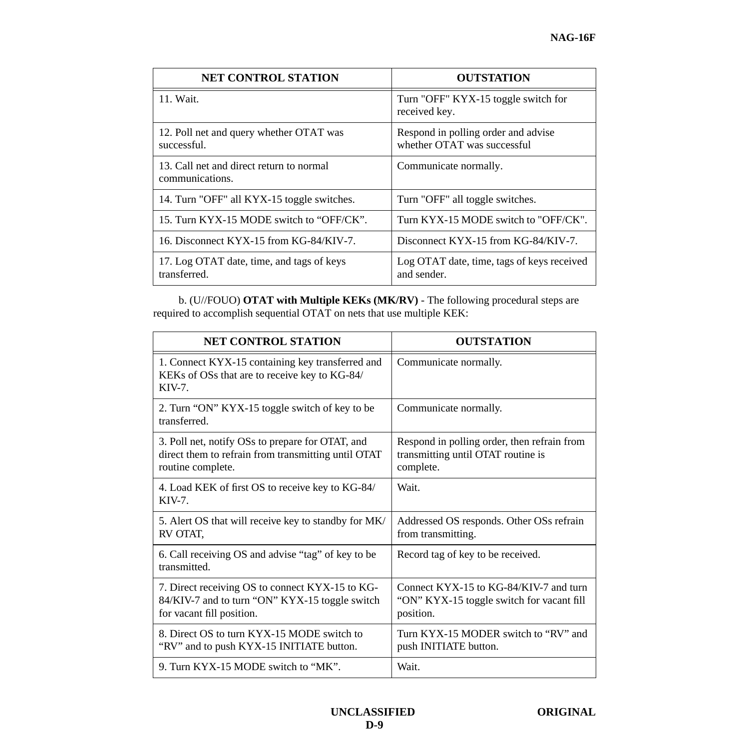| <b>NET CONTROL STATION</b>                                  | <b>OUTSTATION</b>                                                  |
|-------------------------------------------------------------|--------------------------------------------------------------------|
| 11. Wait.                                                   | Turn "OFF" KYX-15 toggle switch for<br>received key.               |
| 12. Poll net and query whether OTAT was<br>successful.      | Respond in polling order and advise<br>whether OTAT was successful |
| 13. Call net and direct return to normal<br>communications. | Communicate normally.                                              |
| 14. Turn "OFF" all KYX-15 toggle switches.                  | Turn "OFF" all toggle switches.                                    |
| 15. Turn KYX-15 MODE switch to "OFF/CK".                    | Turn KYX-15 MODE switch to "OFF/CK".                               |
| 16. Disconnect KYX-15 from KG-84/KIV-7.                     | Disconnect KYX-15 from KG-84/KIV-7.                                |
| 17. Log OTAT date, time, and tags of keys<br>transferred.   | Log OTAT date, time, tags of keys received<br>and sender.          |

b. (U//FOUO) **OTAT with Multiple KEKs (MK/RV)** - The following procedural steps are required to accomplish sequential OTAT on nets that use multiple KEK:

| <b>NET CONTROL STATION</b>                                                                                                     | <b>OUTSTATION</b>                                                                                |
|--------------------------------------------------------------------------------------------------------------------------------|--------------------------------------------------------------------------------------------------|
| 1. Connect KYX-15 containing key transferred and<br>KEKs of OSs that are to receive key to KG-84/<br>KIV-7.                    | Communicate normally.                                                                            |
| 2. Turn "ON" KYX-15 toggle switch of key to be<br>transferred.                                                                 | Communicate normally.                                                                            |
| 3. Poll net, notify OSs to prepare for OTAT, and<br>direct them to refrain from transmitting until OTAT<br>routine complete.   | Respond in polling order, then refrain from<br>transmitting until OTAT routine is<br>complete.   |
| 4. Load KEK of first OS to receive key to KG-84/<br>$KIV-7$ .                                                                  | Wait.                                                                                            |
| 5. Alert OS that will receive key to standby for MK/<br>RV OTAT,                                                               | Addressed OS responds. Other OSs refrain<br>from transmitting.                                   |
| 6. Call receiving OS and advise "tag" of key to be<br>transmitted.                                                             | Record tag of key to be received.                                                                |
| 7. Direct receiving OS to connect KYX-15 to KG-<br>84/KIV-7 and to turn "ON" KYX-15 toggle switch<br>for vacant fill position. | Connect KYX-15 to KG-84/KIV-7 and turn<br>"ON" KYX-15 toggle switch for vacant fill<br>position. |
| 8. Direct OS to turn KYX-15 MODE switch to<br>"RV" and to push KYX-15 INITIATE button.                                         | Turn KYX-15 MODER switch to "RV" and<br>push INITIATE button.                                    |
| 9. Turn KYX-15 MODE switch to "MK".                                                                                            | Wait.                                                                                            |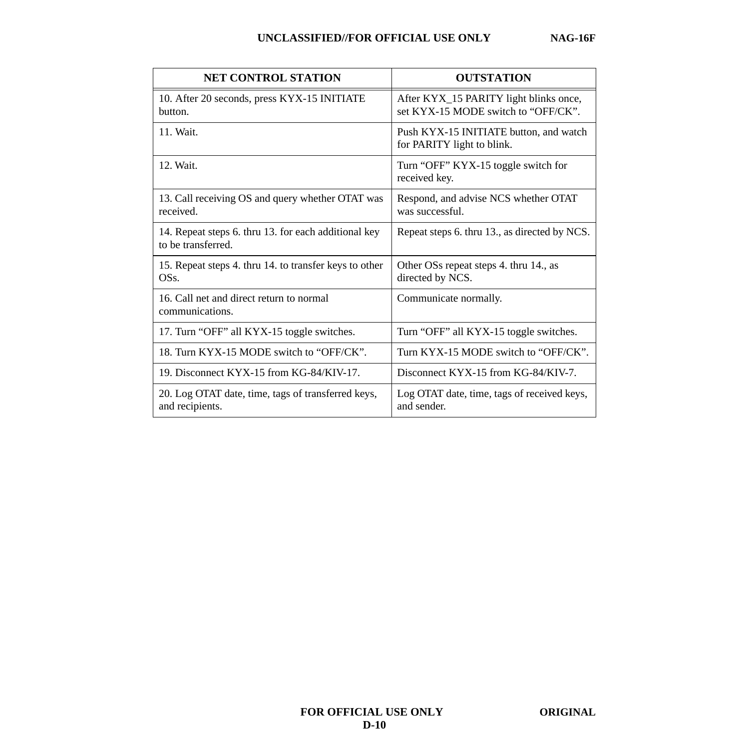## **UNCLASSIFIED//FOR OFFICIAL USE ONLY NAG-16F**

| <b>NET CONTROL STATION</b>                                                  | <b>OUTSTATION</b>                                                             |
|-----------------------------------------------------------------------------|-------------------------------------------------------------------------------|
| 10. After 20 seconds, press KYX-15 INITIATE<br>button.                      | After KYX_15 PARITY light blinks once,<br>set KYX-15 MODE switch to "OFF/CK". |
| 11. Wait.                                                                   | Push KYX-15 INITIATE button, and watch<br>for PARITY light to blink.          |
| 12. Wait.                                                                   | Turn "OFF" KYX-15 toggle switch for<br>received key.                          |
| 13. Call receiving OS and query whether OTAT was<br>received.               | Respond, and advise NCS whether OTAT<br>was successful.                       |
| 14. Repeat steps 6. thru 13. for each additional key<br>to be transferred.  | Repeat steps 6. thru 13., as directed by NCS.                                 |
| 15. Repeat steps 4. thru 14. to transfer keys to other<br>OS <sub>s</sub> . | Other OSs repeat steps 4. thru 14., as<br>directed by NCS.                    |
| 16. Call net and direct return to normal<br>communications.                 | Communicate normally.                                                         |
| 17. Turn "OFF" all KYX-15 toggle switches.                                  | Turn "OFF" all KYX-15 toggle switches.                                        |
| 18. Turn KYX-15 MODE switch to "OFF/CK".                                    | Turn KYX-15 MODE switch to "OFF/CK".                                          |
| 19. Disconnect KYX-15 from KG-84/KIV-17.                                    | Disconnect KYX-15 from KG-84/KIV-7.                                           |
| 20. Log OTAT date, time, tags of transferred keys,<br>and recipients.       | Log OTAT date, time, tags of received keys,<br>and sender.                    |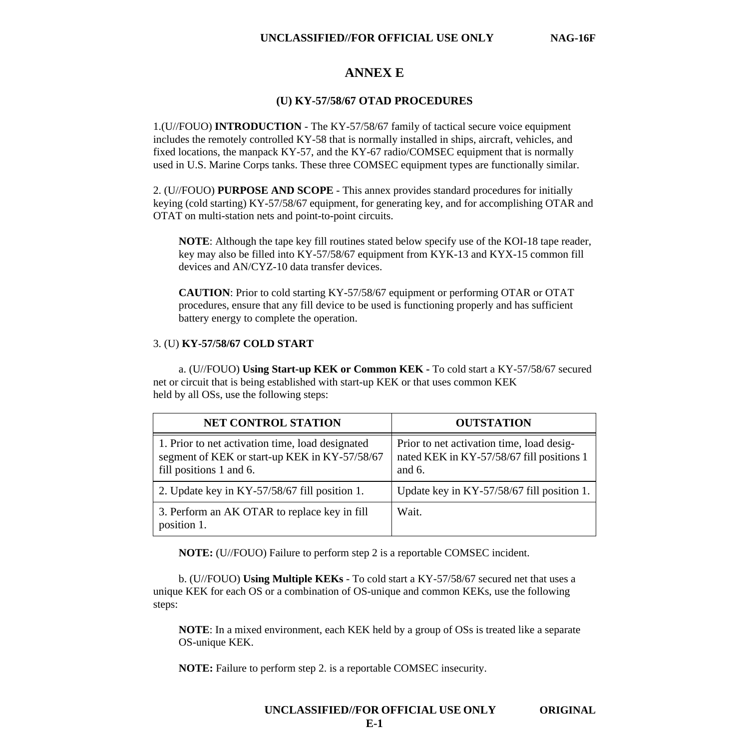#### **UNCLASSIFIED//FOR OFFICIAL USE ONLY NAG-16F**

## **ANNEX E**

#### **(U) KY-57/58/67 OTAD PROCEDURES**

1.(U//FOUO) **INTRODUCTION** - The KY-57/58/67 family of tactical secure voice equipment includes the remotely controlled KY-58 that is normally installed in ships, aircraft, vehicles, and fixed locations, the manpack KY-57, and the KY-67 radio/COMSEC equipment that is normally used in U.S. Marine Corps tanks. These three COMSEC equipment types are functionally similar.

2. (U//FOUO) **PURPOSE AND SCOPE** - This annex provides standard procedures for initially keying (cold starting) KY-57/58/67 equipment, for generating key, and for accomplishing OTAR and OTAT on multi-station nets and point-to-point circuits.

**NOTE**: Although the tape key fill routines stated below specify use of the KOI-18 tape reader, key may also be filled into KY-57/58/67 equipment from KYK-13 and KYX-15 common fill devices and AN/CYZ-10 data transfer devices.

**CAUTION**: Prior to cold starting KY-57/58/67 equipment or performing OTAR or OTAT procedures, ensure that any fill device to be used is functioning properly and has sufficient battery energy to complete the operation.

#### 3. (U) **KY-57/58/67 COLD START**

a. (U//FOUO) **Using Start-up KEK or Common KEK -** To cold start a KY-57/58/67 secured net or circuit that is being established with start-up KEK or that uses common KEK held by all OSs, use the following steps:

| <b>NET CONTROL STATION</b>                                                                                                   | <b>OUTSTATION</b>                                                                                   |
|------------------------------------------------------------------------------------------------------------------------------|-----------------------------------------------------------------------------------------------------|
| 1. Prior to net activation time, load designated<br>segment of KEK or start-up KEK in KY-57/58/67<br>fill positions 1 and 6. | Prior to net activation time, load desig-<br>nated KEK in KY-57/58/67 fill positions 1<br>and $6$ . |
| 2. Update key in KY-57/58/67 fill position 1.                                                                                | Update key in KY-57/58/67 fill position 1.                                                          |
| 3. Perform an AK OTAR to replace key in fill<br>position 1.                                                                  | Wait.                                                                                               |

**NOTE:** (U//FOUO) Failure to perform step 2 is a reportable COMSEC incident.

b. (U//FOUO) **Using Multiple KEKs** - To cold start a KY-57/58/67 secured net that uses a unique KEK for each OS or a combination of OS-unique and common KEKs, use the following steps:

**NOTE**: In a mixed environment, each KEK held by a group of OSs is treated like a separate OS-unique KEK.

**NOTE:** Failure to perform step 2. is a reportable COMSEC insecurity.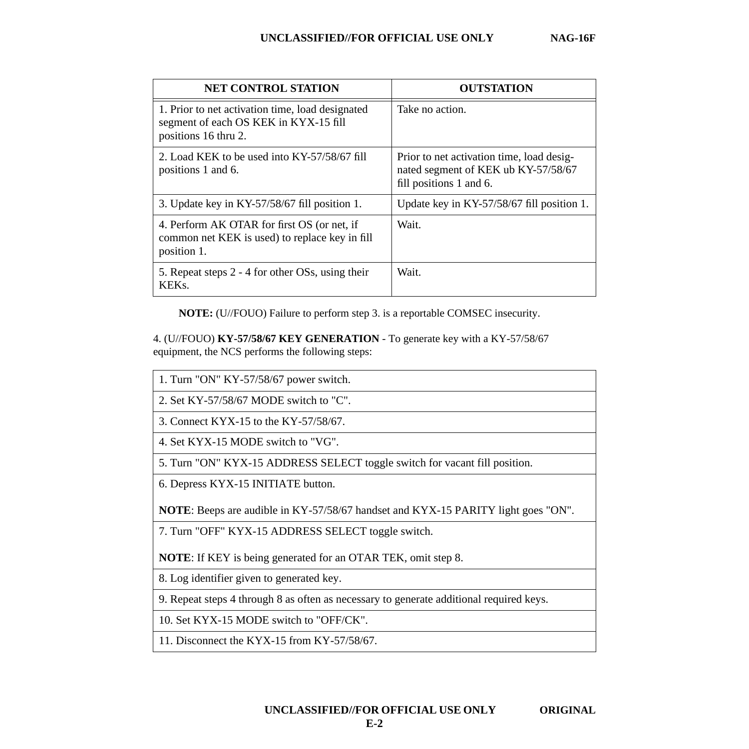| <b>NET CONTROL STATION</b>                                                                                        | <b>OUTSTATION</b>                                                                                           |
|-------------------------------------------------------------------------------------------------------------------|-------------------------------------------------------------------------------------------------------------|
| 1. Prior to net activation time, load designated<br>segment of each OS KEK in KYX-15 fill<br>positions 16 thru 2. | Take no action.                                                                                             |
| 2. Load KEK to be used into KY-57/58/67 fill<br>positions 1 and 6.                                                | Prior to net activation time, load desig-<br>nated segment of KEK ub KY-57/58/67<br>fill positions 1 and 6. |
| 3. Update key in KY-57/58/67 fill position 1.                                                                     | Update key in KY-57/58/67 fill position 1.                                                                  |
| 4. Perform AK OTAR for first OS (or net, if<br>common net KEK is used) to replace key in fill<br>position 1.      | Wait.                                                                                                       |
| 5. Repeat steps 2 - 4 for other OSs, using their<br>KEKs.                                                         | Wait.                                                                                                       |

**NOTE:** (U//FOUO) Failure to perform step 3. is a reportable COMSEC insecurity.

4. (U//FOUO) **KY-57/58/67 KEY GENERATION** - To generate key with a KY-57/58/67 equipment, the NCS performs the following steps:

1. Turn "ON" KY-57/58/67 power switch.

2. Set KY-57/58/67 MODE switch to "C".

3. Connect KYX-15 to the KY-57/58/67.

4. Set KYX-15 MODE switch to "VG".

5. Turn "ON" KYX-15 ADDRESS SELECT toggle switch for vacant fill position.

6. Depress KYX-15 INITIATE button.

**NOTE**: Beeps are audible in KY-57/58/67 handset and KYX-15 PARITY light goes "ON".

7. Turn "OFF" KYX-15 ADDRESS SELECT toggle switch.

**NOTE**: If KEY is being generated for an OTAR TEK, omit step 8.

8. Log identifier given to generated key.

9. Repeat steps 4 through 8 as often as necessary to generate additional required keys.

10. Set KYX-15 MODE switch to "OFF/CK".

11. Disconnect the KYX-15 from KY-57/58/67.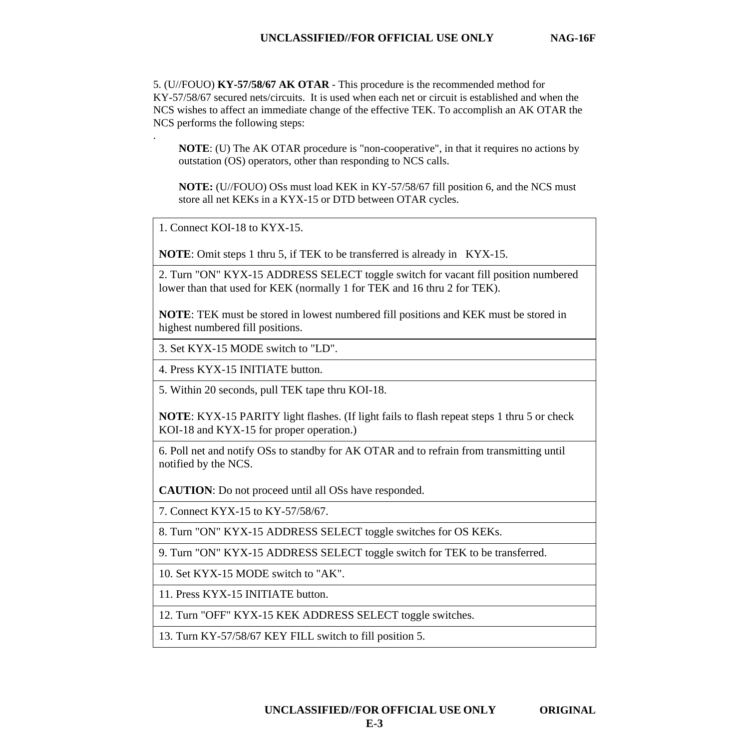5. (U//FOUO) **KY-57/58/67 AK OTAR** - This procedure is the recommended method for KY-57/58/67 secured nets/circuits. It is used when each net or circuit is established and when the NCS wishes to affect an immediate change of the effective TEK. To accomplish an AK OTAR the NCS performs the following steps:

**NOTE**: (U) The AK OTAR procedure is "non-cooperative", in that it requires no actions by outstation (OS) operators, other than responding to NCS calls.

**NOTE:** (U//FOUO) OSs must load KEK in KY-57/58/67 fill position 6, and the NCS must store all net KEKs in a KYX-15 or DTD between OTAR cycles.

1. Connect KOI-18 to KYX-15.

.

**NOTE:** Omit steps 1 thru 5, if TEK to be transferred is already in KYX-15.

2. Turn "ON" KYX-15 ADDRESS SELECT toggle switch for vacant fill position numbered lower than that used for KEK (normally 1 for TEK and 16 thru 2 for TEK).

**NOTE**: TEK must be stored in lowest numbered fill positions and KEK must be stored in highest numbered fill positions.

3. Set KYX-15 MODE switch to "LD".

4. Press KYX-15 INITIATE button.

5. Within 20 seconds, pull TEK tape thru KOI-18.

**NOTE**: KYX-15 PARITY light flashes. (If light fails to flash repeat steps 1 thru 5 or check KOI-18 and KYX-15 for proper operation.)

6. Poll net and notify OSs to standby for AK OTAR and to refrain from transmitting until notified by the NCS.

**CAUTION**: Do not proceed until all OSs have responded.

7. Connect KYX-15 to KY-57/58/67.

8. Turn "ON" KYX-15 ADDRESS SELECT toggle switches for OS KEKs.

9. Turn "ON" KYX-15 ADDRESS SELECT toggle switch for TEK to be transferred.

10. Set KYX-15 MODE switch to "AK".

11. Press KYX-15 INITIATE button.

12. Turn "OFF" KYX-15 KEK ADDRESS SELECT toggle switches.

13. Turn KY-57/58/67 KEY FILL switch to fill position 5.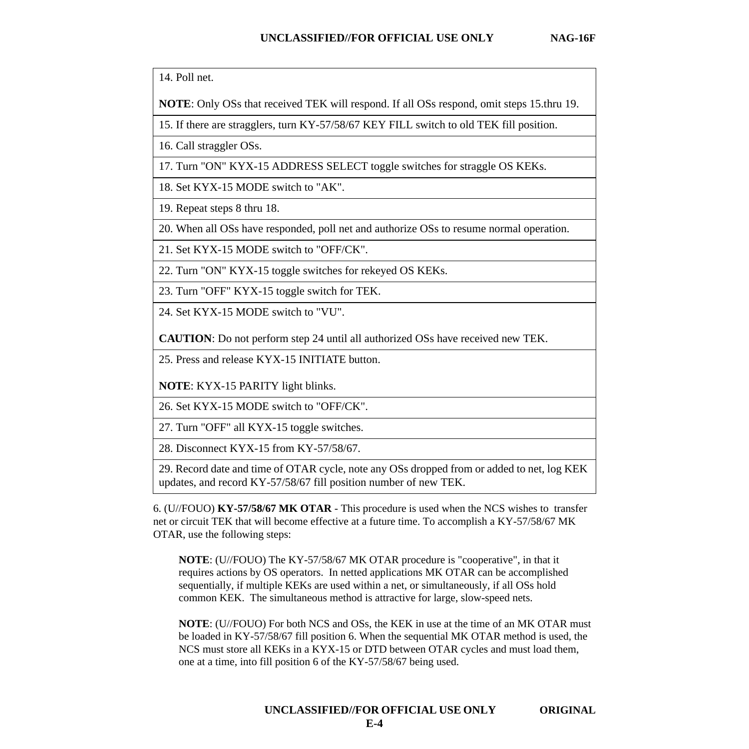14. Poll net.

**NOTE**: Only OSs that received TEK will respond. If all OSs respond, omit steps 15.thru 19.

15. If there are stragglers, turn KY-57/58/67 KEY FILL switch to old TEK fill position.

16. Call straggler OSs.

17. Turn "ON" KYX-15 ADDRESS SELECT toggle switches for straggle OS KEKs.

18. Set KYX-15 MODE switch to "AK".

19. Repeat steps 8 thru 18.

20. When all OSs have responded, poll net and authorize OSs to resume normal operation.

21. Set KYX-15 MODE switch to "OFF/CK".

22. Turn "ON" KYX-15 toggle switches for rekeyed OS KEKs.

23. Turn "OFF" KYX-15 toggle switch for TEK.

24. Set KYX-15 MODE switch to "VU".

**CAUTION**: Do not perform step 24 until all authorized OSs have received new TEK.

25. Press and release KYX-15 INITIATE button.

**NOTE**: KYX-15 PARITY light blinks.

26. Set KYX-15 MODE switch to "OFF/CK".

27. Turn "OFF" all KYX-15 toggle switches.

28. Disconnect KYX-15 from KY-57/58/67.

29. Record date and time of OTAR cycle, note any OSs dropped from or added to net, log KEK updates, and record KY-57/58/67 fill position number of new TEK.

6. (U//FOUO) **KY-57/58/67 MK OTAR** - This procedure is used when the NCS wishes to transfer net or circuit TEK that will become effective at a future time. To accomplish a KY-57/58/67 MK OTAR, use the following steps:

**NOTE**: (U//FOUO) The KY-57/58/67 MK OTAR procedure is "cooperative", in that it requires actions by OS operators. In netted applications MK OTAR can be accomplished sequentially, if multiple KEKs are used within a net, or simultaneously, if all OSs hold common KEK. The simultaneous method is attractive for large, slow-speed nets.

**NOTE**: (U//FOUO) For both NCS and OSs, the KEK in use at the time of an MK OTAR must be loaded in KY-57/58/67 fill position 6. When the sequential MK OTAR method is used, the NCS must store all KEKs in a KYX-15 or DTD between OTAR cycles and must load them, one at a time, into fill position 6 of the KY-57/58/67 being used.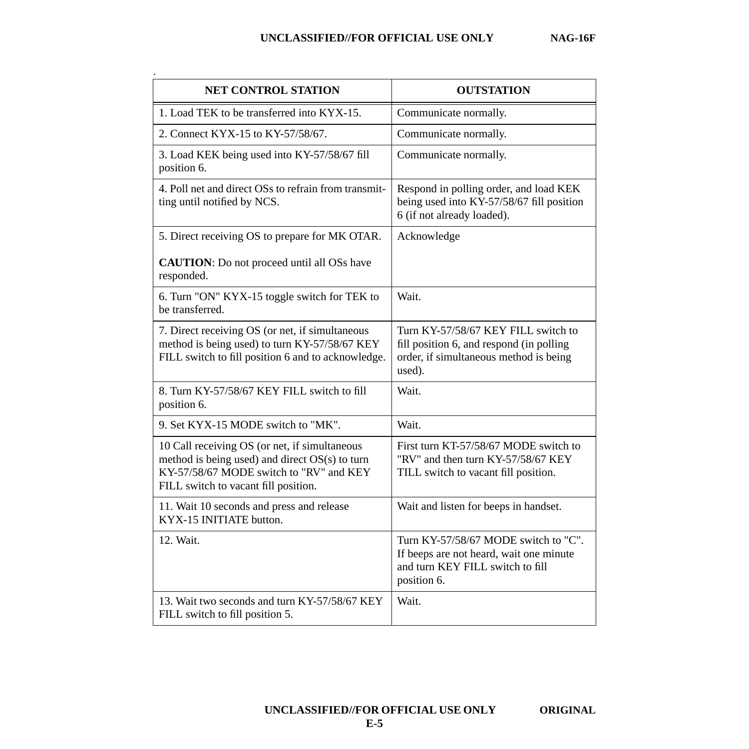.

| <b>NET CONTROL STATION</b>                                                                                                                                                           | <b>OUTSTATION</b>                                                                                                                    |
|--------------------------------------------------------------------------------------------------------------------------------------------------------------------------------------|--------------------------------------------------------------------------------------------------------------------------------------|
| 1. Load TEK to be transferred into KYX-15.                                                                                                                                           | Communicate normally.                                                                                                                |
| 2. Connect KYX-15 to KY-57/58/67.                                                                                                                                                    | Communicate normally.                                                                                                                |
| 3. Load KEK being used into KY-57/58/67 fill<br>position 6.                                                                                                                          | Communicate normally.                                                                                                                |
| 4. Poll net and direct OSs to refrain from transmit-<br>ting until notified by NCS.                                                                                                  | Respond in polling order, and load KEK<br>being used into KY-57/58/67 fill position<br>6 (if not already loaded).                    |
| 5. Direct receiving OS to prepare for MK OTAR.                                                                                                                                       | Acknowledge                                                                                                                          |
| <b>CAUTION:</b> Do not proceed until all OSs have<br>responded.                                                                                                                      |                                                                                                                                      |
| 6. Turn "ON" KYX-15 toggle switch for TEK to<br>be transferred.                                                                                                                      | Wait.                                                                                                                                |
| 7. Direct receiving OS (or net, if simultaneous<br>method is being used) to turn KY-57/58/67 KEY<br>FILL switch to fill position 6 and to acknowledge.                               | Turn KY-57/58/67 KEY FILL switch to<br>fill position 6, and respond (in polling)<br>order, if simultaneous method is being<br>used). |
| 8. Turn KY-57/58/67 KEY FILL switch to fill<br>position 6.                                                                                                                           | Wait.                                                                                                                                |
| 9. Set KYX-15 MODE switch to "MK".                                                                                                                                                   | Wait.                                                                                                                                |
| 10 Call receiving OS (or net, if simultaneous<br>method is being used) and direct $OS(s)$ to turn<br>KY-57/58/67 MODE switch to "RV" and KEY<br>FILL switch to vacant fill position. | First turn KT-57/58/67 MODE switch to<br>"RV" and then turn KY-57/58/67 KEY<br>TILL switch to vacant fill position.                  |
| 11. Wait 10 seconds and press and release<br>KYX-15 INITIATE button.                                                                                                                 | Wait and listen for beeps in handset.                                                                                                |
| 12. Wait.                                                                                                                                                                            | Turn KY-57/58/67 MODE switch to "C".<br>If beeps are not heard, wait one minute<br>and turn KEY FILL switch to fill<br>position 6.   |
| 13. Wait two seconds and turn KY-57/58/67 KEY<br>FILL switch to fill position 5.                                                                                                     | Wait.                                                                                                                                |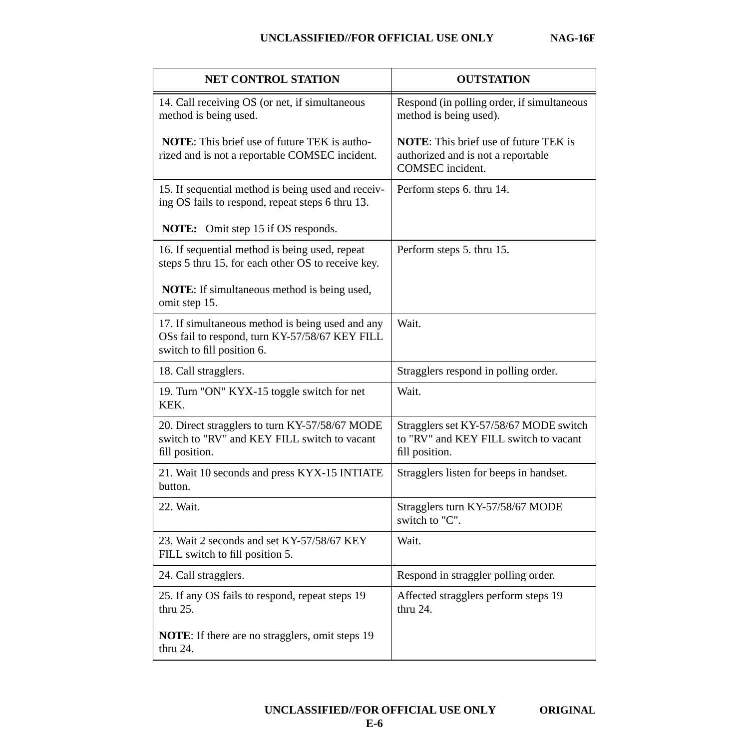| <b>NET CONTROL STATION</b>                                                                                                                                                  | <b>OUTSTATION</b>                                                                                      |
|-----------------------------------------------------------------------------------------------------------------------------------------------------------------------------|--------------------------------------------------------------------------------------------------------|
| 14. Call receiving OS (or net, if simultaneous<br>method is being used.                                                                                                     | Respond (in polling order, if simultaneous<br>method is being used).                                   |
| <b>NOTE:</b> This brief use of future TEK is autho-<br>rized and is not a reportable COMSEC incident.                                                                       | <b>NOTE:</b> This brief use of future TEK is<br>authorized and is not a reportable<br>COMSEC incident. |
| 15. If sequential method is being used and receiv-<br>ing OS fails to respond, repeat steps 6 thru 13.                                                                      | Perform steps 6. thru 14.                                                                              |
| <b>NOTE:</b> Omit step 15 if OS responds.                                                                                                                                   |                                                                                                        |
| 16. If sequential method is being used, repeat<br>steps 5 thru 15, for each other OS to receive key.<br><b>NOTE:</b> If simultaneous method is being used,<br>omit step 15. | Perform steps 5. thru 15.                                                                              |
| 17. If simultaneous method is being used and any<br>OSs fail to respond, turn KY-57/58/67 KEY FILL<br>switch to fill position 6.                                            | Wait.                                                                                                  |
| 18. Call stragglers.                                                                                                                                                        | Stragglers respond in polling order.                                                                   |
| 19. Turn "ON" KYX-15 toggle switch for net<br>KEK.                                                                                                                          | Wait.                                                                                                  |
| 20. Direct stragglers to turn KY-57/58/67 MODE<br>switch to "RV" and KEY FILL switch to vacant<br>fill position.                                                            | Stragglers set KY-57/58/67 MODE switch<br>to "RV" and KEY FILL switch to vacant<br>fill position.      |
| 21. Wait 10 seconds and press KYX-15 INTIATE<br>button.                                                                                                                     | Stragglers listen for beeps in handset.                                                                |
| 22. Wait.                                                                                                                                                                   | Stragglers turn KY-57/58/67 MODE<br>switch to "C".                                                     |
| 23. Wait 2 seconds and set KY-57/58/67 KEY<br>FILL switch to fill position 5.                                                                                               | Wait.                                                                                                  |
| 24. Call stragglers.                                                                                                                                                        | Respond in straggler polling order.                                                                    |
| 25. If any OS fails to respond, repeat steps 19<br>thru 25.                                                                                                                 | Affected stragglers perform steps 19<br>thru 24.                                                       |
| <b>NOTE:</b> If there are no stragglers, omit steps 19<br>thru 24.                                                                                                          |                                                                                                        |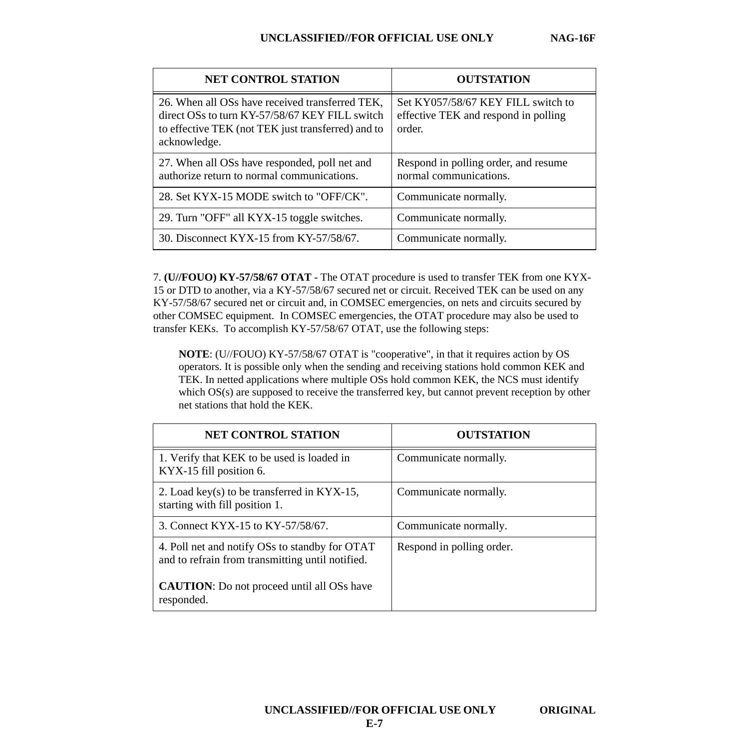| <b>NET CONTROL STATION</b>                                                                                                                                              | <b>OUTSTATION</b>                                                                    |
|-------------------------------------------------------------------------------------------------------------------------------------------------------------------------|--------------------------------------------------------------------------------------|
| 26. When all OSs have received transferred TEK,<br>direct OSs to turn KY-57/58/67 KEY FILL switch<br>to effective TEK (not TEK just transferred) and to<br>acknowledge. | Set KY057/58/67 KEY FILL switch to<br>effective TEK and respond in polling<br>order. |
| 27. When all OSs have responded, poll net and<br>authorize return to normal communications.                                                                             | Respond in polling order, and resume<br>normal communications.                       |
| 28. Set KYX-15 MODE switch to "OFF/CK".                                                                                                                                 | Communicate normally.                                                                |
| 29. Turn "OFF" all KYX-15 toggle switches.                                                                                                                              | Communicate normally.                                                                |
| 30. Disconnect KYX-15 from KY-57/58/67.                                                                                                                                 | Communicate normally.                                                                |

7. **(U//FOUO) KY-57/58/67 OTAT** - The OTAT procedure is used to transfer TEK from one KYX-15 or DTD to another, via a KY-57/58/67 secured net or circuit. Received TEK can be used on any KY-57/58/67 secured net or circuit and, in COMSEC emergencies, on nets and circuits secured by other COMSEC equipment. In COMSEC emergencies, the OTAT procedure may also be used to transfer KEKs. To accomplish KY-57/58/67 OTAT, use the following steps:

**NOTE**: (U//FOUO) KY-57/58/67 OTAT is "cooperative", in that it requires action by OS operators. It is possible only when the sending and receiving stations hold common KEK and TEK. In netted applications where multiple OSs hold common KEK, the NCS must identify which OS(s) are supposed to receive the transferred key, but cannot prevent reception by other net stations that hold the KEK.

| <b>NET CONTROL STATION</b>                                                                         | <b>OUTSTATION</b>         |
|----------------------------------------------------------------------------------------------------|---------------------------|
| 1. Verify that KEK to be used is loaded in<br>KYX-15 fill position 6.                              | Communicate normally.     |
| 2. Load key(s) to be transferred in KYX-15,<br>starting with fill position 1.                      | Communicate normally.     |
| 3. Connect KYX-15 to KY-57/58/67.                                                                  | Communicate normally.     |
| 4. Poll net and notify OSs to standby for OTAT<br>and to refrain from transmitting until notified. | Respond in polling order. |
| <b>CAUTION:</b> Do not proceed until all OSs have<br>responded.                                    |                           |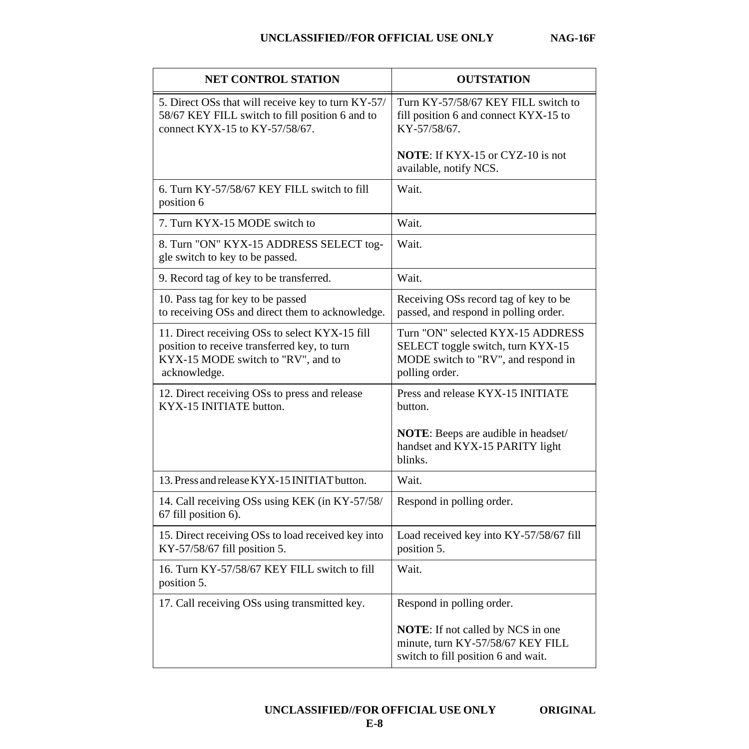| <b>NET CONTROL STATION</b>                                                                                                                           | <b>OUTSTATION</b>                                                                                                               |
|------------------------------------------------------------------------------------------------------------------------------------------------------|---------------------------------------------------------------------------------------------------------------------------------|
| 5. Direct OSs that will receive key to turn KY-57/<br>58/67 KEY FILL switch to fill position 6 and to<br>connect KYX-15 to KY-57/58/67.              | Turn KY-57/58/67 KEY FILL switch to<br>fill position 6 and connect KYX-15 to<br>KY-57/58/67.                                    |
|                                                                                                                                                      | <b>NOTE:</b> If KYX-15 or CYZ-10 is not<br>available, notify NCS.                                                               |
| 6. Turn KY-57/58/67 KEY FILL switch to fill<br>position 6                                                                                            | Wait.                                                                                                                           |
| 7. Turn KYX-15 MODE switch to                                                                                                                        | Wait.                                                                                                                           |
| 8. Turn "ON" KYX-15 ADDRESS SELECT tog-<br>gle switch to key to be passed.                                                                           | Wait.                                                                                                                           |
| 9. Record tag of key to be transferred.                                                                                                              | Wait.                                                                                                                           |
| 10. Pass tag for key to be passed<br>to receiving OSs and direct them to acknowledge.                                                                | Receiving OSs record tag of key to be<br>passed, and respond in polling order.                                                  |
| 11. Direct receiving OSs to select KYX-15 fill<br>position to receive transferred key, to turn<br>KYX-15 MODE switch to "RV", and to<br>acknowledge. | Turn "ON" selected KYX-15 ADDRESS<br>SELECT toggle switch, turn KYX-15<br>MODE switch to "RV", and respond in<br>polling order. |
| 12. Direct receiving OSs to press and release<br>KYX-15 INITIATE button.                                                                             | Press and release KYX-15 INITIATE<br>button.                                                                                    |
|                                                                                                                                                      | <b>NOTE:</b> Beeps are audible in headset/<br>handset and KYX-15 PARITY light<br>blinks.                                        |
| 13. Press and release KYX-15 INITIAT button.                                                                                                         | Wait.                                                                                                                           |
| 14. Call receiving OSs using KEK (in KY-57/58/<br>67 fill position 6).                                                                               | Respond in polling order.                                                                                                       |
| 15. Direct receiving OSs to load received key into<br>KY-57/58/67 fill position 5.                                                                   | Load received key into KY-57/58/67 fill<br>position 5.                                                                          |
| 16. Turn KY-57/58/67 KEY FILL switch to fill<br>position 5.                                                                                          | Wait.                                                                                                                           |
| 17. Call receiving OSs using transmitted key.                                                                                                        | Respond in polling order.                                                                                                       |
|                                                                                                                                                      | <b>NOTE:</b> If not called by NCS in one<br>minute, turn KY-57/58/67 KEY FILL<br>switch to fill position 6 and wait.            |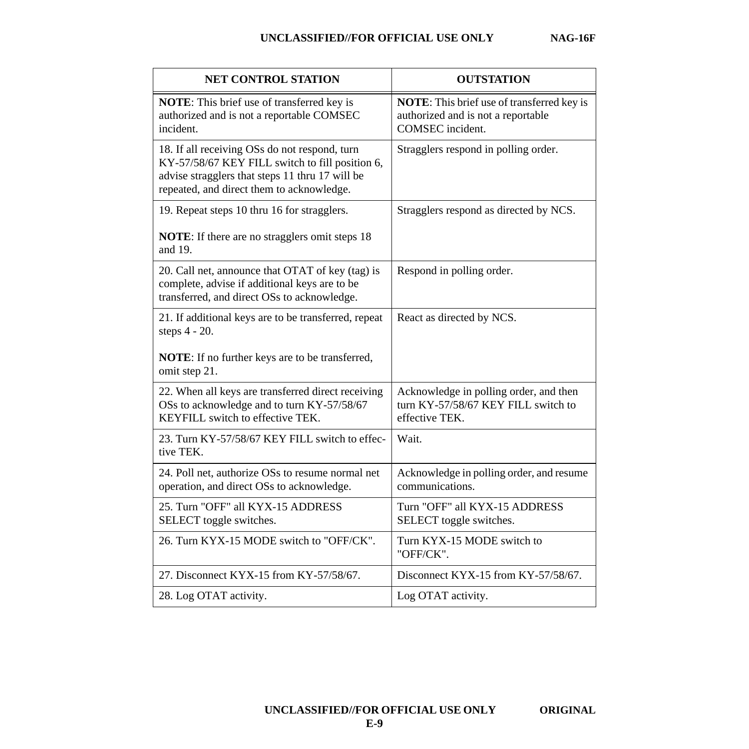| <b>NET CONTROL STATION</b>                                                                                                                                                                       | <b>OUTSTATION</b>                                                                                           |
|--------------------------------------------------------------------------------------------------------------------------------------------------------------------------------------------------|-------------------------------------------------------------------------------------------------------------|
| <b>NOTE:</b> This brief use of transferred key is<br>authorized and is not a reportable COMSEC<br>incident.                                                                                      | <b>NOTE:</b> This brief use of transferred key is<br>authorized and is not a reportable<br>COMSEC incident. |
| 18. If all receiving OSs do not respond, turn<br>KY-57/58/67 KEY FILL switch to fill position 6,<br>advise stragglers that steps 11 thru 17 will be<br>repeated, and direct them to acknowledge. | Stragglers respond in polling order.                                                                        |
| 19. Repeat steps 10 thru 16 for stragglers.                                                                                                                                                      | Stragglers respond as directed by NCS.                                                                      |
| <b>NOTE:</b> If there are no stragglers omit steps 18<br>and 19.                                                                                                                                 |                                                                                                             |
| 20. Call net, announce that OTAT of key (tag) is<br>complete, advise if additional keys are to be<br>transferred, and direct OSs to acknowledge.                                                 | Respond in polling order.                                                                                   |
| 21. If additional keys are to be transferred, repeat<br>steps $4 - 20$ .                                                                                                                         | React as directed by NCS.                                                                                   |
| <b>NOTE:</b> If no further keys are to be transferred,<br>omit step 21.                                                                                                                          |                                                                                                             |
| 22. When all keys are transferred direct receiving<br>OSs to acknowledge and to turn KY-57/58/67<br>KEYFILL switch to effective TEK.                                                             | Acknowledge in polling order, and then<br>turn KY-57/58/67 KEY FILL switch to<br>effective TEK.             |
| 23. Turn KY-57/58/67 KEY FILL switch to effec-<br>tive TEK.                                                                                                                                      | Wait.                                                                                                       |
| 24. Poll net, authorize OSs to resume normal net<br>operation, and direct OSs to acknowledge.                                                                                                    | Acknowledge in polling order, and resume<br>communications.                                                 |
| 25. Turn "OFF" all KYX-15 ADDRESS<br>SELECT toggle switches.                                                                                                                                     | Turn "OFF" all KYX-15 ADDRESS<br>SELECT toggle switches.                                                    |
| 26. Turn KYX-15 MODE switch to "OFF/CK".                                                                                                                                                         | Turn KYX-15 MODE switch to<br>"OFF/CK".                                                                     |
| 27. Disconnect KYX-15 from KY-57/58/67.                                                                                                                                                          | Disconnect KYX-15 from KY-57/58/67.                                                                         |
| 28. Log OTAT activity.                                                                                                                                                                           | Log OTAT activity.                                                                                          |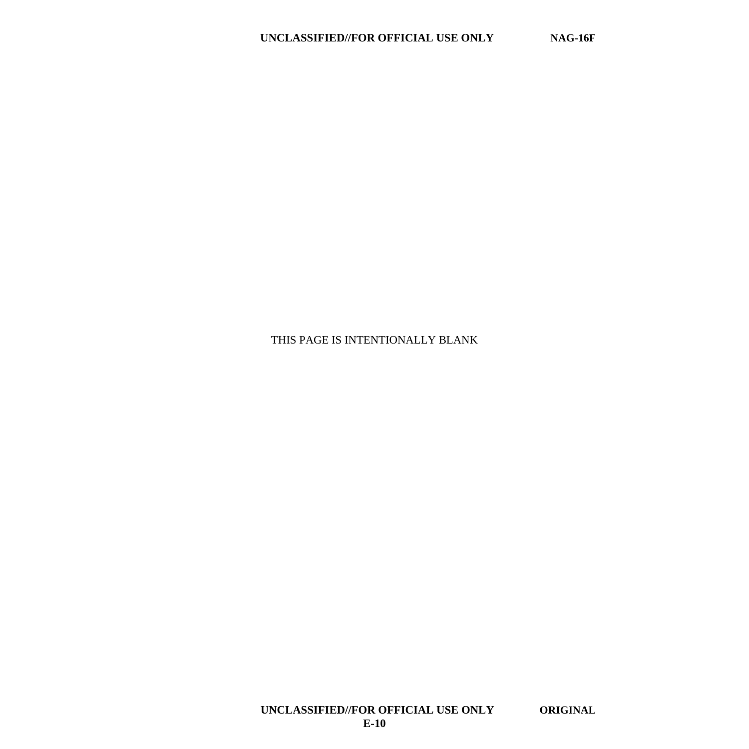# THIS PAGE IS INTENTIONALLY BLANK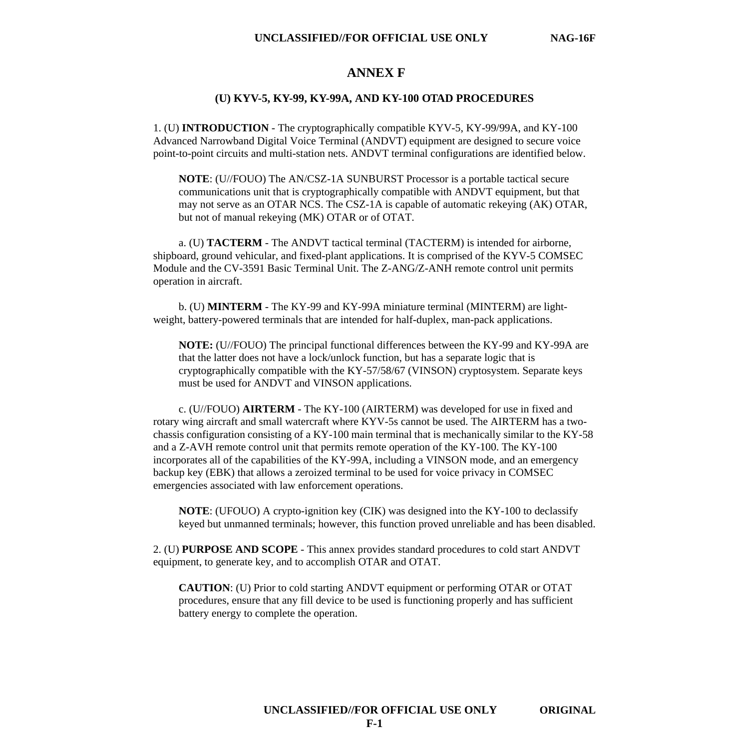## **ANNEX F**

#### **(U) KYV-5, KY-99, KY-99A, AND KY-100 OTAD PROCEDURES**

1. (U) **INTRODUCTION** - The cryptographically compatible KYV-5, KY-99/99A, and KY-100 Advanced Narrowband Digital Voice Terminal (ANDVT) equipment are designed to secure voice point-to-point circuits and multi-station nets. ANDVT terminal configurations are identified below.

**NOTE**: (U//FOUO) The AN/CSZ-1A SUNBURST Processor is a portable tactical secure communications unit that is cryptographically compatible with ANDVT equipment, but that may not serve as an OTAR NCS. The CSZ-1A is capable of automatic rekeying (AK) OTAR, but not of manual rekeying (MK) OTAR or of OTAT.

a. (U) **TACTERM** - The ANDVT tactical terminal (TACTERM) is intended for airborne, shipboard, ground vehicular, and fixed-plant applications. It is comprised of the KYV-5 COMSEC Module and the CV-3591 Basic Terminal Unit. The Z-ANG/Z-ANH remote control unit permits operation in aircraft.

b. (U) **MINTERM** - The KY-99 and KY-99A miniature terminal (MINTERM) are lightweight, battery-powered terminals that are intended for half-duplex, man-pack applications.

**NOTE:** (U//FOUO) The principal functional differences between the KY-99 and KY-99A are that the latter does not have a lock/unlock function, but has a separate logic that is cryptographically compatible with the KY-57/58/67 (VINSON) cryptosystem. Separate keys must be used for ANDVT and VINSON applications.

c. (U//FOUO) **AIRTERM** - The KY-100 (AIRTERM) was developed for use in fixed and rotary wing aircraft and small watercraft where KYV-5s cannot be used. The AIRTERM has a twochassis configuration consisting of a KY-100 main terminal that is mechanically similar to the KY-58 and a Z-AVH remote control unit that permits remote operation of the KY-100. The KY-100 incorporates all of the capabilities of the KY-99A, including a VINSON mode, and an emergency backup key (EBK) that allows a zeroized terminal to be used for voice privacy in COMSEC emergencies associated with law enforcement operations.

**NOTE**: (UFOUO) A crypto-ignition key (CIK) was designed into the KY-100 to declassify keyed but unmanned terminals; however, this function proved unreliable and has been disabled.

2. (U) **PURPOSE AND SCOPE** - This annex provides standard procedures to cold start ANDVT equipment, to generate key, and to accomplish OTAR and OTAT.

**CAUTION**: (U) Prior to cold starting ANDVT equipment or performing OTAR or OTAT procedures, ensure that any fill device to be used is functioning properly and has sufficient battery energy to complete the operation.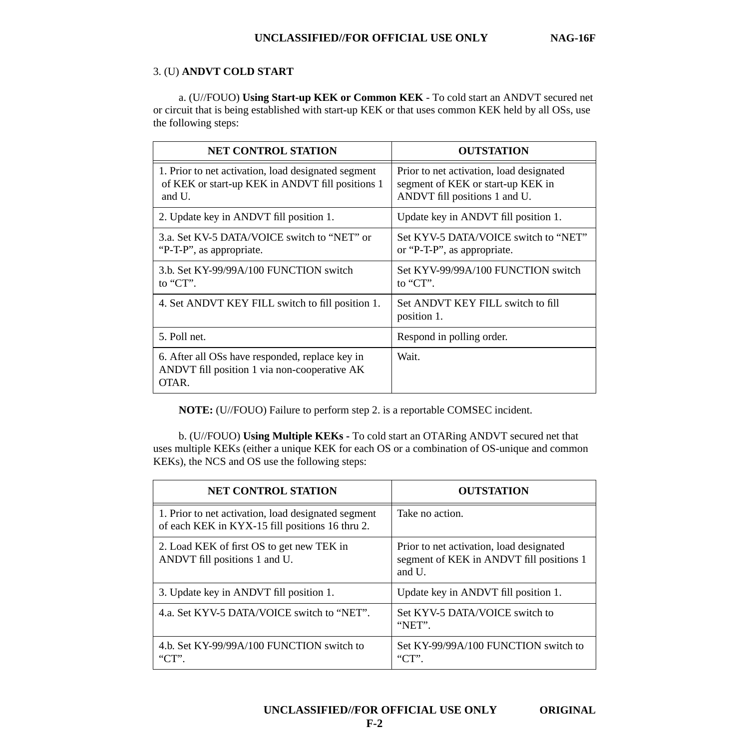#### 3. (U) **ANDVT COLD START**

a. (U//FOUO) **Using Start-up KEK or Common KEK** - To cold start an ANDVT secured net or circuit that is being established with start-up KEK or that uses common KEK held by all OSs, use the following steps:

| <b>NET CONTROL STATION</b>                                                                                        | <b>OUTSTATION</b>                                                                                              |
|-------------------------------------------------------------------------------------------------------------------|----------------------------------------------------------------------------------------------------------------|
| 1. Prior to net activation, load designated segment<br>of KEK or start-up KEK in ANDVT fill positions 1<br>and U. | Prior to net activation, load designated<br>segment of KEK or start-up KEK in<br>ANDVT fill positions 1 and U. |
| 2. Update key in ANDVT fill position 1.                                                                           | Update key in ANDVT fill position 1.                                                                           |
| 3.a. Set KV-5 DATA/VOICE switch to "NET" or<br>"P-T-P", as appropriate.                                           | Set KYV-5 DATA/VOICE switch to "NET"<br>or "P-T-P", as appropriate.                                            |
| 3.b. Set KY-99/99A/100 FUNCTION switch<br>to "CT".                                                                | Set KYV-99/99A/100 FUNCTION switch<br>to " $CT$ ".                                                             |
| 4. Set ANDVT KEY FILL switch to fill position 1.                                                                  | Set ANDVT KEY FILL switch to fill<br>position 1.                                                               |
| 5. Poll net.                                                                                                      | Respond in polling order.                                                                                      |
| 6. After all OSs have responded, replace key in<br>ANDVT fill position 1 via non-cooperative AK<br>OTAR.          | Wait.                                                                                                          |

**NOTE:** (U//FOUO) Failure to perform step 2. is a reportable COMSEC incident.

b. (U//FOUO) **Using Multiple KEKs -** To cold start an OTARing ANDVT secured net that uses multiple KEKs (either a unique KEK for each OS or a combination of OS-unique and common KEKs), the NCS and OS use the following steps:

| <b>NET CONTROL STATION</b>                                                                             | <b>OUTSTATION</b>                                                                              |
|--------------------------------------------------------------------------------------------------------|------------------------------------------------------------------------------------------------|
| 1. Prior to net activation, load designated segment<br>of each KEK in KYX-15 fill positions 16 thru 2. | Take no action.                                                                                |
| 2. Load KEK of first OS to get new TEK in<br>ANDVT fill positions 1 and U.                             | Prior to net activation, load designated<br>segment of KEK in ANDVT fill positions 1<br>and U. |
| 3. Update key in ANDVT fill position 1.                                                                | Update key in ANDVT fill position 1.                                                           |
| 4.a. Set KYV-5 DATA/VOICE switch to "NET".                                                             | Set KYV-5 DATA/VOICE switch to<br>"NET"                                                        |
| 4.b. Set KY-99/99A/100 FUNCTION switch to<br>$"CT"$ .                                                  | Set KY-99/99A/100 FUNCTION switch to<br>"CT"                                                   |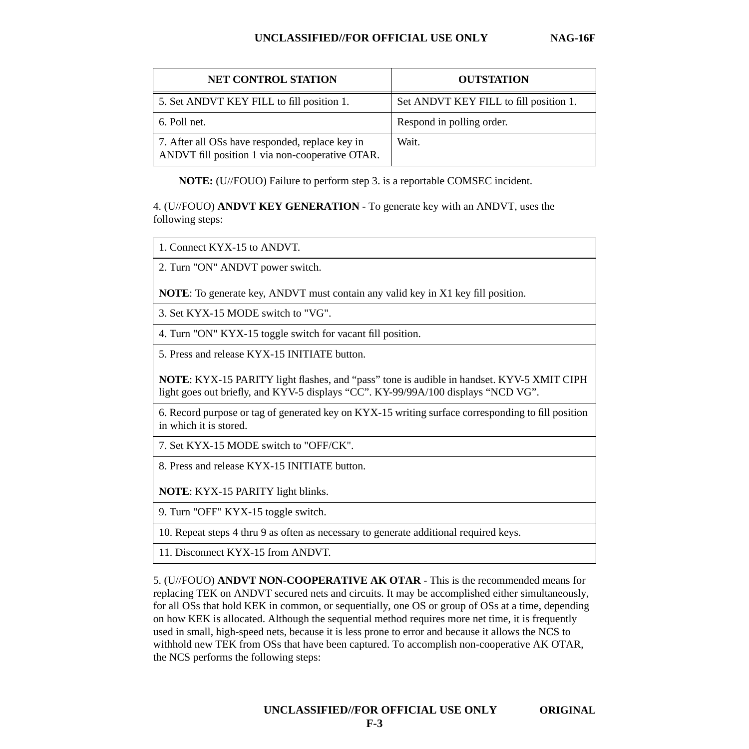| <b>NET CONTROL STATION</b>                                                                         | <b>OUTSTATION</b>                      |
|----------------------------------------------------------------------------------------------------|----------------------------------------|
| 5. Set ANDVT KEY FILL to fill position 1.                                                          | Set ANDVT KEY FILL to fill position 1. |
| 6. Poll net.                                                                                       | Respond in polling order.              |
| 7. After all OSs have responded, replace key in<br>ANDVT fill position 1 via non-cooperative OTAR. | Wait.                                  |

**NOTE:** (U//FOUO) Failure to perform step 3. is a reportable COMSEC incident.

4. (U//FOUO) **ANDVT KEY GENERATION** - To generate key with an ANDVT, uses the following steps:

1. Connect KYX-15 to ANDVT.

2. Turn "ON" ANDVT power switch.

**NOTE**: To generate key, ANDVT must contain any valid key in X1 key fill position.

3. Set KYX-15 MODE switch to "VG".

4. Turn "ON" KYX-15 toggle switch for vacant fill position.

5. Press and release KYX-15 INITIATE button.

**NOTE**: KYX-15 PARITY light flashes, and "pass" tone is audible in handset. KYV-5 XMIT CIPH light goes out briefly, and KYV-5 displays "CC". KY-99/99A/100 displays "NCD VG".

6. Record purpose or tag of generated key on KYX-15 writing surface corresponding to fill position in which it is stored.

7. Set KYX-15 MODE switch to "OFF/CK".

8. Press and release KYX-15 INITIATE button.

**NOTE**: KYX-15 PARITY light blinks.

9. Turn "OFF" KYX-15 toggle switch.

10. Repeat steps 4 thru 9 as often as necessary to generate additional required keys.

11. Disconnect KYX-15 from ANDVT.

5. (U//FOUO) **ANDVT NON-COOPERATIVE AK OTAR** - This is the recommended means for replacing TEK on ANDVT secured nets and circuits. It may be accomplished either simultaneously, for all OSs that hold KEK in common, or sequentially, one OS or group of OSs at a time, depending on how KEK is allocated. Although the sequential method requires more net time, it is frequently used in small, high-speed nets, because it is less prone to error and because it allows the NCS to withhold new TEK from OSs that have been captured. To accomplish non-cooperative AK OTAR, the NCS performs the following steps: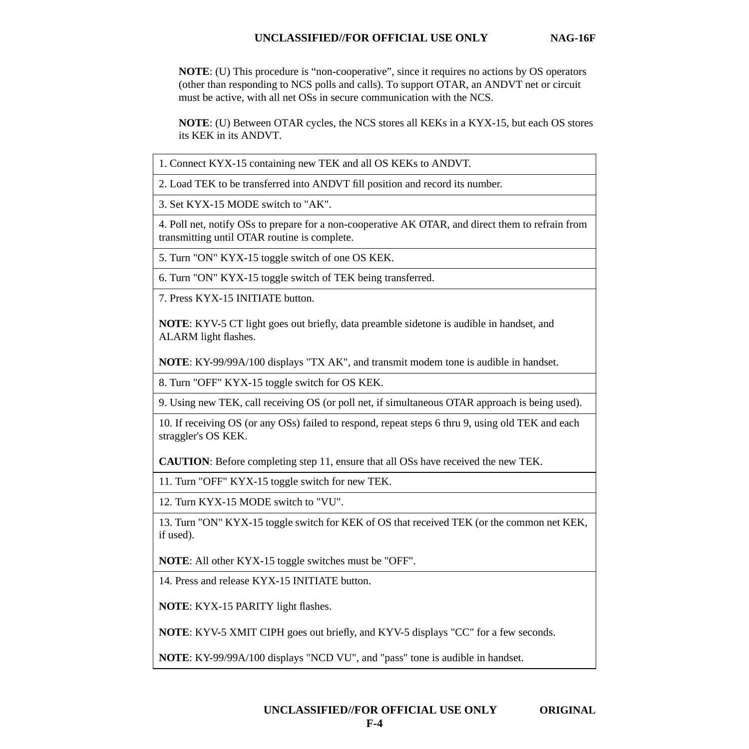#### **UNCLASSIFIED//FOR OFFICIAL USE ONLY NAG-16F**

**NOTE**: (U) This procedure is "non-cooperative", since it requires no actions by OS operators (other than responding to NCS polls and calls). To support OTAR, an ANDVT net or circuit must be active, with all net OSs in secure communication with the NCS.

**NOTE**: (U) Between OTAR cycles, the NCS stores all KEKs in a KYX-15, but each OS stores its KEK in its ANDVT.

1. Connect KYX-15 containing new TEK and all OS KEKs to ANDVT.

2. Load TEK to be transferred into ANDVT fill position and record its number.

3. Set KYX-15 MODE switch to "AK".

4. Poll net, notify OSs to prepare for a non-cooperative AK OTAR, and direct them to refrain from transmitting until OTAR routine is complete.

5. Turn "ON" KYX-15 toggle switch of one OS KEK.

6. Turn "ON" KYX-15 toggle switch of TEK being transferred.

7. Press KYX-15 INITIATE button.

**NOTE**: KYV-5 CT light goes out briefly, data preamble sidetone is audible in handset, and ALARM light flashes.

**NOTE**: KY-99/99A/100 displays "TX AK", and transmit modem tone is audible in handset.

8. Turn "OFF" KYX-15 toggle switch for OS KEK.

9. Using new TEK, call receiving OS (or poll net, if simultaneous OTAR approach is being used).

10. If receiving OS (or any OSs) failed to respond, repeat steps 6 thru 9, using old TEK and each straggler's OS KEK.

**CAUTION**: Before completing step 11, ensure that all OSs have received the new TEK.

11. Turn "OFF" KYX-15 toggle switch for new TEK.

12. Turn KYX-15 MODE switch to "VU".

13. Turn "ON" KYX-15 toggle switch for KEK of OS that received TEK (or the common net KEK, if used).

**NOTE**: All other KYX-15 toggle switches must be "OFF".

14. Press and release KYX-15 INITIATE button.

**NOTE**: KYX-15 PARITY light flashes.

**NOTE**: KYV-5 XMIT CIPH goes out briefly, and KYV-5 displays "CC" for a few seconds.

**NOTE**: KY-99/99A/100 displays "NCD VU", and "pass" tone is audible in handset.

**UNCLASSIFIED//FOR OFFICIAL USE ONLY ORIGINAL**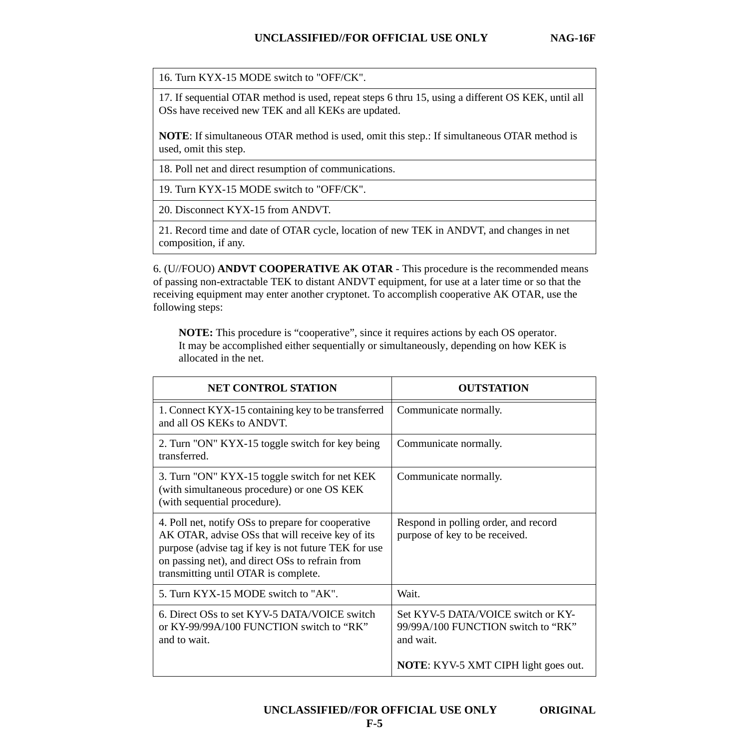16. Turn KYX-15 MODE switch to "OFF/CK".

17. If sequential OTAR method is used, repeat steps 6 thru 15, using a different OS KEK, until all OSs have received new TEK and all KEKs are updated.

**NOTE**: If simultaneous OTAR method is used, omit this step.: If simultaneous OTAR method is used, omit this step.

18. Poll net and direct resumption of communications.

19. Turn KYX-15 MODE switch to "OFF/CK".

20. Disconnect KYX-15 from ANDVT.

21. Record time and date of OTAR cycle, location of new TEK in ANDVT, and changes in net composition, if any.

6. (U//FOUO) **ANDVT COOPERATIVE AK OTAR** - This procedure is the recommended means of passing non-extractable TEK to distant ANDVT equipment, for use at a later time or so that the receiving equipment may enter another cryptonet. To accomplish cooperative AK OTAR, use the following steps:

**NOTE:** This procedure is "cooperative", since it requires actions by each OS operator. It may be accomplished either sequentially or simultaneously, depending on how KEK is allocated in the net.

| NET CONTROL STATION                                                                                                                                                                                                                                       | <b>OUTSTATION</b>                                                                     |
|-----------------------------------------------------------------------------------------------------------------------------------------------------------------------------------------------------------------------------------------------------------|---------------------------------------------------------------------------------------|
| 1. Connect KYX-15 containing key to be transferred<br>and all OS KEKs to ANDVT.                                                                                                                                                                           | Communicate normally.                                                                 |
| 2. Turn "ON" KYX-15 toggle switch for key being<br>transferred.                                                                                                                                                                                           | Communicate normally.                                                                 |
| 3. Turn "ON" KYX-15 toggle switch for net KEK<br>(with simultaneous procedure) or one OS KEK<br>(with sequential procedure).                                                                                                                              | Communicate normally.                                                                 |
| 4. Poll net, notify OSs to prepare for cooperative<br>AK OTAR, advise OSs that will receive key of its<br>purpose (advise tag if key is not future TEK for use<br>on passing net), and direct OSs to refrain from<br>transmitting until OTAR is complete. | Respond in polling order, and record<br>purpose of key to be received.                |
| 5. Turn KYX-15 MODE switch to "AK".                                                                                                                                                                                                                       | Wait.                                                                                 |
| 6. Direct OSs to set KYV-5 DATA/VOICE switch<br>or KY-99/99A/100 FUNCTION switch to "RK"<br>and to wait.                                                                                                                                                  | Set KYV-5 DATA/VOICE switch or KY-<br>99/99A/100 FUNCTION switch to "RK"<br>and wait. |
|                                                                                                                                                                                                                                                           | <b>NOTE:</b> KYV-5 XMT CIPH light goes out.                                           |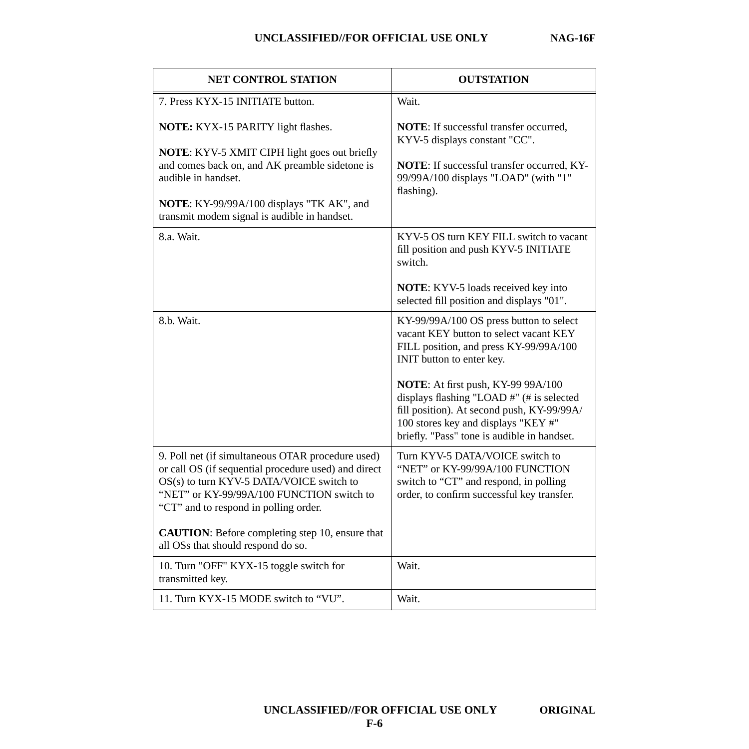# **UNCLASSIFIED//FOR OFFICIAL USE ONLY NAG-16F**

| <b>NET CONTROL STATION</b>                                                                                                                                                                                                                    | <b>OUTSTATION</b>                                                                                                                                                                                                   |
|-----------------------------------------------------------------------------------------------------------------------------------------------------------------------------------------------------------------------------------------------|---------------------------------------------------------------------------------------------------------------------------------------------------------------------------------------------------------------------|
| 7. Press KYX-15 INITIATE button.                                                                                                                                                                                                              | Wait.                                                                                                                                                                                                               |
| <b>NOTE:</b> KYX-15 PARITY light flashes.                                                                                                                                                                                                     | <b>NOTE:</b> If successful transfer occurred,<br>KYV-5 displays constant "CC".                                                                                                                                      |
| <b>NOTE:</b> KYV-5 XMIT CIPH light goes out briefly<br>and comes back on, and AK preamble sidetone is<br>audible in handset.<br>NOTE: KY-99/99A/100 displays "TK AK", and                                                                     | NOTE: If successful transfer occurred, KY-<br>99/99A/100 displays "LOAD" (with "1"<br>flashing).                                                                                                                    |
| transmit modem signal is audible in handset.                                                                                                                                                                                                  |                                                                                                                                                                                                                     |
| 8.a. Wait.                                                                                                                                                                                                                                    | KYV-5 OS turn KEY FILL switch to vacant<br>fill position and push KYV-5 INITIATE<br>switch.                                                                                                                         |
|                                                                                                                                                                                                                                               | <b>NOTE:</b> KYV-5 loads received key into<br>selected fill position and displays "01".                                                                                                                             |
| 8.b. Wait.                                                                                                                                                                                                                                    | KY-99/99A/100 OS press button to select<br>vacant KEY button to select vacant KEY<br>FILL position, and press KY-99/99A/100<br>INIT button to enter key.                                                            |
|                                                                                                                                                                                                                                               | NOTE: At first push, KY-99 99A/100<br>displays flashing "LOAD #" (# is selected<br>fill position). At second push, KY-99/99A/<br>100 stores key and displays "KEY #"<br>briefly. "Pass" tone is audible in handset. |
| 9. Poll net (if simultaneous OTAR procedure used)<br>or call OS (if sequential procedure used) and direct<br>$OS(s)$ to turn KYV-5 DATA/VOICE switch to<br>"NET" or KY-99/99A/100 FUNCTION switch to<br>"CT" and to respond in polling order. | Turn KYV-5 DATA/VOICE switch to<br>"NET" or KY-99/99A/100 FUNCTION<br>switch to "CT" and respond, in polling<br>order, to confirm successful key transfer.                                                          |
| <b>CAUTION:</b> Before completing step 10, ensure that<br>all OSs that should respond do so.                                                                                                                                                  |                                                                                                                                                                                                                     |
| 10. Turn "OFF" KYX-15 toggle switch for<br>transmitted key.                                                                                                                                                                                   | Wait.                                                                                                                                                                                                               |
| 11. Turn KYX-15 MODE switch to "VU".                                                                                                                                                                                                          | Wait.                                                                                                                                                                                                               |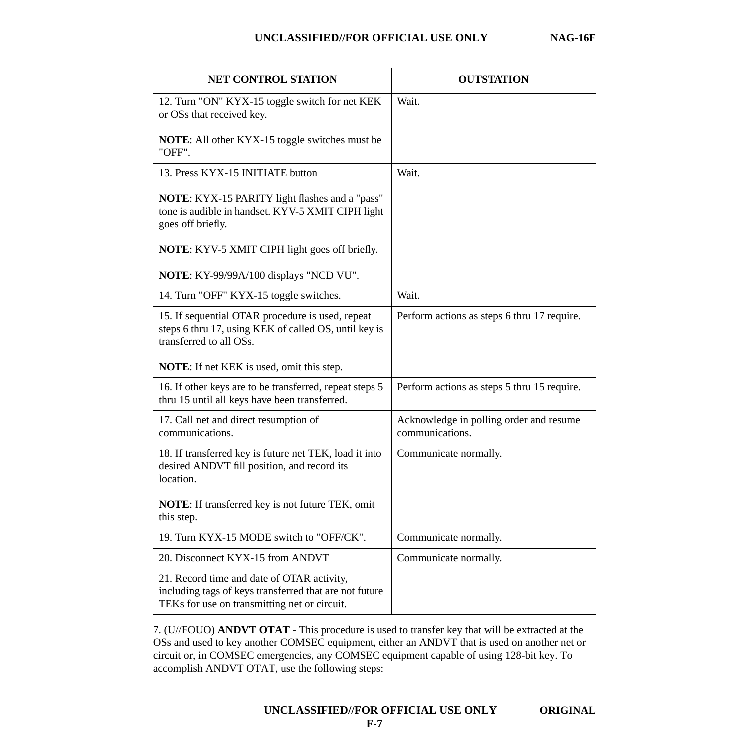#### **UNCLASSIFIED//FOR OFFICIAL USE ONLY NAG-16F**

| <b>NET CONTROL STATION</b>                                                                                                                           | <b>OUTSTATION</b>                                          |
|------------------------------------------------------------------------------------------------------------------------------------------------------|------------------------------------------------------------|
| 12. Turn "ON" KYX-15 toggle switch for net KEK<br>or OSs that received key.                                                                          | Wait.                                                      |
| <b>NOTE:</b> All other KYX-15 toggle switches must be<br>"OFF".                                                                                      |                                                            |
| 13. Press KYX-15 INITIATE button                                                                                                                     | Wait.                                                      |
| NOTE: KYX-15 PARITY light flashes and a "pass"<br>tone is audible in handset. KYV-5 XMIT CIPH light<br>goes off briefly.                             |                                                            |
| <b>NOTE:</b> KYV-5 XMIT CIPH light goes off briefly.                                                                                                 |                                                            |
| NOTE: KY-99/99A/100 displays "NCD VU".                                                                                                               |                                                            |
| 14. Turn "OFF" KYX-15 toggle switches.                                                                                                               | Wait.                                                      |
| 15. If sequential OTAR procedure is used, repeat<br>steps 6 thru 17, using KEK of called OS, until key is<br>transferred to all OSs.                 | Perform actions as steps 6 thru 17 require.                |
| <b>NOTE:</b> If net KEK is used, omit this step.                                                                                                     |                                                            |
| 16. If other keys are to be transferred, repeat steps 5<br>thru 15 until all keys have been transferred.                                             | Perform actions as steps 5 thru 15 require.                |
| 17. Call net and direct resumption of<br>communications.                                                                                             | Acknowledge in polling order and resume<br>communications. |
| 18. If transferred key is future net TEK, load it into<br>desired ANDVT fill position, and record its<br>location.                                   | Communicate normally.                                      |
| NOTE: If transferred key is not future TEK, omit<br>this step.                                                                                       |                                                            |
| 19. Turn KYX-15 MODE switch to "OFF/CK".                                                                                                             | Communicate normally.                                      |
| 20. Disconnect KYX-15 from ANDVT                                                                                                                     | Communicate normally.                                      |
| 21. Record time and date of OTAR activity,<br>including tags of keys transferred that are not future<br>TEKs for use on transmitting net or circuit. |                                                            |

7. (U//FOUO) **ANDVT OTAT** - This procedure is used to transfer key that will be extracted at the OSs and used to key another COMSEC equipment, either an ANDVT that is used on another net or circuit or, in COMSEC emergencies, any COMSEC equipment capable of using 128-bit key. To accomplish ANDVT OTAT, use the following steps:

**UNCLASSIFIED//FOR OFFICIAL USE ONLY ORIGINAL**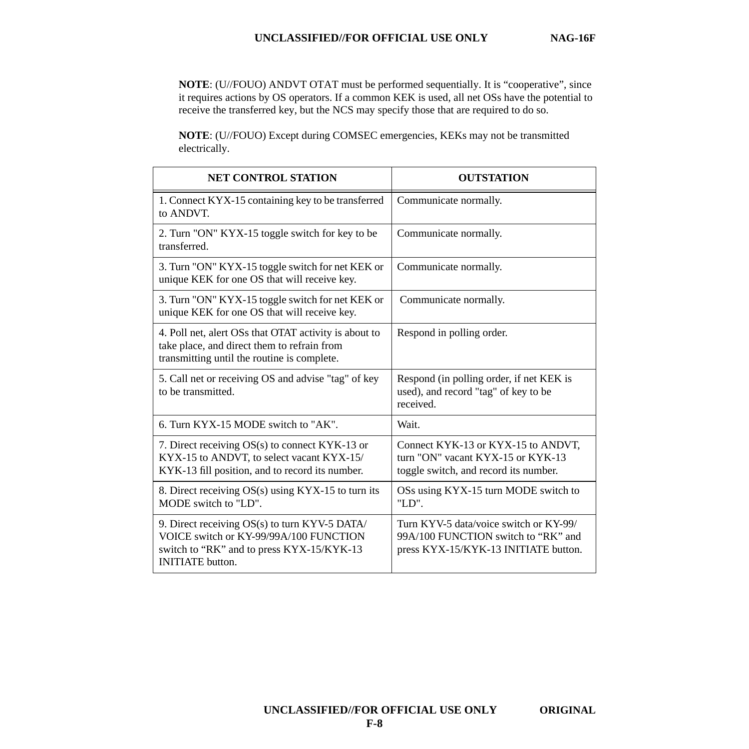**NOTE**: (U//FOUO) ANDVT OTAT must be performed sequentially. It is "cooperative", since it requires actions by OS operators. If a common KEK is used, all net OSs have the potential to receive the transferred key, but the NCS may specify those that are required to do so.

**NOTE**: (U//FOUO) Except during COMSEC emergencies, KEKs may not be transmitted electrically.

| <b>NET CONTROL STATION</b>                                                                                                                                      | <b>OUTSTATION</b>                                                                                                     |
|-----------------------------------------------------------------------------------------------------------------------------------------------------------------|-----------------------------------------------------------------------------------------------------------------------|
| 1. Connect KYX-15 containing key to be transferred<br>to ANDVT.                                                                                                 | Communicate normally.                                                                                                 |
| 2. Turn "ON" KYX-15 toggle switch for key to be<br>transferred.                                                                                                 | Communicate normally.                                                                                                 |
| 3. Turn "ON" KYX-15 toggle switch for net KEK or<br>unique KEK for one OS that will receive key.                                                                | Communicate normally.                                                                                                 |
| 3. Turn "ON" KYX-15 toggle switch for net KEK or<br>unique KEK for one OS that will receive key.                                                                | Communicate normally.                                                                                                 |
| 4. Poll net, alert OSs that OTAT activity is about to<br>take place, and direct them to refrain from<br>transmitting until the routine is complete.             | Respond in polling order.                                                                                             |
| 5. Call net or receiving OS and advise "tag" of key<br>to be transmitted.                                                                                       | Respond (in polling order, if net KEK is<br>used), and record "tag" of key to be<br>received.                         |
| 6. Turn KYX-15 MODE switch to "AK".                                                                                                                             | Wait.                                                                                                                 |
| 7. Direct receiving OS(s) to connect KYK-13 or<br>KYX-15 to ANDVT, to select vacant KYX-15/<br>KYK-13 fill position, and to record its number.                  | Connect KYK-13 or KYX-15 to ANDVT,<br>turn "ON" vacant KYX-15 or KYK-13<br>toggle switch, and record its number.      |
| 8. Direct receiving OS(s) using KYX-15 to turn its<br>MODE switch to "LD".                                                                                      | OSs using KYX-15 turn MODE switch to<br>"LD".                                                                         |
| 9. Direct receiving OS(s) to turn KYV-5 DATA/<br>VOICE switch or KY-99/99A/100 FUNCTION<br>switch to "RK" and to press KYX-15/KYK-13<br><b>INITIATE</b> button. | Turn KYV-5 data/voice switch or KY-99/<br>99A/100 FUNCTION switch to "RK" and<br>press KYX-15/KYK-13 INITIATE button. |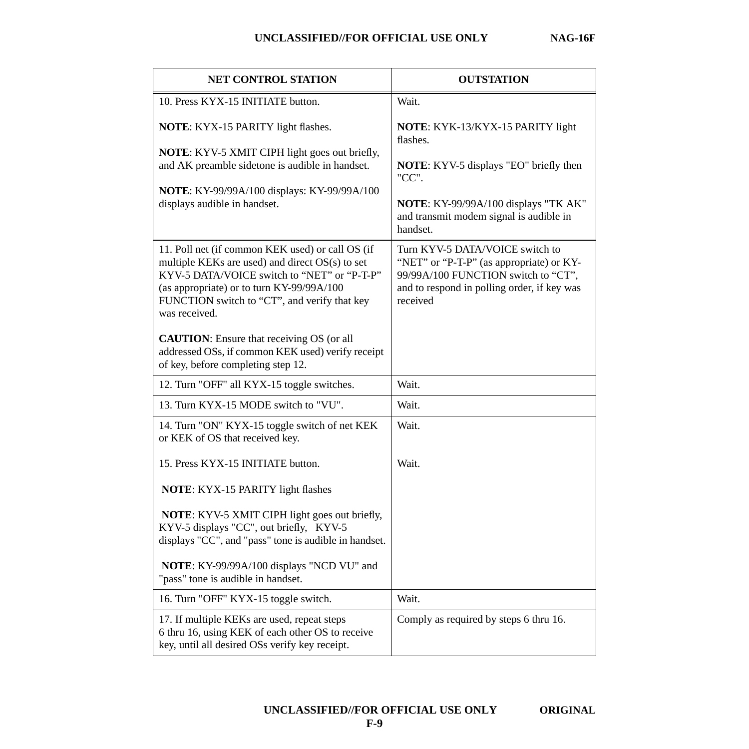| <b>NET CONTROL STATION</b>                                                                                                                                                                                                                                         | <b>OUTSTATION</b>                                                                                                                                                             |
|--------------------------------------------------------------------------------------------------------------------------------------------------------------------------------------------------------------------------------------------------------------------|-------------------------------------------------------------------------------------------------------------------------------------------------------------------------------|
| 10. Press KYX-15 INITIATE button.                                                                                                                                                                                                                                  | Wait.                                                                                                                                                                         |
| <b>NOTE:</b> KYX-15 PARITY light flashes.                                                                                                                                                                                                                          | NOTE: KYK-13/KYX-15 PARITY light<br>flashes.                                                                                                                                  |
| NOTE: KYV-5 XMIT CIPH light goes out briefly,<br>and AK preamble sidetone is audible in handset.                                                                                                                                                                   | <b>NOTE:</b> KYV-5 displays "EO" briefly then<br>"CC".                                                                                                                        |
| NOTE: KY-99/99A/100 displays: KY-99/99A/100<br>displays audible in handset.                                                                                                                                                                                        | NOTE: KY-99/99A/100 displays "TK AK"<br>and transmit modem signal is audible in<br>handset.                                                                                   |
| 11. Poll net (if common KEK used) or call OS (if<br>multiple KEKs are used) and direct $OS(s)$ to set<br>KYV-5 DATA/VOICE switch to "NET" or "P-T-P"<br>(as appropriate) or to turn KY-99/99A/100<br>FUNCTION switch to "CT", and verify that key<br>was received. | Turn KYV-5 DATA/VOICE switch to<br>"NET" or "P-T-P" (as appropriate) or KY-<br>99/99A/100 FUNCTION switch to "CT",<br>and to respond in polling order, if key was<br>received |
| <b>CAUTION:</b> Ensure that receiving OS (or all<br>addressed OSs, if common KEK used) verify receipt<br>of key, before completing step 12.                                                                                                                        |                                                                                                                                                                               |
| 12. Turn "OFF" all KYX-15 toggle switches.                                                                                                                                                                                                                         | Wait.                                                                                                                                                                         |
| 13. Turn KYX-15 MODE switch to "VU".                                                                                                                                                                                                                               | Wait.                                                                                                                                                                         |
| 14. Turn "ON" KYX-15 toggle switch of net KEK<br>or KEK of OS that received key.                                                                                                                                                                                   | Wait.                                                                                                                                                                         |
| 15. Press KYX-15 INITIATE button.                                                                                                                                                                                                                                  | Wait.                                                                                                                                                                         |
| <b>NOTE:</b> KYX-15 PARITY light flashes                                                                                                                                                                                                                           |                                                                                                                                                                               |
| <b>NOTE:</b> KYV-5 XMIT CIPH light goes out briefly,<br>KYV-5 displays "CC", out briefly, KYV-5<br>displays "CC", and "pass" tone is audible in handset.                                                                                                           |                                                                                                                                                                               |
| NOTE: KY-99/99A/100 displays "NCD VU" and<br>"pass" tone is audible in handset.                                                                                                                                                                                    |                                                                                                                                                                               |
| 16. Turn "OFF" KYX-15 toggle switch.                                                                                                                                                                                                                               | Wait.                                                                                                                                                                         |
| 17. If multiple KEKs are used, repeat steps<br>6 thru 16, using KEK of each other OS to receive<br>key, until all desired OSs verify key receipt.                                                                                                                  | Comply as required by steps 6 thru 16.                                                                                                                                        |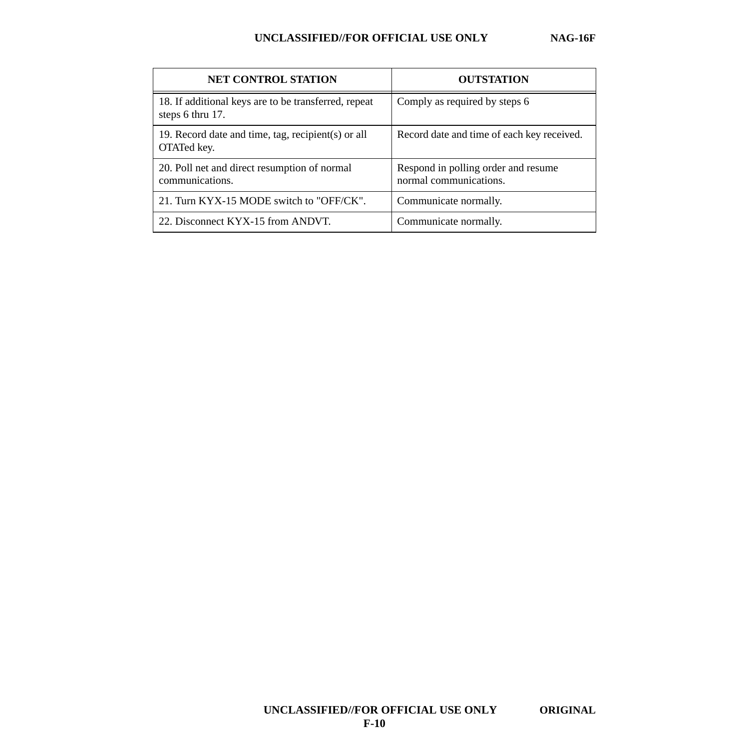| <b>NET CONTROL STATION</b>                                               | <b>OUTSTATION</b>                                             |
|--------------------------------------------------------------------------|---------------------------------------------------------------|
| 18. If additional keys are to be transferred, repeat<br>steps 6 thru 17. | Comply as required by steps 6                                 |
| 19. Record date and time, tag, recipient(s) or all<br>OTATed key.        | Record date and time of each key received.                    |
| 20. Poll net and direct resumption of normal<br>communications.          | Respond in polling order and resume<br>normal communications. |
| 21. Turn KYX-15 MODE switch to "OFF/CK".                                 | Communicate normally.                                         |
| 22. Disconnect KYX-15 from ANDVT.                                        | Communicate normally.                                         |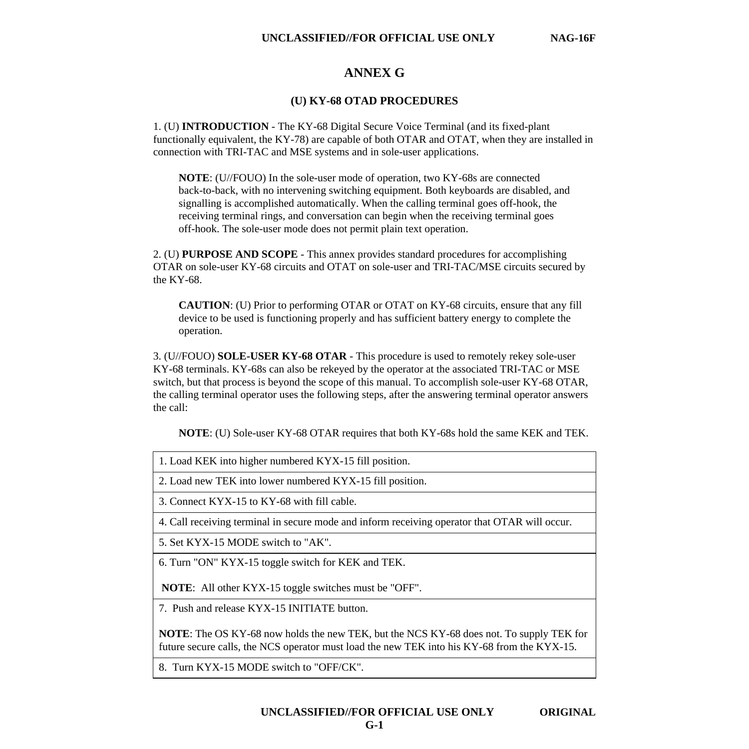#### **UNCLASSIFIED//FOR OFFICIAL USE ONLY NAG-16F**

# **ANNEX G**

#### **(U) KY-68 OTAD PROCEDURES**

1. (U) **INTRODUCTION** - The KY-68 Digital Secure Voice Terminal (and its fixed-plant functionally equivalent, the KY-78) are capable of both OTAR and OTAT, when they are installed in connection with TRI-TAC and MSE systems and in sole-user applications.

**NOTE**: (U//FOUO) In the sole-user mode of operation, two KY-68s are connected back-to-back, with no intervening switching equipment. Both keyboards are disabled, and signalling is accomplished automatically. When the calling terminal goes off-hook, the receiving terminal rings, and conversation can begin when the receiving terminal goes off-hook. The sole-user mode does not permit plain text operation.

2. (U) **PURPOSE AND SCOPE** - This annex provides standard procedures for accomplishing OTAR on sole-user KY-68 circuits and OTAT on sole-user and TRI-TAC/MSE circuits secured by the KY-68.

**CAUTION**: (U) Prior to performing OTAR or OTAT on KY-68 circuits, ensure that any fill device to be used is functioning properly and has sufficient battery energy to complete the operation.

3. (U//FOUO) **SOLE-USER KY-68 OTAR** - This procedure is used to remotely rekey sole-user KY-68 terminals. KY-68s can also be rekeyed by the operator at the associated TRI-TAC or MSE switch, but that process is beyond the scope of this manual. To accomplish sole-user KY-68 OTAR, the calling terminal operator uses the following steps, after the answering terminal operator answers the call:

**NOTE**: (U) Sole-user KY-68 OTAR requires that both KY-68s hold the same KEK and TEK.

| 1. Load KEK into higher numbered KYX-15 fill position. |
|--------------------------------------------------------|
|--------------------------------------------------------|

2. Load new TEK into lower numbered KYX-15 fill position.

3. Connect KYX-15 to KY-68 with fill cable.

4. Call receiving terminal in secure mode and inform receiving operator that OTAR will occur.

5. Set KYX-15 MODE switch to "AK".

6. Turn "ON" KYX-15 toggle switch for KEK and TEK.

**NOTE**: All other KYX-15 toggle switches must be "OFF".

7. Push and release KYX-15 INITIATE button.

**NOTE**: The OS KY-68 now holds the new TEK, but the NCS KY-68 does not. To supply TEK for future secure calls, the NCS operator must load the new TEK into his KY-68 from the KYX-15.

8. Turn KYX-15 MODE switch to "OFF/CK".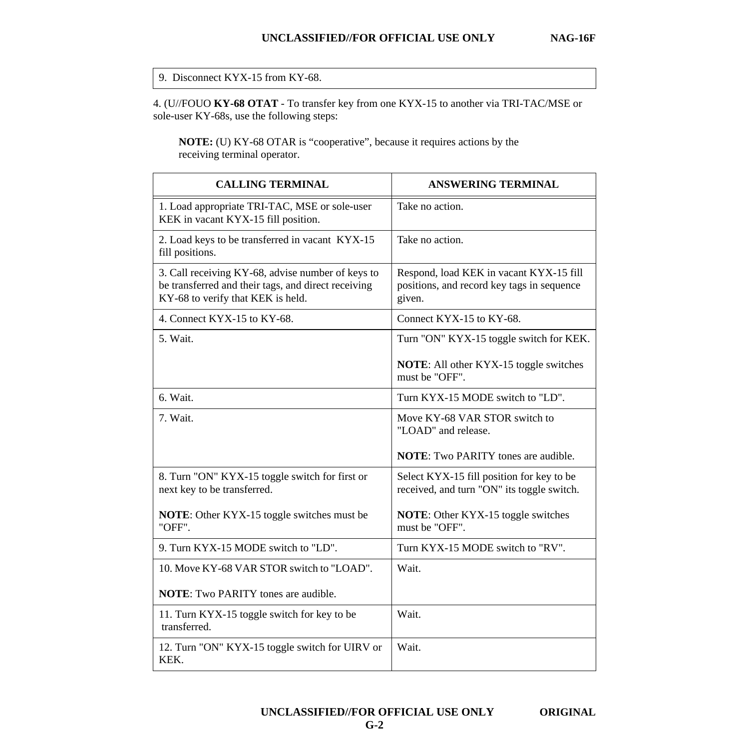9. Disconnect KYX-15 from KY-68.

4. (U//FOUO **KY-68 OTAT** - To transfer key from one KYX-15 to another via TRI-TAC/MSE or sole-user KY-68s, use the following steps:

**NOTE:** (U) KY-68 OTAR is "cooperative", because it requires actions by the receiving terminal operator.

| <b>CALLING TERMINAL</b>                                                                                                                       | <b>ANSWERING TERMINAL</b>                                                                       |
|-----------------------------------------------------------------------------------------------------------------------------------------------|-------------------------------------------------------------------------------------------------|
| 1. Load appropriate TRI-TAC, MSE or sole-user<br>KEK in vacant KYX-15 fill position.                                                          | Take no action.                                                                                 |
| 2. Load keys to be transferred in vacant KYX-15<br>fill positions.                                                                            | Take no action.                                                                                 |
| 3. Call receiving KY-68, advise number of keys to<br>be transferred and their tags, and direct receiving<br>KY-68 to verify that KEK is held. | Respond, load KEK in vacant KYX-15 fill<br>positions, and record key tags in sequence<br>given. |
| 4. Connect KYX-15 to KY-68.                                                                                                                   | Connect KYX-15 to KY-68.                                                                        |
| 5. Wait.                                                                                                                                      | Turn "ON" KYX-15 toggle switch for KEK.                                                         |
|                                                                                                                                               | <b>NOTE:</b> All other KYX-15 toggle switches<br>must be "OFF".                                 |
| 6. Wait.                                                                                                                                      | Turn KYX-15 MODE switch to "LD".                                                                |
| 7. Wait.                                                                                                                                      | Move KY-68 VAR STOR switch to<br>"LOAD" and release.                                            |
|                                                                                                                                               | <b>NOTE:</b> Two PARITY tones are audible.                                                      |
| 8. Turn "ON" KYX-15 toggle switch for first or<br>next key to be transferred.                                                                 | Select KYX-15 fill position for key to be<br>received, and turn "ON" its toggle switch.         |
| <b>NOTE:</b> Other KYX-15 toggle switches must be<br>"OFF".                                                                                   | <b>NOTE:</b> Other KYX-15 toggle switches<br>must be "OFF".                                     |
| 9. Turn KYX-15 MODE switch to "LD".                                                                                                           | Turn KYX-15 MODE switch to "RV".                                                                |
| 10. Move KY-68 VAR STOR switch to "LOAD".                                                                                                     | Wait.                                                                                           |
| <b>NOTE:</b> Two PARITY tones are audible.                                                                                                    |                                                                                                 |
| 11. Turn KYX-15 toggle switch for key to be<br>transferred.                                                                                   | Wait.                                                                                           |
| 12. Turn "ON" KYX-15 toggle switch for UIRV or<br>KEK.                                                                                        | Wait.                                                                                           |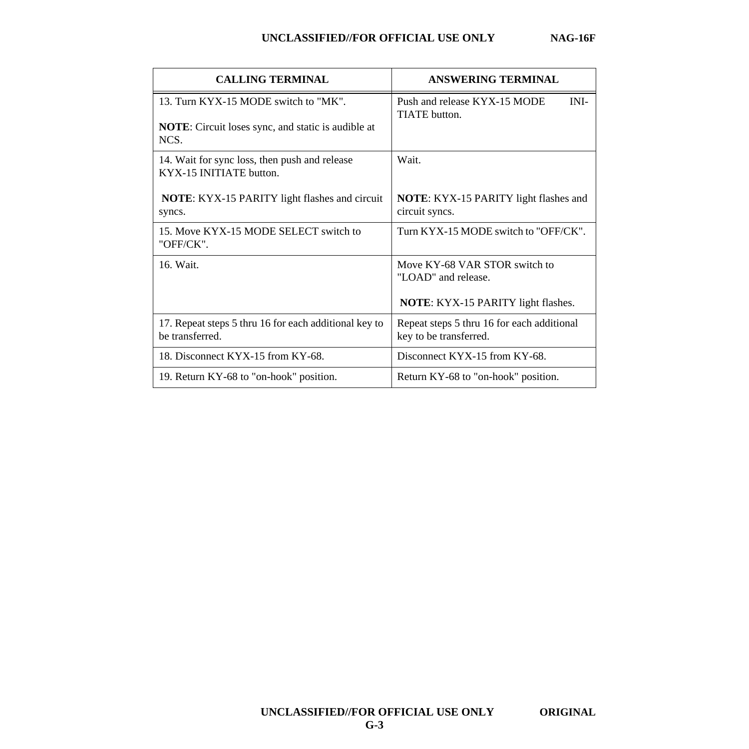# **UNCLASSIFIED//FOR OFFICIAL USE ONLY NAG-16F**

| <b>CALLING TERMINAL</b>                                                  | <b>ANSWERING TERMINAL</b>                                            |
|--------------------------------------------------------------------------|----------------------------------------------------------------------|
| 13. Turn KYX-15 MODE switch to "MK".                                     | INI-<br>Push and release KYX-15 MODE<br>TIATE button.                |
| <b>NOTE:</b> Circuit loses sync, and static is audible at<br>NCS.        |                                                                      |
| 14. Wait for sync loss, then push and release<br>KYX-15 INITIATE button. | Wait.                                                                |
| NOTE: KYX-15 PARITY light flashes and circuit<br>syncs.                  | <b>NOTE:</b> KYX-15 PARITY light flashes and<br>circuit syncs.       |
| 15. Move KYX-15 MODE SELECT switch to<br>"OFF/CK".                       | Turn KYX-15 MODE switch to "OFF/CK".                                 |
| 16. Wait.                                                                | Move KY-68 VAR STOR switch to<br>"LOAD" and release.                 |
|                                                                          | <b>NOTE:</b> KYX-15 PARITY light flashes.                            |
| 17. Repeat steps 5 thru 16 for each additional key to<br>be transferred. | Repeat steps 5 thru 16 for each additional<br>key to be transferred. |
| 18. Disconnect KYX-15 from KY-68.                                        | Disconnect KYX-15 from KY-68.                                        |
| 19. Return KY-68 to "on-hook" position.                                  | Return KY-68 to "on-hook" position.                                  |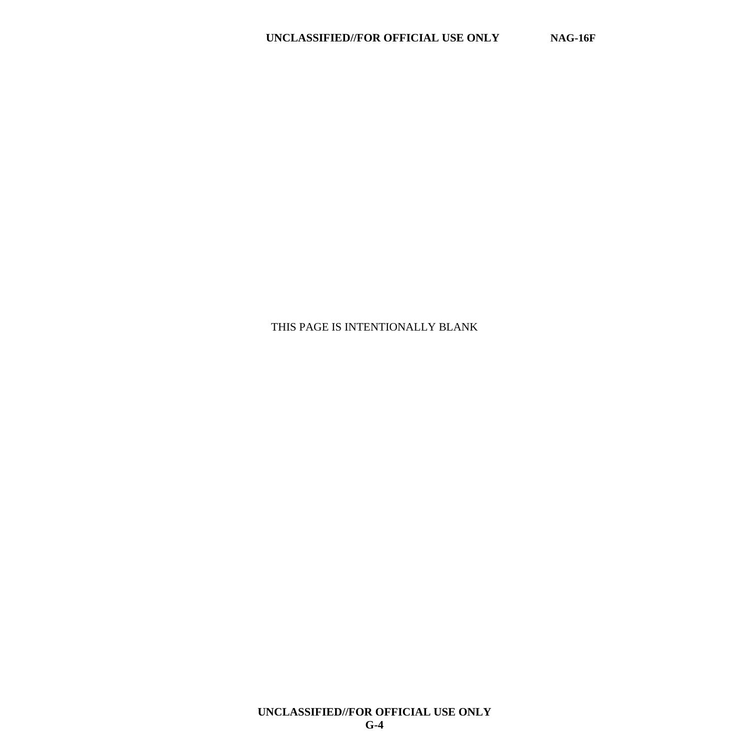# THIS PAGE IS INTENTIONALLY BLANK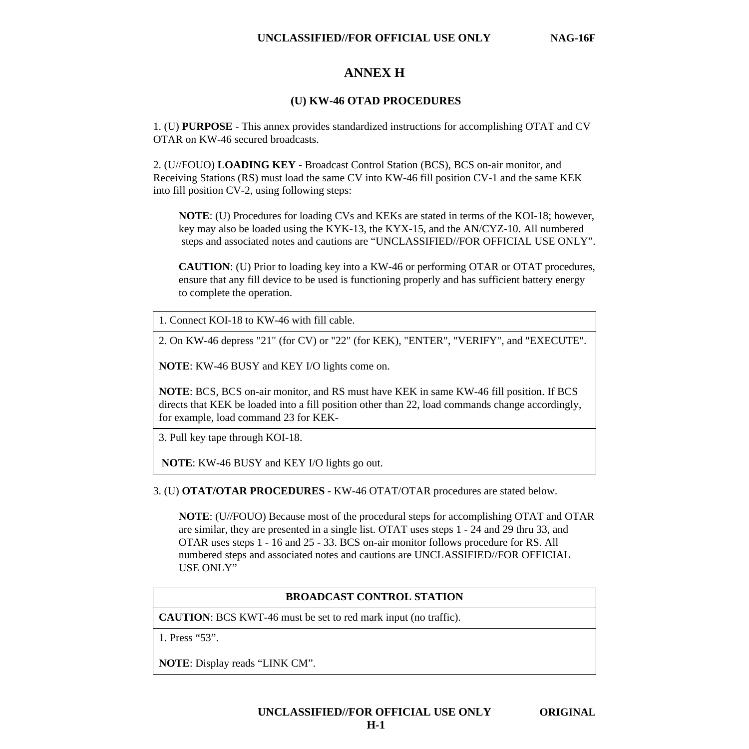# **UNCLASSIFIED//FOR OFFICIAL USE ONLY NAG-16F**

# **ANNEX H**

# **(U) KW-46 OTAD PROCEDURES**

1. (U) **PURPOSE** - This annex provides standardized instructions for accomplishing OTAT and CV OTAR on KW-46 secured broadcasts.

2. (U//FOUO) **LOADING KEY** - Broadcast Control Station (BCS), BCS on-air monitor, and Receiving Stations (RS) must load the same CV into KW-46 fill position CV-1 and the same KEK into fill position CV-2, using following steps:

**NOTE**: (U) Procedures for loading CVs and KEKs are stated in terms of the KOI-18; however, key may also be loaded using the KYK-13, the KYX-15, and the AN/CYZ-10. All numbered steps and associated notes and cautions are "UNCLASSIFIED//FOR OFFICIAL USE ONLY".

**CAUTION**: (U) Prior to loading key into a KW-46 or performing OTAR or OTAT procedures, ensure that any fill device to be used is functioning properly and has sufficient battery energy to complete the operation.

1. Connect KOI-18 to KW-46 with fill cable.

2. On KW-46 depress "21" (for CV) or "22" (for KEK), "ENTER", "VERIFY", and "EXECUTE".

**NOTE**: KW-46 BUSY and KEY I/O lights come on.

**NOTE**: BCS, BCS on-air monitor, and RS must have KEK in same KW-46 fill position. If BCS directs that KEK be loaded into a fill position other than 22, load commands change accordingly, for example, load command 23 for KEK-

3. Pull key tape through KOI-18.

**NOTE**: KW-46 BUSY and KEY I/O lights go out.

3. (U) **OTAT/OTAR PROCEDURES** - KW-46 OTAT/OTAR procedures are stated below.

**NOTE**: (U//FOUO) Because most of the procedural steps for accomplishing OTAT and OTAR are similar, they are presented in a single list. OTAT uses steps 1 - 24 and 29 thru 33, and OTAR uses steps 1 - 16 and 25 - 33. BCS on-air monitor follows procedure for RS. All numbered steps and associated notes and cautions are UNCLASSIFIED//FOR OFFICIAL USE ONLY"

## **BROADCAST CONTROL STATION**

**CAUTION**: BCS KWT-46 must be set to red mark input (no traffic).

1. Press "53".

**NOTE**: Display reads "LINK CM".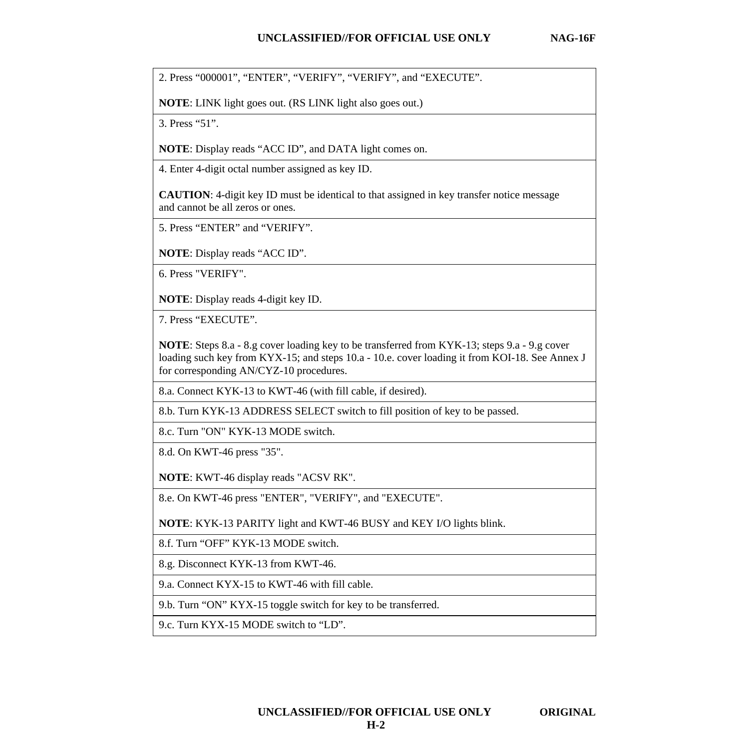2. Press "000001", "ENTER", "VERIFY", "VERIFY", and "EXECUTE".

**NOTE**: LINK light goes out. (RS LINK light also goes out.)

3. Press "51".

**NOTE**: Display reads "ACC ID", and DATA light comes on.

4. Enter 4-digit octal number assigned as key ID.

**CAUTION**: 4-digit key ID must be identical to that assigned in key transfer notice message and cannot be all zeros or ones.

5. Press "ENTER" and "VERIFY".

**NOTE**: Display reads "ACC ID".

6. Press "VERIFY".

**NOTE**: Display reads 4-digit key ID.

7. Press "EXECUTE".

**NOTE**: Steps 8.a - 8.g cover loading key to be transferred from KYK-13; steps 9.a - 9.g cover loading such key from KYX-15; and steps 10.a - 10.e. cover loading it from KOI-18. See Annex J for corresponding AN/CYZ-10 procedures.

8.a. Connect KYK-13 to KWT-46 (with fill cable, if desired).

8.b. Turn KYK-13 ADDRESS SELECT switch to fill position of key to be passed.

8.c. Turn "ON" KYK-13 MODE switch.

8.d. On KWT-46 press "35".

**NOTE**: KWT-46 display reads "ACSV RK".

8.e. On KWT-46 press "ENTER", "VERIFY", and "EXECUTE".

**NOTE**: KYK-13 PARITY light and KWT-46 BUSY and KEY I/O lights blink.

8.f. Turn "OFF" KYK-13 MODE switch.

8.g. Disconnect KYK-13 from KWT-46.

9.a. Connect KYX-15 to KWT-46 with fill cable.

9.b. Turn "ON" KYX-15 toggle switch for key to be transferred.

9.c. Turn KYX-15 MODE switch to "LD".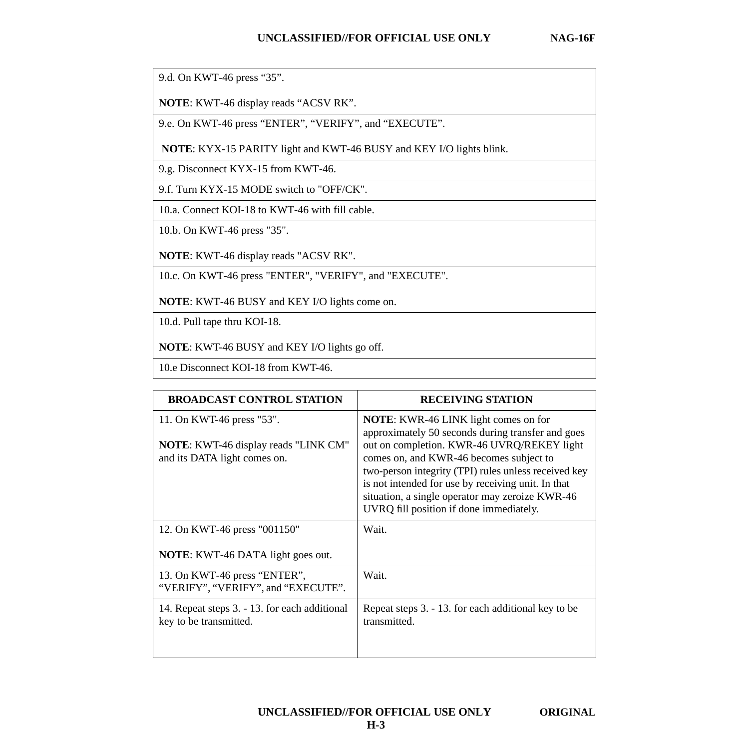9.d. On KWT-46 press "35".

**NOTE**: KWT-46 display reads "ACSV RK".

9.e. On KWT-46 press "ENTER", "VERIFY", and "EXECUTE".

**NOTE**: KYX-15 PARITY light and KWT-46 BUSY and KEY I/O lights blink.

9.g. Disconnect KYX-15 from KWT-46.

9.f. Turn KYX-15 MODE switch to "OFF/CK".

10.a. Connect KOI-18 to KWT-46 with fill cable.

10.b. On KWT-46 press "35".

**NOTE**: KWT-46 display reads "ACSV RK".

10.c. On KWT-46 press "ENTER", "VERIFY", and "EXECUTE".

**NOTE**: KWT-46 BUSY and KEY I/O lights come on.

10.d. Pull tape thru KOI-18.

**NOTE**: KWT-46 BUSY and KEY I/O lights go off.

10.e Disconnect KOI-18 from KWT-46.

| <b>BROADCAST CONTROL STATION</b>                                                                         | <b>RECEIVING STATION</b>                                                                                                                                                                                                                                                                                                                                                                              |
|----------------------------------------------------------------------------------------------------------|-------------------------------------------------------------------------------------------------------------------------------------------------------------------------------------------------------------------------------------------------------------------------------------------------------------------------------------------------------------------------------------------------------|
| 11. On KWT-46 press "53".<br><b>NOTE:</b> KWT-46 display reads "LINK CM"<br>and its DATA light comes on. | <b>NOTE:</b> KWR-46 LINK light comes on for<br>approximately 50 seconds during transfer and goes<br>out on completion. KWR-46 UVRQ/REKEY light<br>comes on, and KWR-46 becomes subject to<br>two-person integrity (TPI) rules unless received key<br>is not intended for use by receiving unit. In that<br>situation, a single operator may zeroize KWR-46<br>UVRQ fill position if done immediately. |
| 12. On KWT-46 press "001150"                                                                             | Wait.                                                                                                                                                                                                                                                                                                                                                                                                 |
| <b>NOTE:</b> KWT-46 DATA light goes out.                                                                 |                                                                                                                                                                                                                                                                                                                                                                                                       |
| 13. On KWT-46 press "ENTER",<br>"VERIFY", "VERIFY", and "EXECUTE".                                       | Wait.                                                                                                                                                                                                                                                                                                                                                                                                 |
| 14. Repeat steps 3. - 13. for each additional<br>key to be transmitted.                                  | Repeat steps 3. - 13. for each additional key to be<br>transmitted.                                                                                                                                                                                                                                                                                                                                   |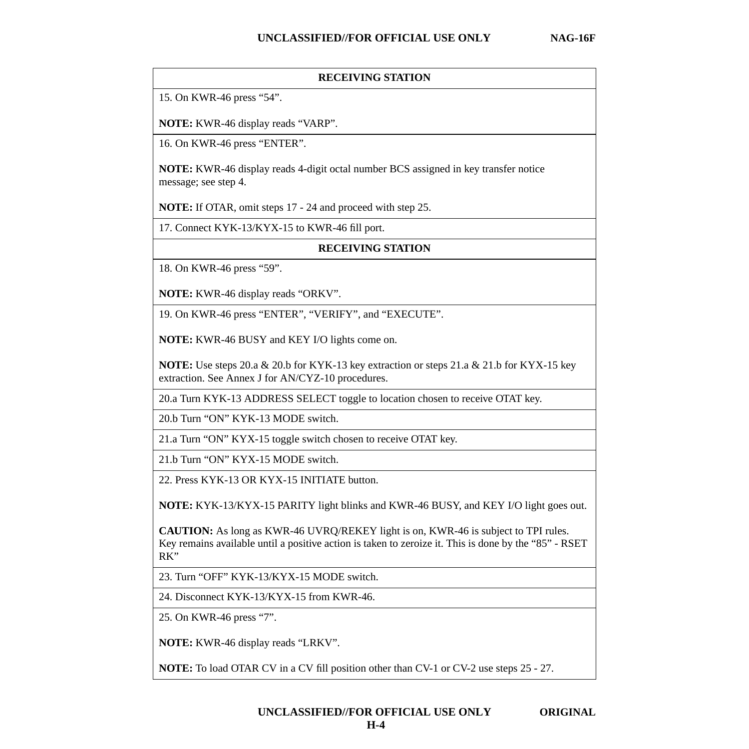# **RECEIVING STATION**

15. On KWR-46 press "54".

**NOTE:** KWR-46 display reads "VARP".

16. On KWR-46 press "ENTER".

**NOTE:** KWR-46 display reads 4-digit octal number BCS assigned in key transfer notice message; see step 4.

**NOTE:** If OTAR, omit steps 17 - 24 and proceed with step 25.

17. Connect KYK-13/KYX-15 to KWR-46 fill port.

## **RECEIVING STATION**

18. On KWR-46 press "59".

**NOTE:** KWR-46 display reads "ORKV".

19. On KWR-46 press "ENTER", "VERIFY", and "EXECUTE".

**NOTE:** KWR-46 BUSY and KEY I/O lights come on.

**NOTE:** Use steps 20.a & 20.b for KYK-13 key extraction or steps 21.a & 21.b for KYX-15 key extraction. See Annex J for AN/CYZ-10 procedures.

20.a Turn KYK-13 ADDRESS SELECT toggle to location chosen to receive OTAT key.

20.b Turn "ON" KYK-13 MODE switch.

21.a Turn "ON" KYX-15 toggle switch chosen to receive OTAT key.

21.b Turn "ON" KYX-15 MODE switch.

22. Press KYK-13 OR KYX-15 INITIATE button.

**NOTE:** KYK-13/KYX-15 PARITY light blinks and KWR-46 BUSY, and KEY I/O light goes out.

**CAUTION:** As long as KWR-46 UVRQ/REKEY light is on, KWR-46 is subject to TPI rules. Key remains available until a positive action is taken to zeroize it. This is done by the "85" - RSET RK"

23. Turn "OFF" KYK-13/KYX-15 MODE switch.

24. Disconnect KYK-13/KYX-15 from KWR-46.

25. On KWR-46 press "7".

**NOTE:** KWR-46 display reads "LRKV".

**NOTE:** To load OTAR CV in a CV fill position other than CV-1 or CV-2 use steps 25 - 27.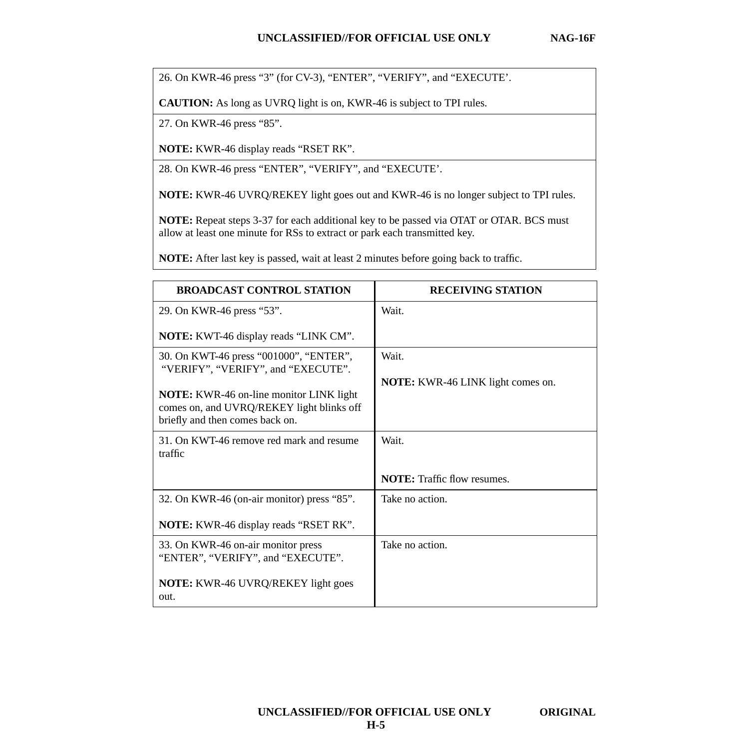26. On KWR-46 press "3" (for CV-3), "ENTER", "VERIFY", and "EXECUTE'.

**CAUTION:** As long as UVRQ light is on, KWR-46 is subject to TPI rules.

27. On KWR-46 press "85".

**NOTE:** KWR-46 display reads "RSET RK".

28. On KWR-46 press "ENTER", "VERIFY", and "EXECUTE'.

**NOTE:** KWR-46 UVRQ/REKEY light goes out and KWR-46 is no longer subject to TPI rules.

**NOTE:** Repeat steps 3-37 for each additional key to be passed via OTAT or OTAR. BCS must allow at least one minute for RSs to extract or park each transmitted key.

**NOTE:** After last key is passed, wait at least 2 minutes before going back to traffic.

| <b>BROADCAST CONTROL STATION</b>                                                                                               | <b>RECEIVING STATION</b>                 |
|--------------------------------------------------------------------------------------------------------------------------------|------------------------------------------|
| 29. On KWR-46 press "53".                                                                                                      | Wait.                                    |
| <b>NOTE:</b> KWT-46 display reads "LINK CM".                                                                                   |                                          |
| 30. On KWT-46 press "001000", "ENTER",<br>"VERIFY", "VERIFY", and "EXECUTE".                                                   | Wait.                                    |
|                                                                                                                                | <b>NOTE:</b> KWR-46 LINK light comes on. |
| <b>NOTE:</b> KWR-46 on-line monitor LINK light<br>comes on, and UVRQ/REKEY light blinks off<br>briefly and then comes back on. |                                          |
| 31. On KWT-46 remove red mark and resume<br>traffic                                                                            | Wait.                                    |
|                                                                                                                                | <b>NOTE:</b> Traffic flow resumes.       |
| 32. On KWR-46 (on-air monitor) press "85".                                                                                     | Take no action.                          |
| <b>NOTE:</b> KWR-46 display reads "RSET RK".                                                                                   |                                          |
| 33. On KWR-46 on-air monitor press<br>"ENTER", "VERIFY", and "EXECUTE".                                                        | Take no action.                          |
| <b>NOTE:</b> KWR-46 UVRQ/REKEY light goes<br>out.                                                                              |                                          |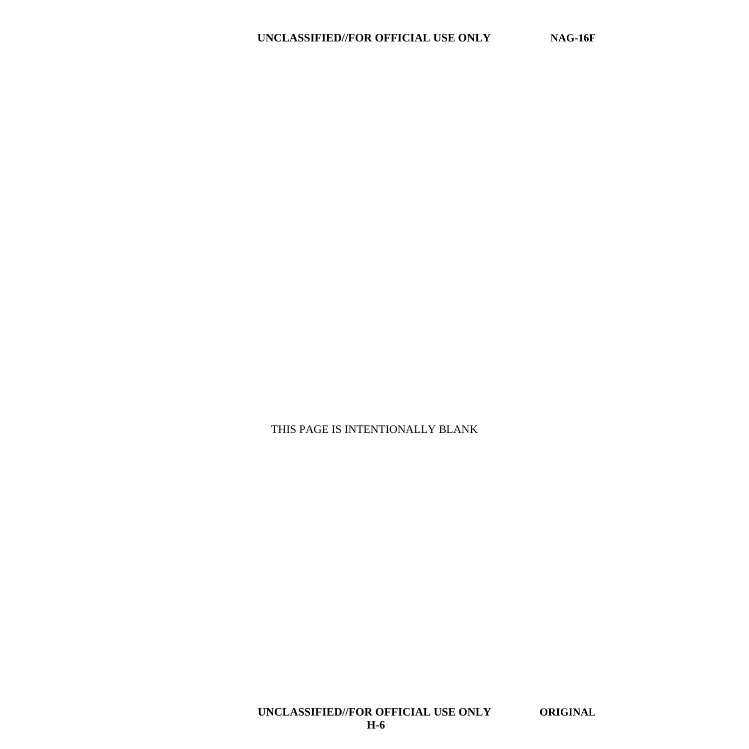THIS PAGE IS INTENTIONALLY BLANK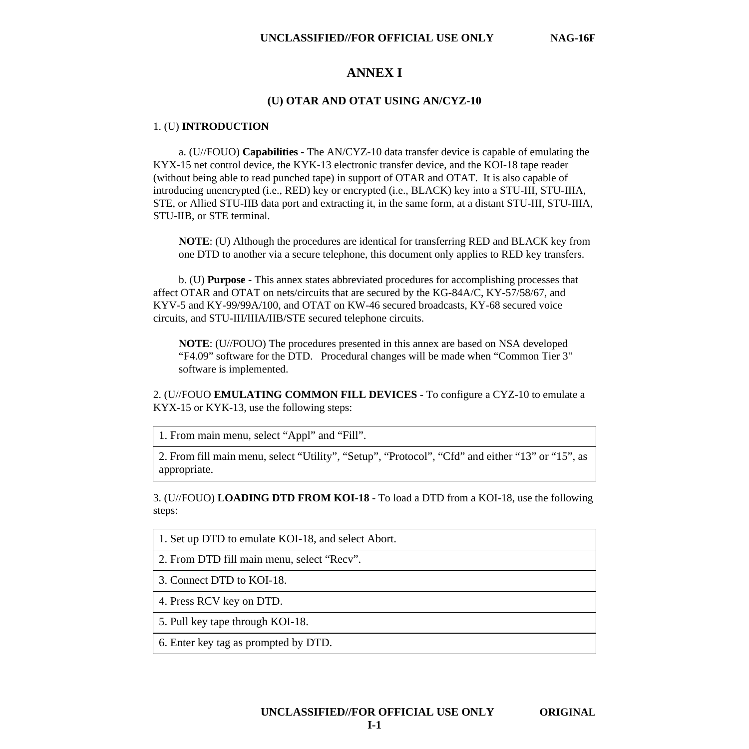# **ANNEX I**

#### **(U) OTAR AND OTAT USING AN/CYZ-10**

#### 1. (U) **INTRODUCTION**

a. (U//FOUO) **Capabilities -** The AN/CYZ-10 data transfer device is capable of emulating the KYX-15 net control device, the KYK-13 electronic transfer device, and the KOI-18 tape reader (without being able to read punched tape) in support of OTAR and OTAT. It is also capable of introducing unencrypted (i.e., RED) key or encrypted (i.e., BLACK) key into a STU-III, STU-IIIA, STE, or Allied STU-IIB data port and extracting it, in the same form, at a distant STU-III, STU-IIIA, STU-IIB, or STE terminal.

**NOTE**: (U) Although the procedures are identical for transferring RED and BLACK key from one DTD to another via a secure telephone, this document only applies to RED key transfers.

b. (U) **Purpose** - This annex states abbreviated procedures for accomplishing processes that affect OTAR and OTAT on nets/circuits that are secured by the KG-84A/C, KY-57/58/67, and KYV-5 and KY-99/99A/100, and OTAT on KW-46 secured broadcasts, KY-68 secured voice circuits, and STU-III/IIIA/IIB/STE secured telephone circuits.

**NOTE**: (U//FOUO) The procedures presented in this annex are based on NSA developed "F4.09" software for the DTD. Procedural changes will be made when "Common Tier 3" software is implemented.

2. (U//FOUO **EMULATING COMMON FILL DEVICES** - To configure a CYZ-10 to emulate a KYX-15 or KYK-13, use the following steps:

1. From main menu, select "Appl" and "Fill".

2. From fill main menu, select "Utility", "Setup", "Protocol", "Cfd" and either "13" or "15", as appropriate.

3. (U//FOUO) **LOADING DTD FROM KOI-18** - To load a DTD from a KOI-18, use the following steps:

1. Set up DTD to emulate KOI-18, and select Abort.

2. From DTD fill main menu, select "Recv".

3. Connect DTD to KOI-18.

4. Press RCV key on DTD.

5. Pull key tape through KOI-18.

6. Enter key tag as prompted by DTD.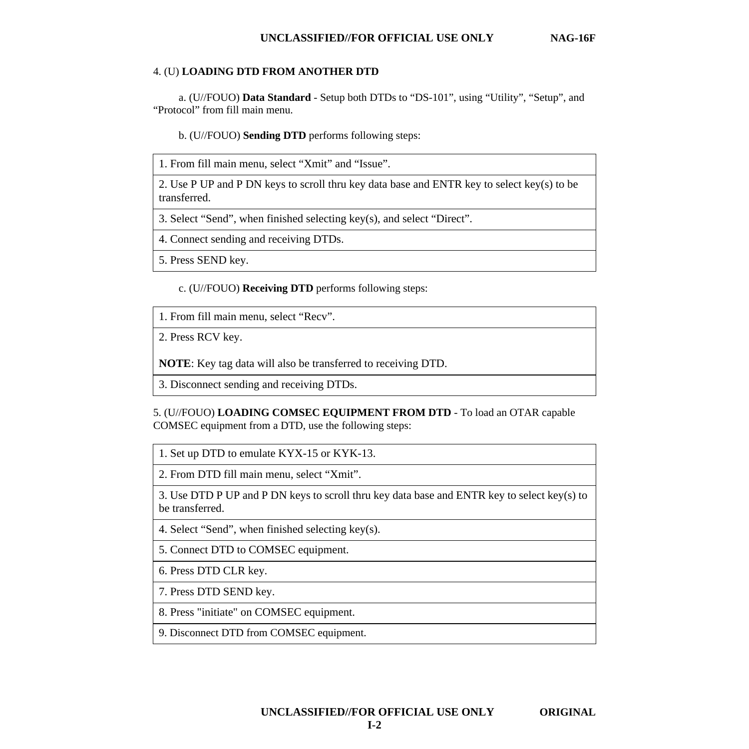## **UNCLASSIFIED//FOR OFFICIAL USE ONLY NAG-16F**

#### 4. (U) **LOADING DTD FROM ANOTHER DTD**

a. (U//FOUO) **Data Standard** - Setup both DTDs to "DS-101", using "Utility", "Setup", and "Protocol" from fill main menu.

b. (U//FOUO) **Sending DTD** performs following steps:

1. From fill main menu, select "Xmit" and "Issue".

2. Use P UP and P DN keys to scroll thru key data base and ENTR key to select key(s) to be transferred.

3. Select "Send", when finished selecting key(s), and select "Direct".

4. Connect sending and receiving DTDs.

5. Press SEND key.

c. (U//FOUO) **Receiving DTD** performs following steps:

1. From fill main menu, select "Recv".

2. Press RCV key.

**NOTE**: Key tag data will also be transferred to receiving DTD.

3. Disconnect sending and receiving DTDs.

5. (U//FOUO) **LOADING COMSEC EQUIPMENT FROM DTD** - To load an OTAR capable COMSEC equipment from a DTD, use the following steps:

## 1. Set up DTD to emulate KYX-15 or KYK-13.

2. From DTD fill main menu, select "Xmit".

3. Use DTD P UP and P DN keys to scroll thru key data base and ENTR key to select key(s) to be transferred.

4. Select "Send", when finished selecting key(s).

5. Connect DTD to COMSEC equipment.

6. Press DTD CLR key.

7. Press DTD SEND key.

8. Press "initiate" on COMSEC equipment.

9. Disconnect DTD from COMSEC equipment.

**UNCLASSIFIED//FOR OFFICIAL USE ONLY ORIGINAL**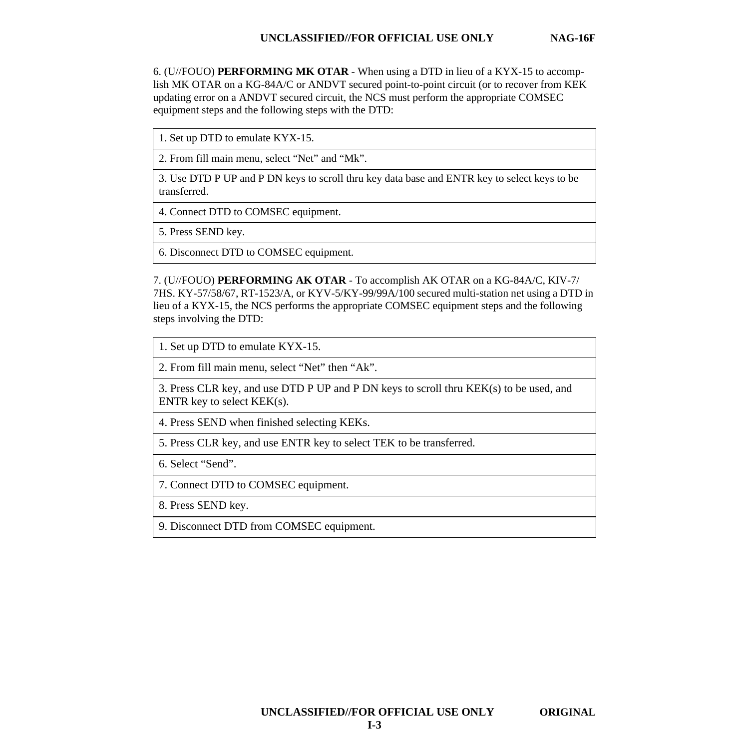6. (U//FOUO) **PERFORMING MK OTAR** - When using a DTD in lieu of a KYX-15 to accomplish MK OTAR on a KG-84A/C or ANDVT secured point-to-point circuit (or to recover from KEK updating error on a ANDVT secured circuit, the NCS must perform the appropriate COMSEC equipment steps and the following steps with the DTD:

1. Set up DTD to emulate KYX-15.

2. From fill main menu, select "Net" and "Mk".

3. Use DTD P UP and P DN keys to scroll thru key data base and ENTR key to select keys to be transferred.

4. Connect DTD to COMSEC equipment.

5. Press SEND key.

6. Disconnect DTD to COMSEC equipment.

7. (U//FOUO) **PERFORMING AK OTAR** - To accomplish AK OTAR on a KG-84A/C, KIV-7/ 7HS. KY-57/58/67, RT-1523/A, or KYV-5/KY-99/99A/100 secured multi-station net using a DTD in lieu of a KYX-15, the NCS performs the appropriate COMSEC equipment steps and the following steps involving the DTD:

1. Set up DTD to emulate KYX-15.

2. From fill main menu, select "Net" then "Ak".

3. Press CLR key, and use DTD P UP and P DN keys to scroll thru KEK(s) to be used, and ENTR key to select KEK(s).

4. Press SEND when finished selecting KEKs.

5. Press CLR key, and use ENTR key to select TEK to be transferred.

6. Select "Send".

7. Connect DTD to COMSEC equipment.

8. Press SEND key.

9. Disconnect DTD from COMSEC equipment.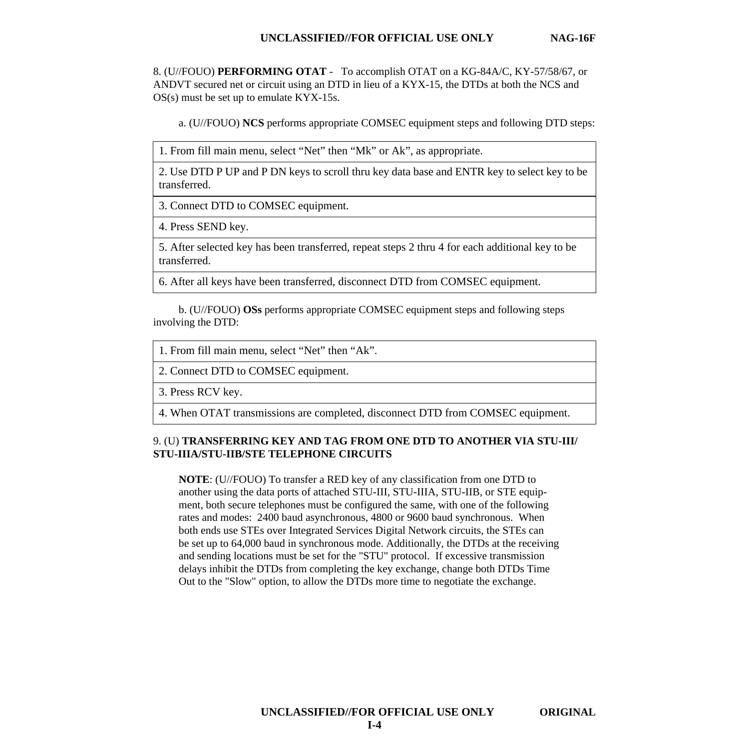8. (U//FOUO) **PERFORMING OTAT** - To accomplish OTAT on a KG-84A/C, KY-57/58/67, or ANDVT secured net or circuit using an DTD in lieu of a KYX-15, the DTDs at both the NCS and OS(s) must be set up to emulate KYX-15s.

a. (U//FOUO) **NCS** performs appropriate COMSEC equipment steps and following DTD steps:

1. From fill main menu, select "Net" then "Mk" or Ak", as appropriate.

2. Use DTD P UP and P DN keys to scroll thru key data base and ENTR key to select key to be transferred.

3. Connect DTD to COMSEC equipment.

4. Press SEND key.

5. After selected key has been transferred, repeat steps 2 thru 4 for each additional key to be transferred.

6. After all keys have been transferred, disconnect DTD from COMSEC equipment.

b. (U//FOUO) **OSs** performs appropriate COMSEC equipment steps and following steps involving the DTD:

1. From fill main menu, select "Net" then "Ak".

2. Connect DTD to COMSEC equipment.

3. Press RCV key.

4. When OTAT transmissions are completed, disconnect DTD from COMSEC equipment.

# 9. (U) **TRANSFERRING KEY AND TAG FROM ONE DTD TO ANOTHER VIA STU-III/ STU-IIIA/STU-IIB/STE TELEPHONE CIRCUITS**

**NOTE**: (U//FOUO) To transfer a RED key of any classification from one DTD to another using the data ports of attached STU-III, STU-IIIA, STU-IIB, or STE equipment, both secure telephones must be configured the same, with one of the following rates and modes: 2400 baud asynchronous, 4800 or 9600 baud synchronous. When both ends use STEs over Integrated Services Digital Network circuits, the STEs can be set up to 64,000 baud in synchronous mode. Additionally, the DTDs at the receiving and sending locations must be set for the "STU" protocol. If excessive transmission delays inhibit the DTDs from completing the key exchange, change both DTDs Time Out to the "Slow" option, to allow the DTDs more time to negotiate the exchange.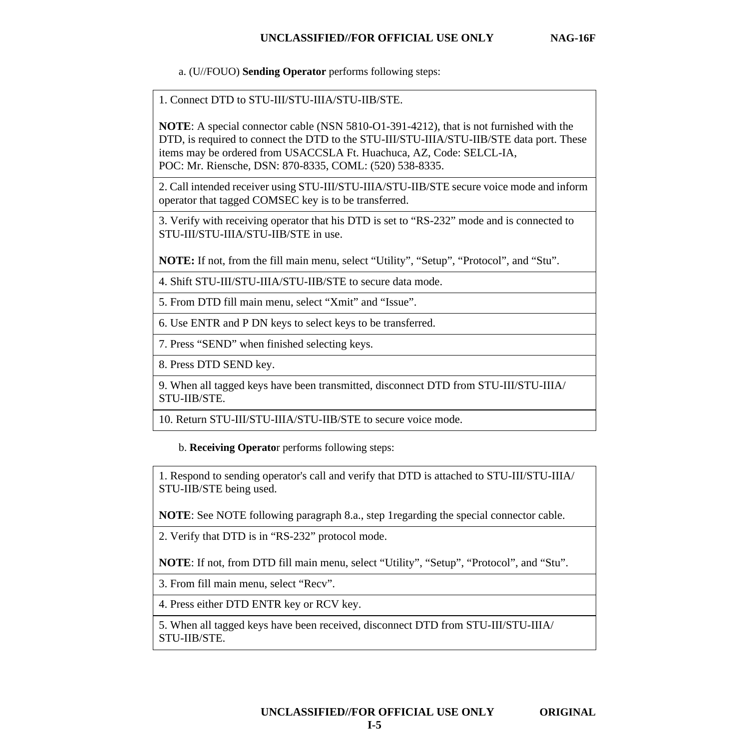a. (U//FOUO) **Sending Operator** performs following steps:

1. Connect DTD to STU-III/STU-IIIA/STU-IIB/STE.

**NOTE**: A special connector cable (NSN 5810-O1-391-4212), that is not furnished with the DTD, is required to connect the DTD to the STU-III/STU-IIIA/STU-IIB/STE data port. These items may be ordered from USACCSLA Ft. Huachuca, AZ, Code: SELCL-IA, POC: Mr. Riensche, DSN: 870-8335, COML: (520) 538-8335.

2. Call intended receiver using STU-III/STU-IIIA/STU-IIB/STE secure voice mode and inform operator that tagged COMSEC key is to be transferred.

3. Verify with receiving operator that his DTD is set to "RS-232" mode and is connected to STU-III/STU-IIIA/STU-IIB/STE in use.

**NOTE:** If not, from the fill main menu, select "Utility", "Setup", "Protocol", and "Stu".

4. Shift STU-III/STU-IIIA/STU-IIB/STE to secure data mode.

5. From DTD fill main menu, select "Xmit" and "Issue".

6. Use ENTR and P DN keys to select keys to be transferred.

7. Press "SEND" when finished selecting keys.

8. Press DTD SEND key.

9. When all tagged keys have been transmitted, disconnect DTD from STU-III/STU-IIIA/ STU-IIB/STE.

10. Return STU-III/STU-IIIA/STU-IIB/STE to secure voice mode.

b. **Receiving Operato**r performs following steps:

1. Respond to sending operator's call and verify that DTD is attached to STU-III/STU-IIIA/ STU-IIB/STE being used.

**NOTE**: See NOTE following paragraph 8.a., step 1regarding the special connector cable.

2. Verify that DTD is in "RS-232" protocol mode.

**NOTE**: If not, from DTD fill main menu, select "Utility", "Setup", "Protocol", and "Stu".

3. From fill main menu, select "Recv".

4. Press either DTD ENTR key or RCV key.

5. When all tagged keys have been received, disconnect DTD from STU-III/STU-IIIA/ STU-IIB/STE.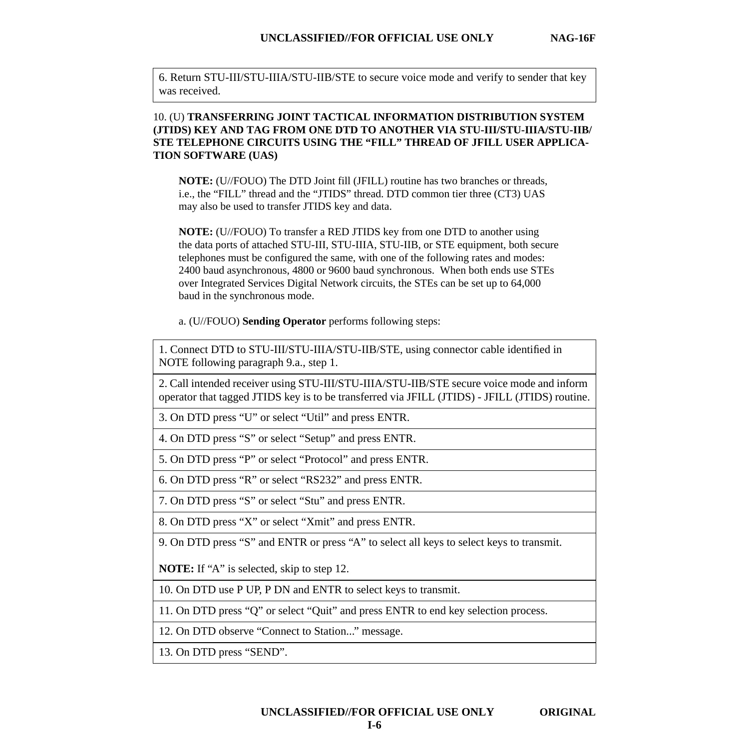6. Return STU-III/STU-IIIA/STU-IIB/STE to secure voice mode and verify to sender that key was received.

## 10. (U) **TRANSFERRING JOINT TACTICAL INFORMATION DISTRIBUTION SYSTEM (JTIDS) KEY AND TAG FROM ONE DTD TO ANOTHER VIA STU-III/STU-IIIA/STU-IIB/ STE TELEPHONE CIRCUITS USING THE "FILL" THREAD OF JFILL USER APPLICA-TION SOFTWARE (UAS)**

**NOTE:** (U//FOUO) The DTD Joint fill (JFILL) routine has two branches or threads, i.e., the "FILL" thread and the "JTIDS" thread. DTD common tier three (CT3) UAS may also be used to transfer JTIDS key and data.

**NOTE:** (U//FOUO) To transfer a RED JTIDS key from one DTD to another using the data ports of attached STU-III, STU-IIIA, STU-IIB, or STE equipment, both secure telephones must be configured the same, with one of the following rates and modes: 2400 baud asynchronous, 4800 or 9600 baud synchronous. When both ends use STEs over Integrated Services Digital Network circuits, the STEs can be set up to 64,000 baud in the synchronous mode.

a. (U//FOUO) **Sending Operator** performs following steps:

1. Connect DTD to STU-III/STU-IIIA/STU-IIB/STE, using connector cable identified in NOTE following paragraph 9.a., step 1.

2. Call intended receiver using STU-III/STU-IIIA/STU-IIB/STE secure voice mode and inform operator that tagged JTIDS key is to be transferred via JFILL (JTIDS) - JFILL (JTIDS) routine.

3. On DTD press "U" or select "Util" and press ENTR.

4. On DTD press "S" or select "Setup" and press ENTR.

5. On DTD press "P" or select "Protocol" and press ENTR.

6. On DTD press "R" or select "RS232" and press ENTR.

7. On DTD press "S" or select "Stu" and press ENTR.

8. On DTD press "X" or select "Xmit" and press ENTR.

9. On DTD press "S" and ENTR or press "A" to select all keys to select keys to transmit.

**NOTE:** If "A" is selected, skip to step 12.

10. On DTD use P UP, P DN and ENTR to select keys to transmit.

11. On DTD press "Q" or select "Quit" and press ENTR to end key selection process.

12. On DTD observe "Connect to Station..." message.

13. On DTD press "SEND".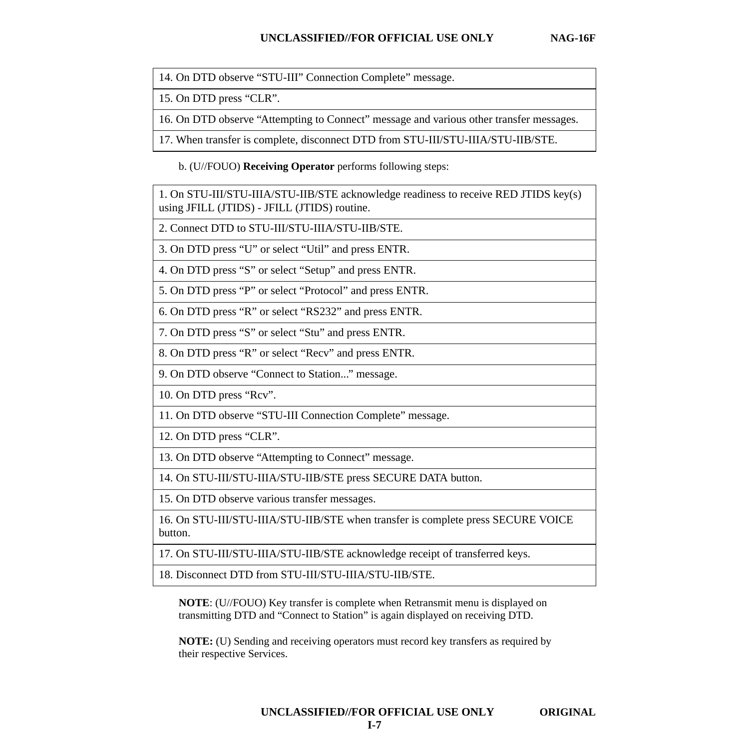14. On DTD observe "STU-III" Connection Complete" message.

15. On DTD press "CLR".

16. On DTD observe "Attempting to Connect" message and various other transfer messages.

17. When transfer is complete, disconnect DTD from STU-III/STU-IIIA/STU-IIB/STE.

b. (U//FOUO) **Receiving Operator** performs following steps:

1. On STU-III/STU-IIIA/STU-IIB/STE acknowledge readiness to receive RED JTIDS key(s) using JFILL (JTIDS) - JFILL (JTIDS) routine.

2. Connect DTD to STU-III/STU-IIIA/STU-IIB/STE.

3. On DTD press "U" or select "Util" and press ENTR.

4. On DTD press "S" or select "Setup" and press ENTR.

5. On DTD press "P" or select "Protocol" and press ENTR.

6. On DTD press "R" or select "RS232" and press ENTR.

7. On DTD press "S" or select "Stu" and press ENTR.

8. On DTD press "R" or select "Recv" and press ENTR.

9. On DTD observe "Connect to Station..." message.

10. On DTD press "Rcv".

11. On DTD observe "STU-III Connection Complete" message.

12. On DTD press "CLR".

13. On DTD observe "Attempting to Connect" message.

14. On STU-III/STU-IIIA/STU-IIB/STE press SECURE DATA button.

15. On DTD observe various transfer messages.

16. On STU-III/STU-IIIA/STU-IIB/STE when transfer is complete press SECURE VOICE button.

17. On STU-III/STU-IIIA/STU-IIB/STE acknowledge receipt of transferred keys.

18. Disconnect DTD from STU-III/STU-IIIA/STU-IIB/STE.

**NOTE**: (U//FOUO) Key transfer is complete when Retransmit menu is displayed on transmitting DTD and "Connect to Station" is again displayed on receiving DTD.

**NOTE:** (U) Sending and receiving operators must record key transfers as required by their respective Services.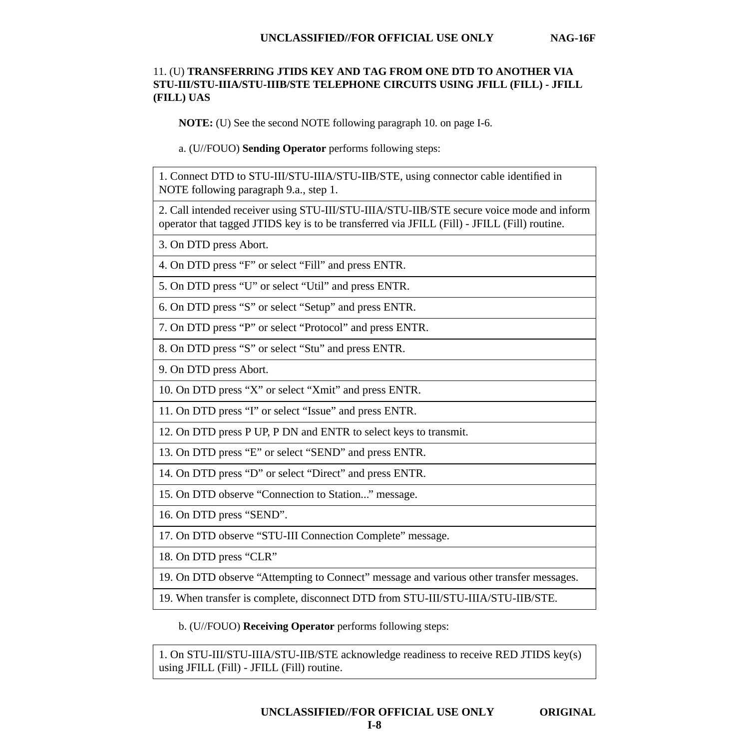# **UNCLASSIFIED//FOR OFFICIAL USE ONLY NAG-16F**

# 11. (U) **TRANSFERRING JTIDS KEY AND TAG FROM ONE DTD TO ANOTHER VIA STU-III/STU-IIIA/STU-IIIB/STE TELEPHONE CIRCUITS USING JFILL (FILL) - JFILL (FILL) UAS**

**NOTE:** (U) See the second NOTE following paragraph 10. on page I-6.

a. (U//FOUO) **Sending Operator** performs following steps:

1. Connect DTD to STU-III/STU-IIIA/STU-IIB/STE, using connector cable identified in NOTE following paragraph 9.a., step 1.

2. Call intended receiver using STU-III/STU-IIIA/STU-IIB/STE secure voice mode and inform operator that tagged JTIDS key is to be transferred via JFILL (Fill) - JFILL (Fill) routine.

3. On DTD press Abort.

4. On DTD press "F" or select "Fill" and press ENTR.

5. On DTD press "U" or select "Util" and press ENTR.

6. On DTD press "S" or select "Setup" and press ENTR.

7. On DTD press "P" or select "Protocol" and press ENTR.

8. On DTD press "S" or select "Stu" and press ENTR.

9. On DTD press Abort.

10. On DTD press "X" or select "Xmit" and press ENTR.

11. On DTD press "I" or select "Issue" and press ENTR.

12. On DTD press P UP, P DN and ENTR to select keys to transmit.

13. On DTD press "E" or select "SEND" and press ENTR.

14. On DTD press "D" or select "Direct" and press ENTR.

15. On DTD observe "Connection to Station..." message.

16. On DTD press "SEND".

17. On DTD observe "STU-III Connection Complete" message.

18. On DTD press "CLR"

19. On DTD observe "Attempting to Connect" message and various other transfer messages.

19. When transfer is complete, disconnect DTD from STU-III/STU-IIIA/STU-IIB/STE.

b. (U//FOUO) **Receiving Operator** performs following steps:

1. On STU-III/STU-IIIA/STU-IIB/STE acknowledge readiness to receive RED JTIDS key(s) using JFILL (Fill) - JFILL (Fill) routine.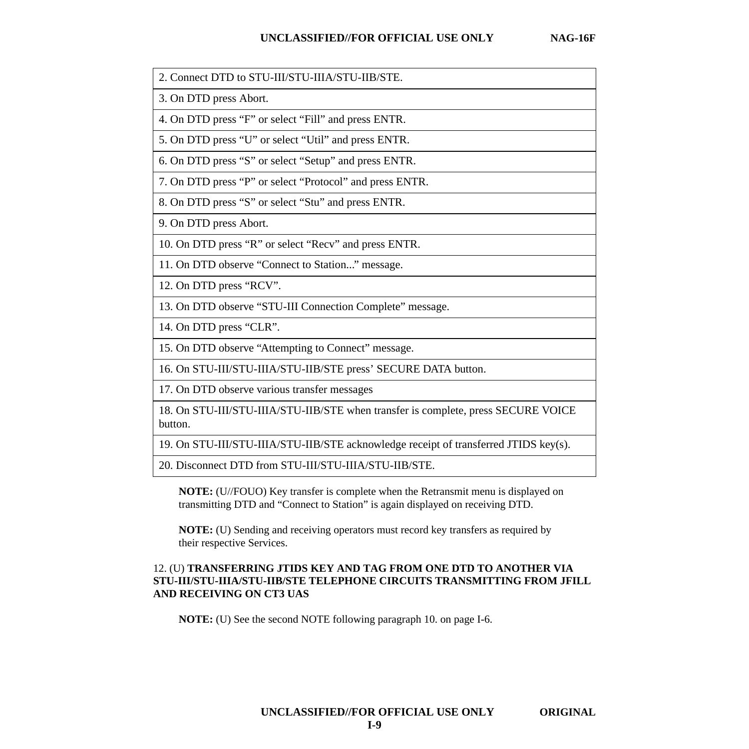- 2. Connect DTD to STU-III/STU-IIIA/STU-IIB/STE.
- 3. On DTD press Abort.
- 4. On DTD press "F" or select "Fill" and press ENTR.
- 5. On DTD press "U" or select "Util" and press ENTR.
- 6. On DTD press "S" or select "Setup" and press ENTR.
- 7. On DTD press "P" or select "Protocol" and press ENTR.
- 8. On DTD press "S" or select "Stu" and press ENTR.
- 9. On DTD press Abort.
- 10. On DTD press "R" or select "Recv" and press ENTR.
- 11. On DTD observe "Connect to Station..." message.
- 12. On DTD press "RCV".
- 13. On DTD observe "STU-III Connection Complete" message.
- 14. On DTD press "CLR".
- 15. On DTD observe "Attempting to Connect" message.
- 16. On STU-III/STU-IIIA/STU-IIB/STE press' SECURE DATA button.
- 17. On DTD observe various transfer messages
- 18. On STU-III/STU-IIIA/STU-IIB/STE when transfer is complete, press SECURE VOICE button.
- 19. On STU-III/STU-IIIA/STU-IIB/STE acknowledge receipt of transferred JTIDS key(s).
- 20. Disconnect DTD from STU-III/STU-IIIA/STU-IIB/STE.
	- **NOTE:** (U//FOUO) Key transfer is complete when the Retransmit menu is displayed on transmitting DTD and "Connect to Station" is again displayed on receiving DTD.
	- **NOTE:** (U) Sending and receiving operators must record key transfers as required by their respective Services.

# 12. (U) **TRANSFERRING JTIDS KEY AND TAG FROM ONE DTD TO ANOTHER VIA STU-III/STU-IIIA/STU-IIB/STE TELEPHONE CIRCUITS TRANSMITTING FROM JFILL AND RECEIVING ON CT3 UAS**

**NOTE:** (U) See the second NOTE following paragraph 10. on page I-6.

#### **UNCLASSIFIED//FOR OFFICIAL USE ONLY ORIGINAL**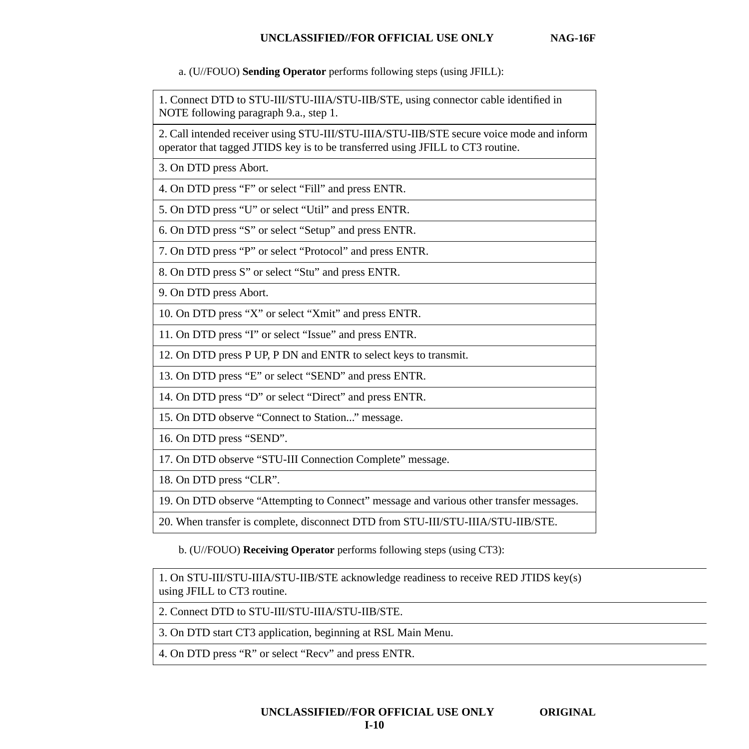a. (U//FOUO) **Sending Operator** performs following steps (using JFILL):

1. Connect DTD to STU-III/STU-IIIA/STU-IIB/STE, using connector cable identified in NOTE following paragraph 9.a., step 1.

2. Call intended receiver using STU-III/STU-IIIA/STU-IIB/STE secure voice mode and inform operator that tagged JTIDS key is to be transferred using JFILL to CT3 routine.

3. On DTD press Abort.

4. On DTD press "F" or select "Fill" and press ENTR.

5. On DTD press "U" or select "Util" and press ENTR.

6. On DTD press "S" or select "Setup" and press ENTR.

7. On DTD press "P" or select "Protocol" and press ENTR.

8. On DTD press S" or select "Stu" and press ENTR.

9. On DTD press Abort.

10. On DTD press "X" or select "Xmit" and press ENTR.

11. On DTD press "I" or select "Issue" and press ENTR.

12. On DTD press P UP, P DN and ENTR to select keys to transmit.

13. On DTD press "E" or select "SEND" and press ENTR.

14. On DTD press "D" or select "Direct" and press ENTR.

15. On DTD observe "Connect to Station..." message.

16. On DTD press "SEND".

17. On DTD observe "STU-III Connection Complete" message.

18. On DTD press "CLR".

19. On DTD observe "Attempting to Connect" message and various other transfer messages.

20. When transfer is complete, disconnect DTD from STU-III/STU-IIIA/STU-IIB/STE.

b. (U//FOUO) **Receiving Operator** performs following steps (using CT3):

1. On STU-III/STU-IIIA/STU-IIB/STE acknowledge readiness to receive RED JTIDS key(s) using JFILL to CT3 routine.

2. Connect DTD to STU-III/STU-IIIA/STU-IIB/STE.

3. On DTD start CT3 application, beginning at RSL Main Menu.

4. On DTD press "R" or select "Recv" and press ENTR.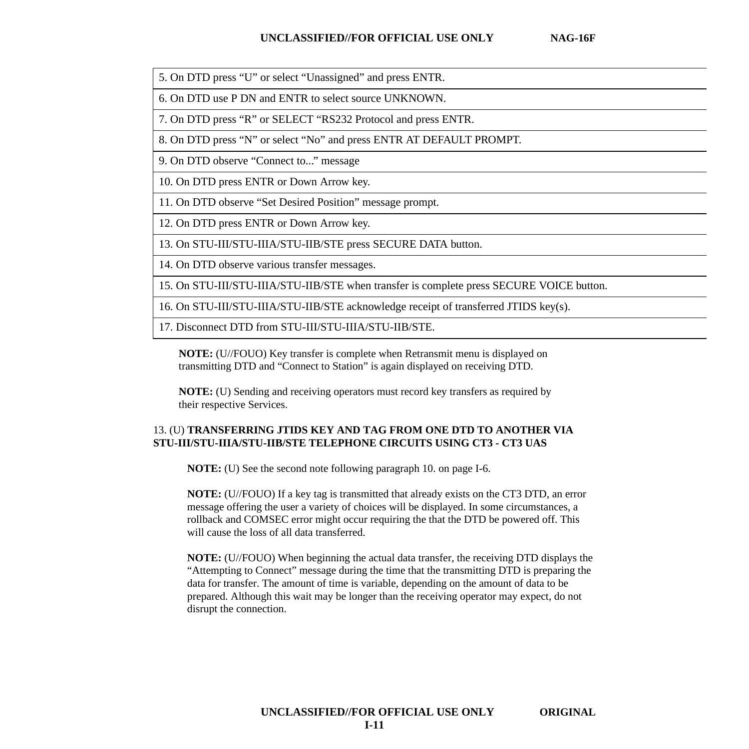5. On DTD press "U" or select "Unassigned" and press ENTR.

6. On DTD use P DN and ENTR to select source UNKNOWN.

7. On DTD press "R" or SELECT "RS232 Protocol and press ENTR.

8. On DTD press "N" or select "No" and press ENTR AT DEFAULT PROMPT.

9. On DTD observe "Connect to..." message

10. On DTD press ENTR or Down Arrow key.

11. On DTD observe "Set Desired Position" message prompt.

12. On DTD press ENTR or Down Arrow key.

13. On STU-III/STU-IIIA/STU-IIB/STE press SECURE DATA button.

14. On DTD observe various transfer messages.

15. On STU-III/STU-IIIA/STU-IIB/STE when transfer is complete press SECURE VOICE button.

16. On STU-III/STU-IIIA/STU-IIB/STE acknowledge receipt of transferred JTIDS key(s).

17. Disconnect DTD from STU-III/STU-IIIA/STU-IIB/STE.

**NOTE:** (U//FOUO) Key transfer is complete when Retransmit menu is displayed on transmitting DTD and "Connect to Station" is again displayed on receiving DTD.

**NOTE:** (U) Sending and receiving operators must record key transfers as required by their respective Services.

## 13. (U) **TRANSFERRING JTIDS KEY AND TAG FROM ONE DTD TO ANOTHER VIA STU-III/STU-IIIA/STU-IIB/STE TELEPHONE CIRCUITS USING CT3 - CT3 UAS**

**NOTE:** (U) See the second note following paragraph 10. on page I-6.

**NOTE:** (U//FOUO) If a key tag is transmitted that already exists on the CT3 DTD, an error message offering the user a variety of choices will be displayed. In some circumstances, a rollback and COMSEC error might occur requiring the that the DTD be powered off. This will cause the loss of all data transferred.

**NOTE:** (U//FOUO) When beginning the actual data transfer, the receiving DTD displays the "Attempting to Connect" message during the time that the transmitting DTD is preparing the data for transfer. The amount of time is variable, depending on the amount of data to be prepared. Although this wait may be longer than the receiving operator may expect, do not disrupt the connection.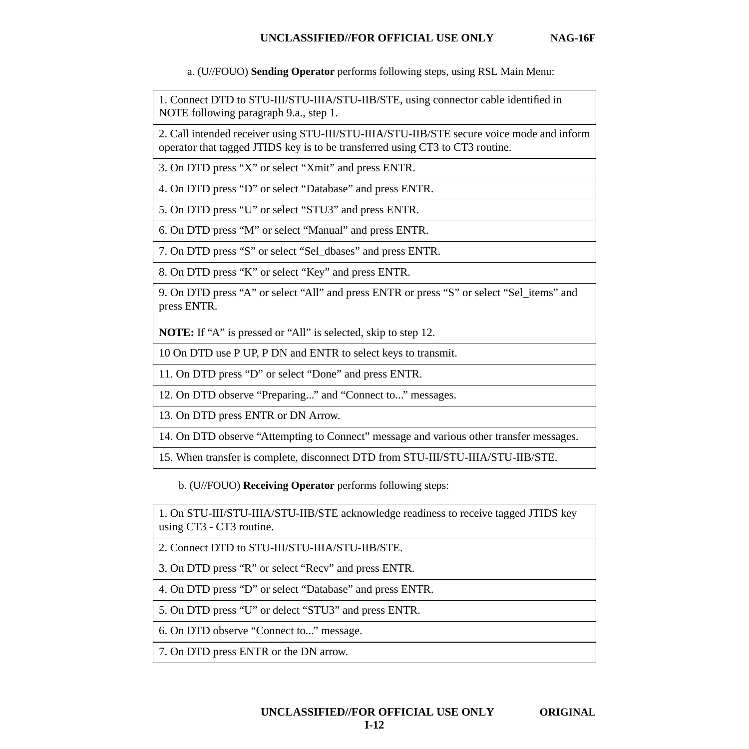a. (U//FOUO) **Sending Operator** performs following steps, using RSL Main Menu:

1. Connect DTD to STU-III/STU-IIIA/STU-IIB/STE, using connector cable identified in NOTE following paragraph 9.a., step 1.

2. Call intended receiver using STU-III/STU-IIIA/STU-IIB/STE secure voice mode and inform operator that tagged JTIDS key is to be transferred using CT3 to CT3 routine.

3. On DTD press "X" or select "Xmit" and press ENTR.

4. On DTD press "D" or select "Database" and press ENTR.

5. On DTD press "U" or select "STU3" and press ENTR.

6. On DTD press "M" or select "Manual" and press ENTR.

7. On DTD press "S" or select "Sel\_dbases" and press ENTR.

8. On DTD press "K" or select "Key" and press ENTR.

9. On DTD press "A" or select "All" and press ENTR or press "S" or select "Sel\_items" and press ENTR.

**NOTE:** If "A" is pressed or "All" is selected, skip to step 12.

10 On DTD use P UP, P DN and ENTR to select keys to transmit.

11. On DTD press "D" or select "Done" and press ENTR.

12. On DTD observe "Preparing..." and "Connect to..." messages.

13. On DTD press ENTR or DN Arrow.

14. On DTD observe "Attempting to Connect" message and various other transfer messages.

15. When transfer is complete, disconnect DTD from STU-III/STU-IIIA/STU-IIB/STE.

b. (U//FOUO) **Receiving Operator** performs following steps:

1. On STU-III/STU-IIIA/STU-IIB/STE acknowledge readiness to receive tagged JTIDS key using CT3 - CT3 routine.

2. Connect DTD to STU-III/STU-IIIA/STU-IIB/STE.

3. On DTD press "R" or select "Recv" and press ENTR.

4. On DTD press "D" or select "Database" and press ENTR.

5. On DTD press "U" or delect "STU3" and press ENTR.

6. On DTD observe "Connect to..." message.

7. On DTD press ENTR or the DN arrow.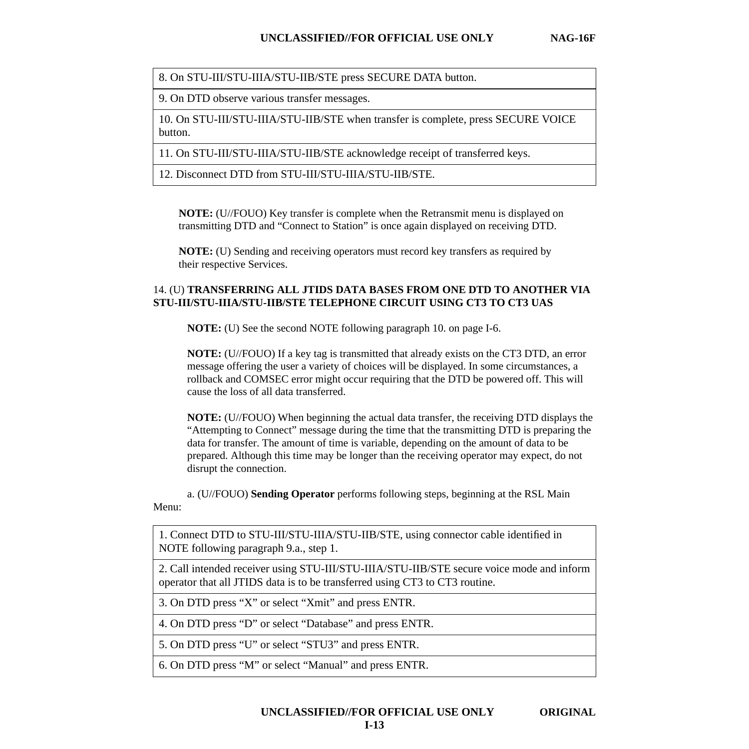8. On STU-III/STU-IIIA/STU-IIB/STE press SECURE DATA button.

9. On DTD observe various transfer messages.

10. On STU-III/STU-IIIA/STU-IIB/STE when transfer is complete, press SECURE VOICE button.

11. On STU-III/STU-IIIA/STU-IIB/STE acknowledge receipt of transferred keys.

12. Disconnect DTD from STU-III/STU-IIIA/STU-IIB/STE.

**NOTE:** (U//FOUO) Key transfer is complete when the Retransmit menu is displayed on transmitting DTD and "Connect to Station" is once again displayed on receiving DTD.

**NOTE:** (U) Sending and receiving operators must record key transfers as required by their respective Services.

# 14. (U) **TRANSFERRING ALL JTIDS DATA BASES FROM ONE DTD TO ANOTHER VIA STU-III/STU-IIIA/STU-IIB/STE TELEPHONE CIRCUIT USING CT3 TO CT3 UAS**

**NOTE:** (U) See the second NOTE following paragraph 10. on page I-6.

**NOTE:** (U//FOUO) If a key tag is transmitted that already exists on the CT3 DTD, an error message offering the user a variety of choices will be displayed. In some circumstances, a rollback and COMSEC error might occur requiring that the DTD be powered off. This will cause the loss of all data transferred.

**NOTE:** (U//FOUO) When beginning the actual data transfer, the receiving DTD displays the "Attempting to Connect" message during the time that the transmitting DTD is preparing the data for transfer. The amount of time is variable, depending on the amount of data to be prepared. Although this time may be longer than the receiving operator may expect, do not disrupt the connection.

a. (U//FOUO) **Sending Operator** performs following steps, beginning at the RSL Main Menu:

1. Connect DTD to STU-III/STU-IIIA/STU-IIB/STE, using connector cable identified in NOTE following paragraph 9.a., step 1.

2. Call intended receiver using STU-III/STU-IIIA/STU-IIB/STE secure voice mode and inform operator that all JTIDS data is to be transferred using CT3 to CT3 routine.

3. On DTD press "X" or select "Xmit" and press ENTR.

4. On DTD press "D" or select "Database" and press ENTR.

5. On DTD press "U" or select "STU3" and press ENTR.

6. On DTD press "M" or select "Manual" and press ENTR.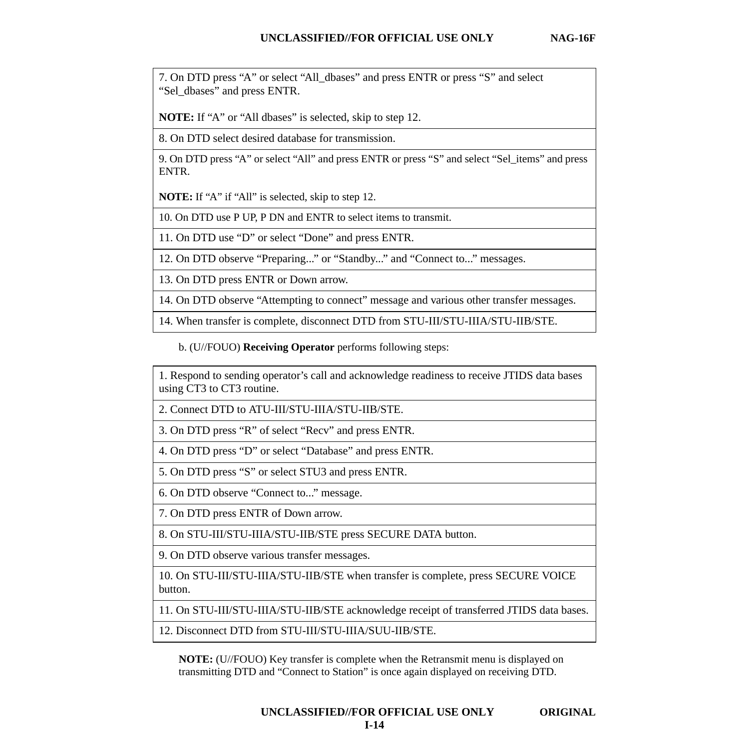7. On DTD press "A" or select "All\_dbases" and press ENTR or press "S" and select "Sel\_dbases" and press ENTR.

**NOTE:** If "A" or "All dbases" is selected, skip to step 12.

8. On DTD select desired database for transmission.

9. On DTD press "A" or select "All" and press ENTR or press "S" and select "Sel\_items" and press ENTR.

**NOTE:** If "A" if "All" is selected, skip to step 12.

10. On DTD use P UP, P DN and ENTR to select items to transmit.

11. On DTD use "D" or select "Done" and press ENTR.

12. On DTD observe "Preparing..." or "Standby..." and "Connect to..." messages.

13. On DTD press ENTR or Down arrow.

14. On DTD observe "Attempting to connect" message and various other transfer messages.

14. When transfer is complete, disconnect DTD from STU-III/STU-IIIA/STU-IIB/STE.

b. (U//FOUO) **Receiving Operator** performs following steps:

1. Respond to sending operator's call and acknowledge readiness to receive JTIDS data bases using CT3 to CT3 routine.

2. Connect DTD to ATU-III/STU-IIIA/STU-IIB/STE.

3. On DTD press "R" of select "Recv" and press ENTR.

4. On DTD press "D" or select "Database" and press ENTR.

5. On DTD press "S" or select STU3 and press ENTR.

6. On DTD observe "Connect to..." message.

7. On DTD press ENTR of Down arrow.

8. On STU-III/STU-IIIA/STU-IIB/STE press SECURE DATA button.

9. On DTD observe various transfer messages.

10. On STU-III/STU-IIIA/STU-IIB/STE when transfer is complete, press SECURE VOICE button.

11. On STU-III/STU-IIIA/STU-IIB/STE acknowledge receipt of transferred JTIDS data bases.

12. Disconnect DTD from STU-III/STU-IIIA/SUU-IIB/STE.

**NOTE:** (U//FOUO) Key transfer is complete when the Retransmit menu is displayed on transmitting DTD and "Connect to Station" is once again displayed on receiving DTD.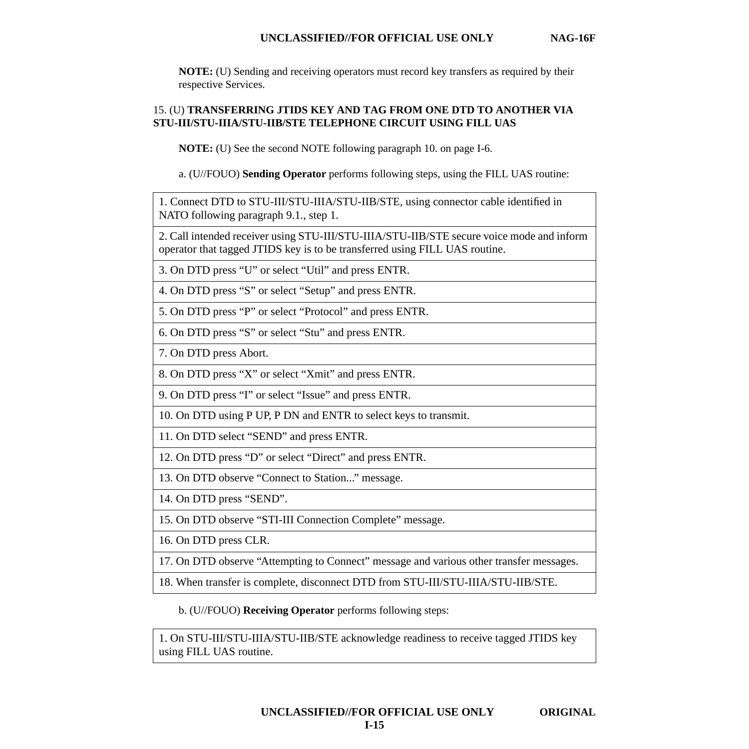#### **UNCLASSIFIED//FOR OFFICIAL USE ONLY NAG-16F**

**NOTE:** (U) Sending and receiving operators must record key transfers as required by their respective Services.

#### 15. (U) **TRANSFERRING JTIDS KEY AND TAG FROM ONE DTD TO ANOTHER VIA STU-III/STU-IIIA/STU-IIB/STE TELEPHONE CIRCUIT USING FILL UAS**

**NOTE:** (U) See the second NOTE following paragraph 10. on page I-6.

a. (U//FOUO) **Sending Operator** performs following steps, using the FILL UAS routine:

1. Connect DTD to STU-III/STU-IIIA/STU-IIB/STE, using connector cable identified in NATO following paragraph 9.1., step 1.

2. Call intended receiver using STU-III/STU-IIIA/STU-IIB/STE secure voice mode and inform operator that tagged JTIDS key is to be transferred using FILL UAS routine.

3. On DTD press "U" or select "Util" and press ENTR.

4. On DTD press "S" or select "Setup" and press ENTR.

5. On DTD press "P" or select "Protocol" and press ENTR.

6. On DTD press "S" or select "Stu" and press ENTR.

7. On DTD press Abort.

8. On DTD press "X" or select "Xmit" and press ENTR.

9. On DTD press "I" or select "Issue" and press ENTR.

10. On DTD using P UP, P DN and ENTR to select keys to transmit.

11. On DTD select "SEND" and press ENTR.

12. On DTD press "D" or select "Direct" and press ENTR.

13. On DTD observe "Connect to Station..." message.

14. On DTD press "SEND".

15. On DTD observe "STI-III Connection Complete" message.

16. On DTD press CLR.

17. On DTD observe "Attempting to Connect" message and various other transfer messages.

18. When transfer is complete, disconnect DTD from STU-III/STU-IIIA/STU-IIB/STE.

b. (U//FOUO) **Receiving Operator** performs following steps:

1. On STU-III/STU-IIIA/STU-IIB/STE acknowledge readiness to receive tagged JTIDS key using FILL UAS routine.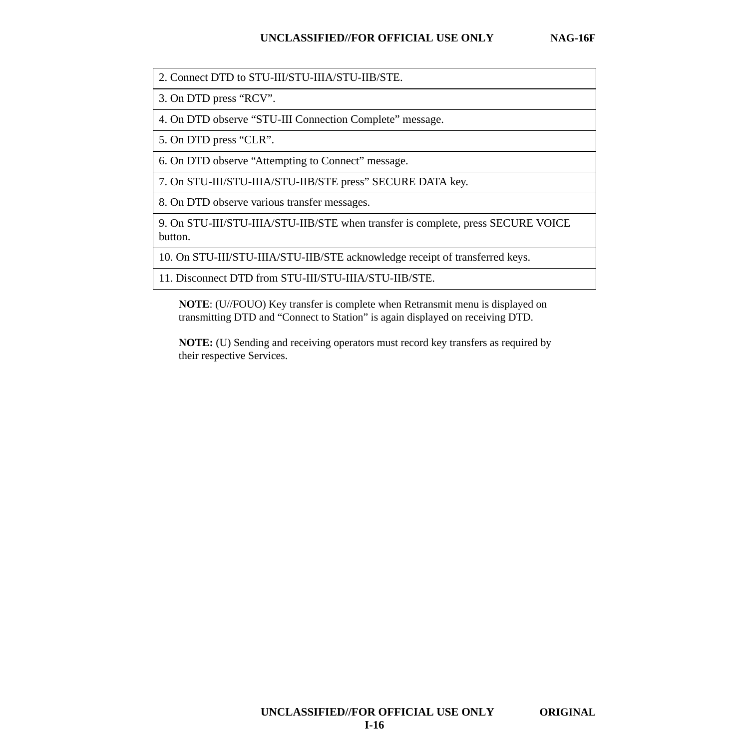- 2. Connect DTD to STU-III/STU-IIIA/STU-IIB/STE.
- 3. On DTD press "RCV".
- 4. On DTD observe "STU-III Connection Complete" message.

5. On DTD press "CLR".

6. On DTD observe "Attempting to Connect" message.

7. On STU-III/STU-IIIA/STU-IIB/STE press" SECURE DATA key.

8. On DTD observe various transfer messages.

9. On STU-III/STU-IIIA/STU-IIB/STE when transfer is complete, press SECURE VOICE button.

10. On STU-III/STU-IIIA/STU-IIB/STE acknowledge receipt of transferred keys.

11. Disconnect DTD from STU-III/STU-IIIA/STU-IIB/STE.

**NOTE**: (U//FOUO) Key transfer is complete when Retransmit menu is displayed on transmitting DTD and "Connect to Station" is again displayed on receiving DTD.

**NOTE:** (U) Sending and receiving operators must record key transfers as required by their respective Services.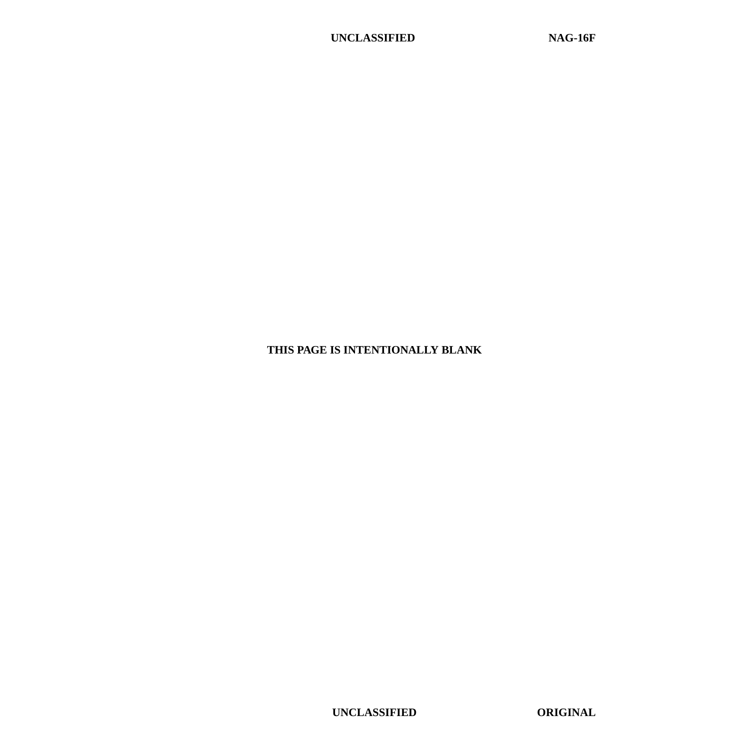# **THIS PAGE IS INTENTIONALLY BLANK**